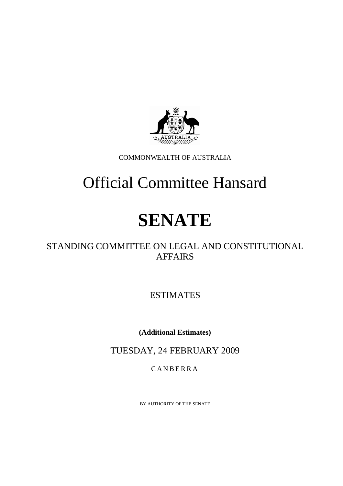

COMMONWEALTH OF AUSTRALIA

# Official Committee Hansard

# **SENATE**

## STANDING COMMITTEE ON LEGAL AND CONSTITUTIONAL AFFAIRS

ESTIMATES

**(Additional Estimates)** 

TUESDAY, 24 FEBRUARY 2009

CANBERRA

BY AUTHORITY OF THE SENATE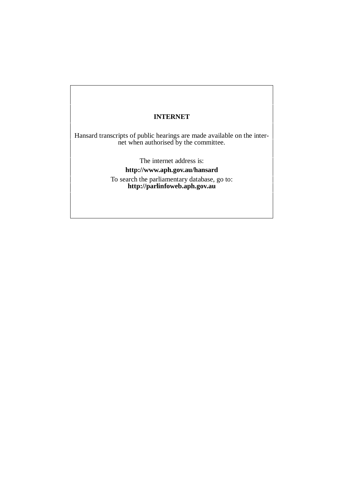### **INTERNET**

Hansard transcripts of public hearings are made available on the internet when authorised by the committee.

> The internet address is: **http://www.aph.gov.au/hansard** To search the parliamentary database, go to: **http://parlinfoweb.aph.gov.au**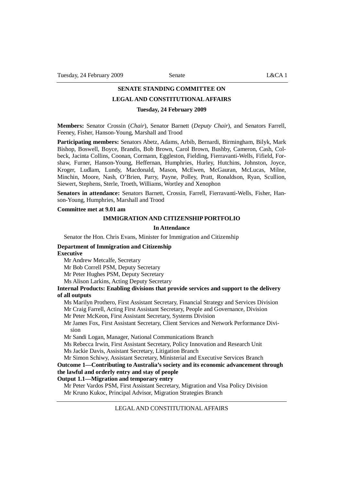# **SENATE STANDING COMMITTEE ON**

## **LEGAL AND CONSTITUTIONAL AFFAIRS**

#### **Tuesday, 24 February 2009**

**Members:** Senator Crossin (*Chair*), Senator Barnett (*Deputy Chair*), and Senators Farrell, Feeney, Fisher, Hanson-Young, Marshall and Trood

**Participating members:** Senators Abetz, Adams, Arbib, Bernardi, Birmingham, Bilyk, Mark Bishop, Boswell, Boyce, Brandis, Bob Brown, Carol Brown, Bushby, Cameron, Cash, Colbeck, Jacinta Collins, Coonan, Cormann, Eggleston, Fielding, Fierravanti-Wells, Fifield, Forshaw, Furner, Hanson-Young, Heffernan, Humphries, Hurley, Hutchins, Johnston, Joyce, Kroger, Ludlam, Lundy, Macdonald, Mason, McEwen, McGauran, McLucas, Milne, Minchin, Moore, Nash, O'Brien, Parry, Payne, Polley, Pratt, Ronaldson, Ryan, Scullion, Siewert, Stephens, Sterle, Troeth, Williams, Wortley and Xenophon

**Senators in attendance:** Senators Barnett, Crossin, Farrell, Fierravanti-Wells, Fisher, Hanson-Young, Humphries, Marshall and Trood

#### **Committee met at 9.01 am**

#### **IMMIGRATION AND CITIZENSHIP PORTFOLIO**

#### **In Attendance**

Senator the Hon. Chris Evans, Minister for Immigration and Citizenship

#### **Department of Immigration and Citizenship**

#### **Executive**

Mr Andrew Metcalfe, Secretary

Mr Bob Correll PSM, Deputy Secretary

Mr Peter Hughes PSM, Deputy Secretary

Ms Alison Larkins, Acting Deputy Secretary

#### **Internal Products: Enabling divisions that provide services and support to the delivery of all outputs**

Ms Marilyn Prothero, First Assistant Secretary, Financial Strategy and Services Division Mr Craig Farrell, Acting First Assistant Secretary, People and Governance, Division

Mr Peter McKeon, First Assistant Secretary, Systems Division

Mr James Fox, First Assistant Secretary, Client Services and Network Performance Division

Mr Sandi Logan, Manager, National Communications Branch

Ms Rebecca Irwin, First Assistant Secretary, Policy Innovation and Research Unit Ms Jackie Davis, Assistant Secretary, Litigation Branch

Mr Simon Schiwy, Assistant Secretary, Ministerial and Executive Services Branch

### **Outcome 1—Contributing to Australia's society and its economic advancement through the lawful and orderly entry and stay of people**

#### **Output 1.1—Migration and temporary entry**

Mr Peter Vardos PSM, First Assistant Secretary, Migration and Visa Policy Division Mr Kruno Kukoc, Principal Advisor, Migration Strategies Branch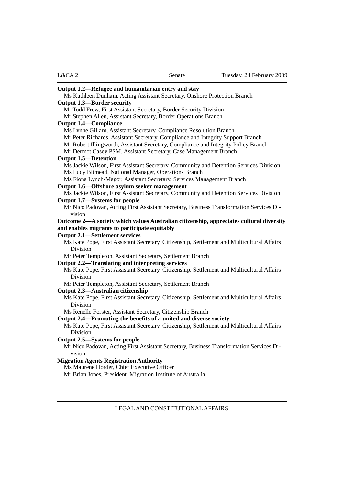| Output 1.2—Refugee and humanitarian entry and stay                                         |
|--------------------------------------------------------------------------------------------|
| Ms Kathleen Dunham, Acting Assistant Secretary, Onshore Protection Branch                  |
| <b>Output 1.3—Border security</b>                                                          |
| Mr Todd Frew, First Assistant Secretary, Border Security Division                          |
| Mr Stephen Allen, Assistant Secretary, Border Operations Branch                            |
| <b>Output 1.4—Compliance</b>                                                               |
| Ms Lynne Gillam, Assistant Secretary, Compliance Resolution Branch                         |
| Mr Peter Richards, Assistant Secretary, Compliance and Integrity Support Branch            |
| Mr Robert Illingworth, Assistant Secretary, Compliance and Integrity Policy Branch         |
| Mr Dermot Casey PSM, Assistant Secretary, Case Management Branch                           |
| <b>Output 1.5—Detention</b>                                                                |
| Ms Jackie Wilson, First Assistant Secretary, Community and Detention Services Division     |
| Ms Lucy Bitmead, National Manager, Operations Branch                                       |
| Ms Fiona Lynch-Magor, Assistant Secretary, Services Management Branch                      |
| Output 1.6-Offshore asylum seeker management                                               |
| Ms Jackie Wilson, First Assistant Secretary, Community and Detention Services Division     |
| Output 1.7—Systems for people                                                              |
| Mr Nico Padovan, Acting First Assistant Secretary, Business Transformation Services Di-    |
| vision                                                                                     |
| Outcome 2—A society which values Australian citizenship, appreciates cultural diversity    |
| and enables migrants to participate equitably                                              |
| <b>Output 2.1—Settlement services</b>                                                      |
| Ms Kate Pope, First Assistant Secretary, Citizenship, Settlement and Multicultural Affairs |
| <b>Division</b>                                                                            |
| Mr Peter Templeton, Assistant Secretary, Settlement Branch                                 |
| Output 2.2—Translating and interpreting services                                           |
| Ms Kate Pope, First Assistant Secretary, Citizenship, Settlement and Multicultural Affairs |
| <b>Division</b>                                                                            |
| Mr Peter Templeton, Assistant Secretary, Settlement Branch                                 |
| Output 2.3-Australian citizenship                                                          |
| Ms Kate Pope, First Assistant Secretary, Citizenship, Settlement and Multicultural Affairs |
| Division                                                                                   |
| Ms Renelle Forster, Assistant Secretary, Citizenship Branch                                |
| Output 2.4—Promoting the benefits of a united and diverse society                          |
| Ms Kate Pope, First Assistant Secretary, Citizenship, Settlement and Multicultural Affairs |
| <b>Division</b>                                                                            |
| Output 2.5—Systems for people                                                              |
| Mr Nico Padovan, Acting First Assistant Secretary, Business Transformation Services Di-    |
| vision                                                                                     |
| <b>Migration Agents Registration Authority</b>                                             |
| Ms Maurene Horder, Chief Executive Officer                                                 |
| Mr Brian Jones, President, Migration Institute of Australia                                |
|                                                                                            |
|                                                                                            |
| LEGAL AND CONSTITUTIONAL AFFAIRS                                                           |

L&CA 2 Senate Tuesday, 24 February 2009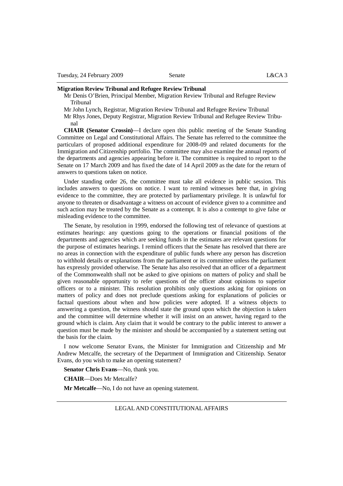#### **Migration Review Tribunal and Refugee Review Tribunal**

Mr Denis O'Brien, Principal Member, Migration Review Tribunal and Refugee Review Tribunal

Mr John Lynch, Registrar, Migration Review Tribunal and Refugee Review Tribunal

Mr Rhys Jones, Deputy Registrar, Migration Review Tribunal and Refugee Review Tribunal

**CHAIR (Senator Crossin)**—I declare open this public meeting of the Senate Standing Committee on Legal and Constitutional Affairs. The Senate has referred to the committee the particulars of proposed additional expenditure for 2008-09 and related documents for the Immigration and Citizenship portfolio. The committee may also examine the annual reports of the departments and agencies appearing before it. The committee is required to report to the Senate on 17 March 2009 and has fixed the date of 14 April 2009 as the date for the return of answers to questions taken on notice.

Under standing order 26, the committee must take all evidence in public session. This includes answers to questions on notice. I want to remind witnesses here that, in giving evidence to the committee, they are protected by parliamentary privilege. It is unlawful for anyone to threaten or disadvantage a witness on account of evidence given to a committee and such action may be treated by the Senate as a contempt. It is also a contempt to give false or misleading evidence to the committee.

The Senate, by resolution in 1999, endorsed the following test of relevance of questions at estimates hearings: any questions going to the operations or financial positions of the departments and agencies which are seeking funds in the estimates are relevant questions for the purpose of estimates hearings. I remind officers that the Senate has resolved that there are no areas in connection with the expenditure of public funds where any person has discretion to withhold details or explanations from the parliament or its committee unless the parliament has expressly provided otherwise. The Senate has also resolved that an officer of a department of the Commonwealth shall not be asked to give opinions on matters of policy and shall be given reasonable opportunity to refer questions of the officer about opinions to superior officers or to a minister. This resolution prohibits only questions asking for opinions on matters of policy and does not preclude questions asking for explanations of policies or factual questions about when and how policies were adopted. If a witness objects to answering a question, the witness should state the ground upon which the objection is taken and the committee will determine whether it will insist on an answer, having regard to the ground which is claim. Any claim that it would be contrary to the public interest to answer a question must be made by the minister and should be accompanied by a statement setting out the basis for the claim.

I now welcome Senator Evans, the Minister for Immigration and Citizenship and Mr Andrew Metcalfe, the secretary of the Department of Immigration and Citizenship. Senator Evans, do you wish to make an opening statement?

**Senator Chris Evans**—No, thank you.

**CHAIR**—Does Mr Metcalfe?

**Mr Metcalfe**—No, I do not have an opening statement.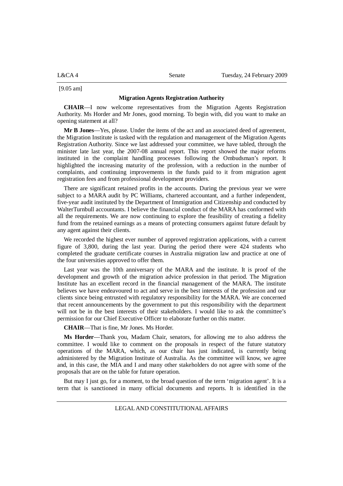L&CA 4 Senate Tuesday, 24 February 2009

[9.05 am]

#### **Migration Agents Registration Authority**

**CHAIR**—I now welcome representatives from the Migration Agents Registration Authority. Ms Horder and Mr Jones, good morning. To begin with, did you want to make an opening statement at all?

**Mr B Jones**—Yes, please. Under the items of the act and an associated deed of agreement, the Migration Institute is tasked with the regulation and management of the Migration Agents Registration Authority. Since we last addressed your committee, we have tabled, through the minister late last year, the 2007-08 annual report. This report showed the major reforms instituted in the complaint handling processes following the Ombudsman's report. It highlighted the increasing maturity of the profession, with a reduction in the number of complaints, and continuing improvements in the funds paid to it from migration agent registration fees and from professional development providers.

There are significant retained profits in the accounts. During the previous year we were subject to a MARA audit by PC Williams, chartered accountant, and a further independent, five-year audit instituted by the Department of Immigration and Citizenship and conducted by WalterTurnbull accountants. I believe the financial conduct of the MARA has conformed with all the requirements. We are now continuing to explore the feasibility of creating a fidelity fund from the retained earnings as a means of protecting consumers against future default by any agent against their clients.

We recorded the highest ever number of approved registration applications, with a current figure of 3,800, during the last year. During the period there were 424 students who completed the graduate certificate courses in Australia migration law and practice at one of the four universities approved to offer them.

Last year was the 10th anniversary of the MARA and the institute. It is proof of the development and growth of the migration advice profession in that period. The Migration Institute has an excellent record in the financial management of the MARA. The institute believes we have endeavoured to act and serve in the best interests of the profession and our clients since being entrusted with regulatory responsibility for the MARA. We are concerned that recent announcements by the government to put this responsibility with the department will not be in the best interests of their stakeholders. I would like to ask the committee's permission for our Chief Executive Officer to elaborate further on this matter.

**CHAIR**—That is fine, Mr Jones. Ms Horder.

**Ms Horder**—Thank you, Madam Chair, senators, for allowing me to also address the committee. I would like to comment on the proposals in respect of the future statutory operations of the MARA, which, as our chair has just indicated, is currently being administered by the Migration Institute of Australia. As the committee will know, we agree and, in this case, the MIA and I and many other stakeholders do not agree with some of the proposals that are on the table for future operation.

But may I just go, for a moment, to the broad question of the term 'migration agent'. It is a term that is sanctioned in many official documents and reports. It is identified in the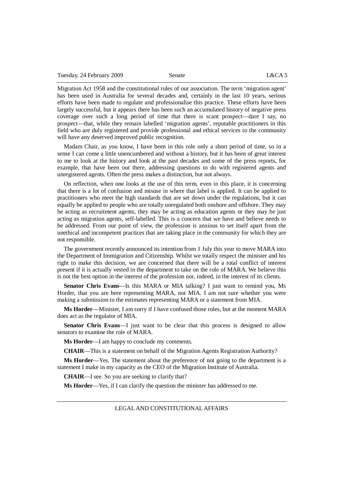Tuesday, 24 February 2009 Senate L&CA 5

Migration Act 1958 and the constitutional rules of our association. The term 'migration agent' has been used in Australia for several decades and, certainly in the last 10 years, serious efforts have been made to regulate and professionalise this practice. These efforts have been largely successful, but it appears there has been such an accumulated history of negative press coverage over such a long period of time that there is scant prospect—dare I say, no prospect—that, while they remain labelled 'migration agents', reputable practitioners in this field who are duly registered and provide professional and ethical services to the community will have any deserved improved public recognition.

Madam Chair, as you know, I have been in this role only a short period of time, so in a sense I can come a little unencumbered and without a history, but it has been of great interest to me to look at the history and look at the past decades and some of the press reports, for example, that have been out there, addressing questions to do with registered agents and unregistered agents. Often the press makes a distinction, but not always.

On reflection, when one looks at the use of this term, even in this place, it is concerning that there is a lot of confusion and misuse in where that label is applied. It can be applied to practitioners who meet the high standards that are set down under the regulations, but it can equally be applied to people who are totally unregulated both onshore and offshore. They may be acting as recruitment agents, they may be acting as education agents or they may be just acting as migration agents, self-labelled. This is a concern that we have and believe needs to be addressed. From our point of view, the profession is anxious to set itself apart from the unethical and incompetent practices that are taking place in the community for which they are not responsible.

The government recently announced its intention from 1 July this year to move MARA into the Department of Immigration and Citizenship. Whilst we totally respect the minister and his right to make this decision, we are concerned that there will be a total conflict of interest present if it is actually vested in the department to take on the role of MARA. We believe this is not the best option in the interest of the profession nor, indeed, in the interest of its clients.

**Senator Chris Evans**—Is this MARA or MIA talking? I just want to remind you, Ms Horder, that you are here representing MARA, not MIA. I am not sure whether you were making a submission to the estimates representing MARA or a statement from MIA.

**Ms Horder**—Minister, I am sorry if I have confused those roles, but at the moment MARA does act as the regulator of MIA.

**Senator Chris Evans**—I just want to be clear that this process is designed to allow senators to examine the role of MARA.

**Ms Horder**—I am happy to conclude my comments.

**CHAIR**—This is a statement on behalf of the Migration Agents Registration Authority?

**Ms Horder**—Yes. The statement about the preference of not going to the department is a statement I make in my capacity as the CEO of the Migration Institute of Australia.

**CHAIR**—I see. So you are seeking to clarify that?

**Ms Horder**—Yes, if I can clarify the question the minister has addressed to me.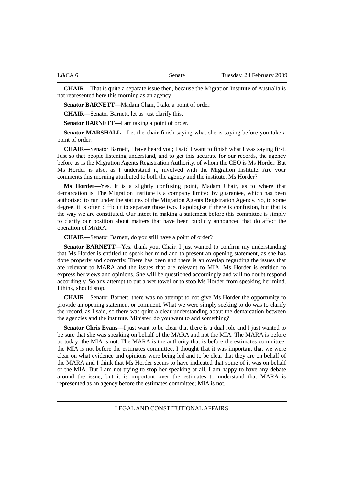**CHAIR**—That is quite a separate issue then, because the Migration Institute of Australia is not represented here this morning as an agency.

**Senator BARNETT**—Madam Chair, I take a point of order.

**CHAIR**—Senator Barnett, let us just clarify this.

**Senator BARNETT**—I am taking a point of order.

**Senator MARSHALL—Let** the chair finish saying what she is saying before you take a point of order.

**CHAIR**—Senator Barnett, I have heard you; I said I want to finish what I was saying first. Just so that people listening understand, and to get this accurate for our records, the agency before us is the Migration Agents Registration Authority, of whom the CEO is Ms Horder. But Ms Horder is also, as I understand it, involved with the Migration Institute. Are your comments this morning attributed to both the agency and the institute, Ms Horder?

**Ms Horder**—Yes. It is a slightly confusing point, Madam Chair, as to where that demarcation is. The Migration Institute is a company limited by guarantee, which has been authorised to run under the statutes of the Migration Agents Registration Agency. So, to some degree, it is often difficult to separate those two. I apologise if there is confusion, but that is the way we are constituted. Our intent in making a statement before this committee is simply to clarify our position about matters that have been publicly announced that do affect the operation of MARA.

**CHAIR**—Senator Barnett, do you still have a point of order?

**Senator BARNETT**—Yes, thank you, Chair. I just wanted to confirm my understanding that Ms Horder is entitled to speak her mind and to present an opening statement, as she has done properly and correctly. There has been and there is an overlap regarding the issues that are relevant to MARA and the issues that are relevant to MIA. Ms Horder is entitled to express her views and opinions. She will be questioned accordingly and will no doubt respond accordingly. So any attempt to put a wet towel or to stop Ms Horder from speaking her mind, I think, should stop.

**CHAIR**—Senator Barnett, there was no attempt to not give Ms Horder the opportunity to provide an opening statement or comment. What we were simply seeking to do was to clarify the record, as I said, so there was quite a clear understanding about the demarcation between the agencies and the institute. Minister, do you want to add something?

**Senator Chris Evans**—I just want to be clear that there is a dual role and I just wanted to be sure that she was speaking on behalf of the MARA and not the MIA. The MARA is before us today; the MIA is not. The MARA is the authority that is before the estimates committee; the MIA is not before the estimates committee. I thought that it was important that we were clear on what evidence and opinions were being led and to be clear that they are on behalf of the MARA and I think that Ms Horder seems to have indicated that some of it was on behalf of the MIA. But I am not trying to stop her speaking at all. I am happy to have any debate around the issue, but it is important over the estimates to understand that MARA is represented as an agency before the estimates committee; MIA is not.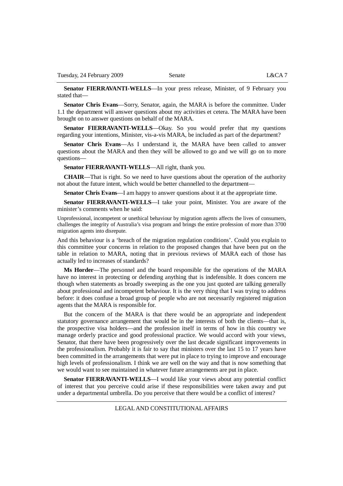**Senator FIERRAVANTI-WELLS**—In your press release, Minister, of 9 February you stated that—

**Senator Chris Evans**—Sorry, Senator, again, the MARA is before the committee. Under 1.1 the department will answer questions about my activities et cetera. The MARA have been brought on to answer questions on behalf of the MARA.

**Senator FIERRAVANTI-WELLS**—Okay. So you would prefer that my questions regarding your intentions, Minister, vis-a-vis MARA, be included as part of the department?

**Senator Chris Evans**—As I understand it, the MARA have been called to answer questions about the MARA and then they will be allowed to go and we will go on to more questions—

**Senator FIERRAVANTI-WELLS**—All right, thank you.

**CHAIR**—That is right. So we need to have questions about the operation of the authority not about the future intent, which would be better channelled to the department—

**Senator Chris Evans**—I am happy to answer questions about it at the appropriate time.

**Senator FIERRAVANTI-WELLS**—I take your point, Minister. You are aware of the minister's comments when he said:

Unprofessional, incompetent or unethical behaviour by migration agents affects the lives of consumers, challenges the integrity of Australia's visa program and brings the entire profession of more than 3700 migration agents into disrepute.

And this behaviour is a 'breach of the migration regulation conditions'. Could you explain to this committee your concerns in relation to the proposed changes that have been put on the table in relation to MARA, noting that in previous reviews of MARA each of those has actually led to increases of standards?

**Ms Horder**—The personnel and the board responsible for the operations of the MARA have no interest in protecting or defending anything that is indefensible. It does concern me though when statements as broadly sweeping as the one you just quoted are talking generally about professional and incompetent behaviour. It is the very thing that I was trying to address before: it does confuse a broad group of people who are not necessarily registered migration agents that the MARA is responsible for.

But the concern of the MARA is that there would be an appropriate and independent statutory governance arrangement that would be in the interests of both the clients—that is, the prospective visa holders—and the profession itself in terms of how in this country we manage orderly practice and good professional practice. We would accord with your views, Senator, that there have been progressively over the last decade significant improvements in the professionalism. Probably it is fair to say that ministers over the last 15 to 17 years have been committed in the arrangements that were put in place to trying to improve and encourage high levels of professionalism. I think we are well on the way and that is now something that we would want to see maintained in whatever future arrangements are put in place.

**Senator FIERRAVANTI-WELLS**—I would like your views about any potential conflict of interest that you perceive could arise if these responsibilities were taken away and put under a departmental umbrella. Do you perceive that there would be a conflict of interest?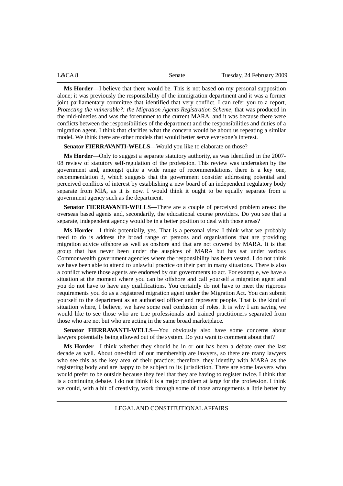| L&CA 8 | Senate | Tuesday, 24 February 2009 |
|--------|--------|---------------------------|
|        |        |                           |

**Ms Horder**—I believe that there would be. This is not based on my personal supposition alone; it was previously the responsibility of the immigration department and it was a former joint parliamentary committee that identified that very conflict. I can refer you to a report, *Protecting the vulnerable?: the Migration Agents Registration Scheme*, that was produced in the mid-nineties and was the forerunner to the current MARA, and it was because there were conflicts between the responsibilities of the department and the responsibilities and duties of a migration agent. I think that clarifies what the concern would be about us repeating a similar model. We think there are other models that would better serve everyone's interest.

**Senator FIERRAVANTI-WELLS**—Would you like to elaborate on those?

**Ms Horder**—Only to suggest a separate statutory authority, as was identified in the 2007- 08 review of statutory self-regulation of the profession. This review was undertaken by the government and, amongst quite a wide range of recommendations, there is a key one, recommendation 3, which suggests that the government consider addressing potential and perceived conflicts of interest by establishing a new board of an independent regulatory body separate from MIA, as it is now. I would think it ought to be equally separate from a government agency such as the department.

**Senator FIERRAVANTI-WELLS**—There are a couple of perceived problem areas: the overseas based agents and, secondarily, the educational course providers. Do you see that a separate, independent agency would be in a better position to deal with those areas?

**Ms Horder**—I think potentially, yes. That is a personal view. I think what we probably need to do is address the broad range of persons and organisations that are providing migration advice offshore as well as onshore and that are not covered by MARA. It is that group that has never been under the auspices of MARA but has sat under various Commonwealth government agencies where the responsibility has been vested. I do not think we have been able to attend to unlawful practice on their part in many situations. There is also a conflict where those agents are endorsed by our governments to act. For example, we have a situation at the moment where you can be offshore and call yourself a migration agent and you do not have to have any qualifications. You certainly do not have to meet the rigorous requirements you do as a registered migration agent under the Migration Act. You can submit yourself to the department as an authorised officer and represent people. That is the kind of situation where, I believe, we have some real confusion of roles. It is why I am saying we would like to see those who are true professionals and trained practitioners separated from those who are not but who are acting in the same broad marketplace.

**Senator FIERRAVANTI-WELLS**—You obviously also have some concerns about lawyers potentially being allowed out of the system. Do you want to comment about that?

**Ms Horder**—I think whether they should be in or out has been a debate over the last decade as well. About one-third of our membership are lawyers, so there are many lawyers who see this as the key area of their practice; therefore, they identify with MARA as the registering body and are happy to be subject to its jurisdiction. There are some lawyers who would prefer to be outside because they feel that they are having to register twice. I think that is a continuing debate. I do not think it is a major problem at large for the profession. I think we could, with a bit of creativity, work through some of those arrangements a little better by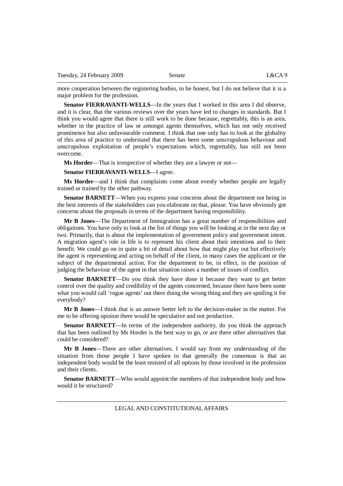more cooperation between the registering bodies, to be honest, but I do not believe that it is a major problem for the profession.

**Senator FIERRAVANTI-WELLS**—In the years that I worked in this area I did observe, and it is clear, that the various reviews over the years have led to changes in standards. But I think you would agree that there is still work to be done because, regrettably, this is an area, whether in the practice of law or amongst agents themselves, which has not only received prominence but also unfavourable comment. I think that one only has to look at the globality of this area of practice to understand that there has been some unscrupulous behaviour and unscrupulous exploitation of people's expectations which, regrettably, has still not been overcome.

**Ms Horder**—That is irrespective of whether they are a lawyer or not—

#### **Senator FIERRAVANTI-WELLS**—I agree.

**Ms Horder**—and I think that complaints come about evenly whether people are legally trained or trained by the other pathway.

**Senator BARNETT**—When you express your concerns about the department not being in the best interests of the stakeholders can you elaborate on that, please. You have obviously got concerns about the proposals in terms of the department having responsibility.

**Mr B Jones**—The Department of Immigration has a great number of responsibilities and obligations. You have only to look at the list of things you will be looking at in the next day or two. Primarily, that is about the implementation of government policy and government intent. A migration agent's role in life is to represent his client about their intentions and to their benefit. We could go on in quite a bit of detail about how that might play out but effectively the agent is representing and acting on behalf of the client, in many cases the applicant or the subject of the departmental action. For the department to be, in effect, in the position of judging the behaviour of the agent in that situation raises a number of issues of conflict.

**Senator BARNETT**—Do you think they have done it because they want to get better control over the quality and credibility of the agents concerned, because there have been some what you would call 'rogue agents' out there doing the wrong thing and they are spoiling it for everybody?

**Mr B Jones**—I think that is an answer better left to the decision-maker in the matter. For me to be offering opinion there would be speculative and not productive.

**Senator BARNETT**—In terms of the independent authority, do you think the approach that has been outlined by Ms Horder is the best way to go, or are there other alternatives that could be considered?

**Mr B Jones**—There are other alternatives. I would say from my understanding of the situation from those people I have spoken to that generally the consensus is that an independent body would be the least resisted of all options by those involved in the profession and their clients.

**Senator BARNETT**—Who would appoint the members of that independent body and how would it be structured?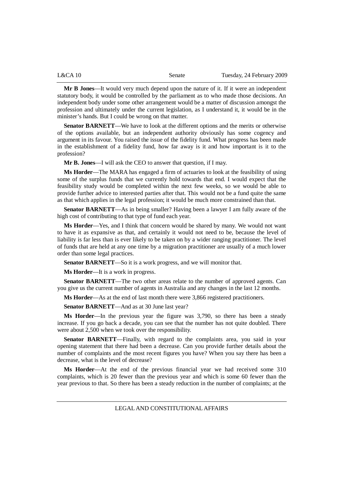| <b>L&amp;CA 10</b> | Senate | Tuesday, 24 February 2009 |
|--------------------|--------|---------------------------|
|                    |        |                           |

**Mr B Jones**—It would very much depend upon the nature of it. If it were an independent statutory body, it would be controlled by the parliament as to who made those decisions. An independent body under some other arrangement would be a matter of discussion amongst the profession and ultimately under the current legislation, as I understand it, it would be in the minister's hands. But I could be wrong on that matter.

**Senator BARNETT**—We have to look at the different options and the merits or otherwise of the options available, but an independent authority obviously has some cogency and argument in its favour. You raised the issue of the fidelity fund. What progress has been made in the establishment of a fidelity fund, how far away is it and how important is it to the profession?

**Mr B. Jones**—I will ask the CEO to answer that question, if I may.

**Ms Horder**—The MARA has engaged a firm of actuaries to look at the feasibility of using some of the surplus funds that we currently hold towards that end. I would expect that the feasibility study would be completed within the next few weeks, so we would be able to provide further advice to interested parties after that. This would not be a fund quite the same as that which applies in the legal profession; it would be much more constrained than that.

**Senator BARNETT**—As in being smaller? Having been a lawyer I am fully aware of the high cost of contributing to that type of fund each year.

**Ms Horder**—Yes, and I think that concern would be shared by many. We would not want to have it as expansive as that, and certainly it would not need to be, because the level of liability is far less than is ever likely to be taken on by a wider ranging practitioner. The level of funds that are held at any one time by a migration practitioner are usually of a much lower order than some legal practices.

**Senator BARNETT—So** it is a work progress, and we will monitor that.

**Ms Horder**—It is a work in progress.

**Senator BARNETT**—The two other areas relate to the number of approved agents. Can you give us the current number of agents in Australia and any changes in the last 12 months.

**Ms Horder**—As at the end of last month there were 3,866 registered practitioners.

**Senator BARNETT**—And as at 30 June last year?

**Ms Horder**—In the previous year the figure was 3,790, so there has been a steady increase. If you go back a decade, you can see that the number has not quite doubled. There were about 2,500 when we took over the responsibility.

**Senator BARNETT**—Finally, with regard to the complaints area, you said in your opening statement that there had been a decrease. Can you provide further details about the number of complaints and the most recent figures you have? When you say there has been a decrease, what is the level of decrease?

**Ms Horder**—At the end of the previous financial year we had received some 310 complaints, which is 20 fewer than the previous year and which is some 60 fewer than the year previous to that. So there has been a steady reduction in the number of complaints; at the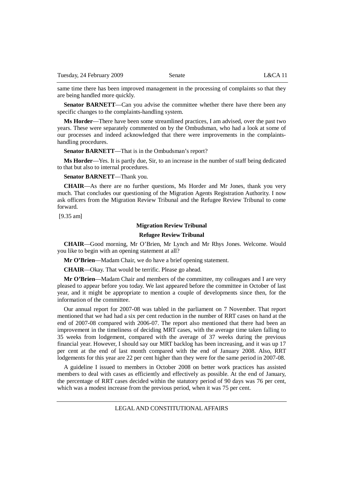same time there has been improved management in the processing of complaints so that they are being handled more quickly.

**Senator BARNETT—Can** you advise the committee whether there have there been any specific changes to the complaints-handling system.

**Ms Horder**—There have been some streamlined practices, I am advised, over the past two years. These were separately commented on by the Ombudsman, who had a look at some of our processes and indeed acknowledged that there were improvements in the complaintshandling procedures.

**Senator BARNETT**—That is in the Ombudsman's report?

**Ms Horder**—Yes. It is partly due, Sir, to an increase in the number of staff being dedicated to that but also to internal procedures.

**Senator BARNETT**—Thank you.

**CHAIR**—As there are no further questions, Ms Horder and Mr Jones, thank you very much. That concludes our questioning of the Migration Agents Registration Authority. I now ask officers from the Migration Review Tribunal and the Refugee Review Tribunal to come forward.

[9.35 am]

#### **Migration Review Tribunal**

#### **Refugee Review Tribunal**

**CHAIR**—Good morning, Mr O'Brien, Mr Lynch and Mr Rhys Jones. Welcome. Would you like to begin with an opening statement at all?

**Mr O'Brien**—Madam Chair, we do have a brief opening statement.

**CHAIR**—Okay. That would be terrific. Please go ahead.

**Mr O'Brien**—Madam Chair and members of the committee, my colleagues and I are very pleased to appear before you today. We last appeared before the committee in October of last year, and it might be appropriate to mention a couple of developments since then, for the information of the committee.

Our annual report for 2007-08 was tabled in the parliament on 7 November. That report mentioned that we had had a six per cent reduction in the number of RRT cases on hand at the end of 2007-08 compared with 2006-07. The report also mentioned that there had been an improvement in the timeliness of deciding MRT cases, with the average time taken falling to 35 weeks from lodgement, compared with the average of 37 weeks during the previous financial year. However, I should say our MRT backlog has been increasing, and it was up 17 per cent at the end of last month compared with the end of January 2008. Also, RRT lodgements for this year are 22 per cent higher than they were for the same period in 2007-08.

A guideline I issued to members in October 2008 on better work practices has assisted members to deal with cases as efficiently and effectively as possible. At the end of January, the percentage of RRT cases decided within the statutory period of 90 days was 76 per cent, which was a modest increase from the previous period, when it was 75 per cent.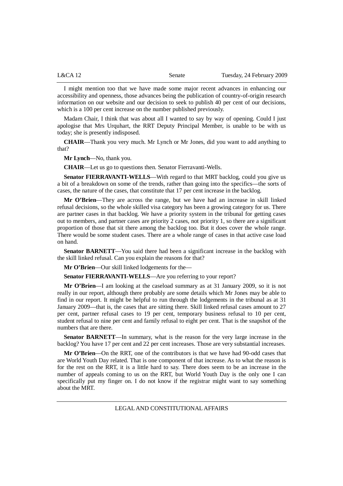| L&CA 12 | Senate | Tuesday, 24 February 2009 |
|---------|--------|---------------------------|
|         |        |                           |

I might mention too that we have made some major recent advances in enhancing our accessibility and openness, those advances being the publication of country-of-origin research information on our website and our decision to seek to publish 40 per cent of our decisions, which is a 100 per cent increase on the number published previously.

Madam Chair, I think that was about all I wanted to say by way of opening. Could I just apologise that Mrs Urquhart, the RRT Deputy Principal Member, is unable to be with us today; she is presently indisposed.

**CHAIR**—Thank you very much. Mr Lynch or Mr Jones, did you want to add anything to that?

**Mr Lynch**—No, thank you.

**CHAIR**—Let us go to questions then. Senator Fierravanti-Wells.

**Senator FIERRAVANTI-WELLS—With regard to that MRT backlog, could you give us** a bit of a breakdown on some of the trends, rather than going into the specifics—the sorts of cases, the nature of the cases, that constitute that 17 per cent increase in the backlog.

**Mr O'Brien**—They are across the range, but we have had an increase in skill linked refusal decisions, so the whole skilled visa category has been a growing category for us. There are partner cases in that backlog. We have a priority system in the tribunal for getting cases out to members, and partner cases are priority 2 cases, not priority 1, so there are a significant proportion of those that sit there among the backlog too. But it does cover the whole range. There would be some student cases. There are a whole range of cases in that active case load on hand.

**Senator BARNETT—You** said there had been a significant increase in the backlog with the skill linked refusal. Can you explain the reasons for that?

**Mr O'Brien**—Our skill linked lodgements for the—

**Senator FIERRAVANTI-WELLS**—Are you referring to your report?

**Mr O'Brien**—I am looking at the caseload summary as at 31 January 2009, so it is not really in our report, although there probably are some details which Mr Jones may be able to find in our report. It might be helpful to run through the lodgements in the tribunal as at 31 January 2009—that is, the cases that are sitting there. Skill linked refusal cases amount to 27 per cent, partner refusal cases to 19 per cent, temporary business refusal to 10 per cent, student refusal to nine per cent and family refusal to eight per cent. That is the snapshot of the numbers that are there.

**Senator BARNETT**—In summary, what is the reason for the very large increase in the backlog? You have 17 per cent and 22 per cent increases. Those are very substantial increases.

**Mr O'Brien**—On the RRT, one of the contributors is that we have had 90-odd cases that are World Youth Day related. That is one component of that increase. As to what the reason is for the rest on the RRT, it is a little hard to say. There does seem to be an increase in the number of appeals coming to us on the RRT, but World Youth Day is the only one I can specifically put my finger on. I do not know if the registrar might want to say something about the MRT.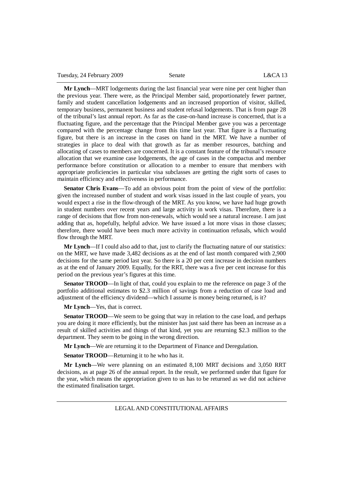**Mr Lynch**—MRT lodgements during the last financial year were nine per cent higher than the previous year. There were, as the Principal Member said, proportionately fewer partner, family and student cancellation lodgements and an increased proportion of visitor, skilled, temporary business, permanent business and student refusal lodgements. That is from page 28 of the tribunal's last annual report. As far as the case-on-hand increase is concerned, that is a fluctuating figure, and the percentage that the Principal Member gave you was a percentage compared with the percentage change from this time last year. That figure is a fluctuating figure, but there is an increase in the cases on hand in the MRT. We have a number of strategies in place to deal with that growth as far as member resources, batching and allocating of cases to members are concerned. It is a constant feature of the tribunal's resource allocation that we examine case lodgements, the age of cases in the compactus and member performance before constitution or allocation to a member to ensure that members with appropriate proficiencies in particular visa subclasses are getting the right sorts of cases to maintain efficiency and effectiveness in performance.

**Senator Chris Evans**—To add an obvious point from the point of view of the portfolio: given the increased number of student and work visas issued in the last couple of years, you would expect a rise in the flow-through of the MRT. As you know, we have had huge growth in student numbers over recent years and large activity in work visas. Therefore, there is a range of decisions that flow from non-renewals, which would see a natural increase. I am just adding that as, hopefully, helpful advice. We have issued a lot more visas in those classes; therefore, there would have been much more activity in continuation refusals, which would flow through the MRT.

**Mr Lynch**—If I could also add to that, just to clarify the fluctuating nature of our statistics: on the MRT, we have made 3,482 decisions as at the end of last month compared with 2,900 decisions for the same period last year. So there is a 20 per cent increase in decision numbers as at the end of January 2009. Equally, for the RRT, there was a five per cent increase for this period on the previous year's figures at this time.

**Senator TROOD—In** light of that, could you explain to me the reference on page 3 of the portfolio additional estimates to \$2.3 million of savings from a reduction of case load and adjustment of the efficiency dividend—which I assume is money being returned, is it?

**Mr Lynch**—Yes, that is correct.

**Senator TROOD—We** seem to be going that way in relation to the case load, and perhaps you are doing it more efficiently, but the minister has just said there has been an increase as a result of skilled activities and things of that kind, yet you are returning \$2.3 million to the department. They seem to be going in the wrong direction.

**Mr Lynch**—We are returning it to the Department of Finance and Deregulation.

**Senator TROOD**—Returning it to he who has it.

**Mr Lynch**—We were planning on an estimated 8,100 MRT decisions and 3,050 RRT decisions, as at page 26 of the annual report. In the result, we performed under that figure for the year, which means the appropriation given to us has to be returned as we did not achieve the estimated finalisation target.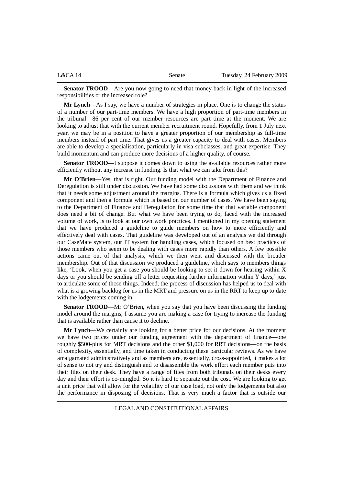| L&CA14 | Senate | Tuesday, 24 February 2009 |
|--------|--------|---------------------------|
|        |        |                           |

**Senator TROOD—Are** you now going to need that money back in light of the increased responsibilities or the increased role?

**Mr Lynch**—As I say, we have a number of strategies in place. One is to change the status of a number of our part-time members. We have a high proportion of part-time members in the tribunal—86 per cent of our member resources are part time at the moment. We are looking to adjust that with the current member recruitment round. Hopefully, from 1 July next year, we may be in a position to have a greater proportion of our membership as full-time members instead of part time. That gives us a greater capacity to deal with cases. Members are able to develop a specialisation, particularly in visa subclasses, and great expertise. They build momentum and can produce more decisions of a higher quality, of course.

**Senator TROOD—I** suppose it comes down to using the available resources rather more efficiently without any increase in funding. Is that what we can take from this?

**Mr O'Brien**—Yes, that is right. Our funding model with the Department of Finance and Deregulation is still under discussion. We have had some discussions with them and we think that it needs some adjustment around the margins. There is a formula which gives us a fixed component and then a formula which is based on our number of cases. We have been saying to the Department of Finance and Deregulation for some time that that variable component does need a bit of change. But what we have been trying to do, faced with the increased volume of work, is to look at our own work practices. I mentioned in my opening statement that we have produced a guideline to guide members on how to more efficiently and effectively deal with cases. That guideline was developed out of an analysis we did through our CaseMate system, our IT system for handling cases, which focused on best practices of those members who seem to be dealing with cases more rapidly than others. A few possible actions came out of that analysis, which we then went and discussed with the broader membership. Out of that discussion we produced a guideline, which says to members things like, 'Look, when you get a case you should be looking to set it down for hearing within  $\overline{X}$ days or you should be sending off a letter requesting further information within Y days,' just to articulate some of those things. Indeed, the process of discussion has helped us to deal with what is a growing backlog for us in the MRT and pressure on us in the RRT to keep up to date with the lodgements coming in.

**Senator TROOD**—Mr O'Brien, when you say that you have been discussing the funding model around the margins, I assume you are making a case for trying to increase the funding that is available rather than cause it to decline.

**Mr Lynch**—We certainly are looking for a better price for our decisions. At the moment we have two prices under our funding agreement with the department of finance—one roughly \$500-plus for MRT decisions and the other \$1,000 for RRT decisions—on the basis of complexity, essentially, and time taken in conducting these particular reviews. As we have amalgamated administratively and as members are, essentially, cross-appointed, it makes a lot of sense to not try and distinguish and to disassemble the work effort each member puts into their files on their desk. They have a range of files from both tribunals on their desks every day and their effort is co-mingled. So it is hard to separate out the cost. We are looking to get a unit price that will allow for the volatility of our case load, not only the lodgements but also the performance in disposing of decisions. That is very much a factor that is outside our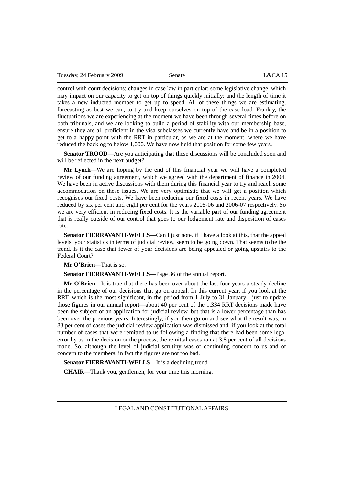control with court decisions; changes in case law in particular; some legislative change, which may impact on our capacity to get on top of things quickly initially; and the length of time it takes a new inducted member to get up to speed. All of these things we are estimating, forecasting as best we can, to try and keep ourselves on top of the case load. Frankly, the fluctuations we are experiencing at the moment we have been through several times before on both tribunals, and we are looking to build a period of stability with our membership base, ensure they are all proficient in the visa subclasses we currently have and be in a position to get to a happy point with the RRT in particular, as we are at the moment, where we have reduced the backlog to below 1,000. We have now held that position for some few years.

**Senator TROOD—Are** you anticipating that these discussions will be concluded soon and will be reflected in the next budget?

**Mr Lynch**—We are hoping by the end of this financial year we will have a completed review of our funding agreement, which we agreed with the department of finance in 2004. We have been in active discussions with them during this financial year to try and reach some accommodation on these issues. We are very optimistic that we will get a position which recognises our fixed costs. We have been reducing our fixed costs in recent years. We have reduced by six per cent and eight per cent for the years 2005-06 and 2006-07 respectively. So we are very efficient in reducing fixed costs. It is the variable part of our funding agreement that is really outside of our control that goes to our lodgement rate and disposition of cases rate.

**Senator FIERRAVANTI-WELLS**—Can I just note, if I have a look at this, that the appeal levels, your statistics in terms of judicial review, seem to be going down. That seems to be the trend. Is it the case that fewer of your decisions are being appealed or going upstairs to the Federal Court?

**Mr O'Brien**—That is so.

**Senator FIERRAVANTI-WELLS**—Page 36 of the annual report.

**Mr O'Brien**—It is true that there has been over about the last four years a steady decline in the percentage of our decisions that go on appeal. In this current year, if you look at the RRT, which is the most significant, in the period from 1 July to 31 January—just to update those figures in our annual report—about 40 per cent of the 1,334 RRT decisions made have been the subject of an application for judicial review, but that is a lower percentage than has been over the previous years. Interestingly, if you then go on and see what the result was, in 83 per cent of cases the judicial review application was dismissed and, if you look at the total number of cases that were remitted to us following a finding that there had been some legal error by us in the decision or the process, the remittal cases ran at 3.8 per cent of all decisions made. So, although the level of judicial scrutiny was of continuing concern to us and of concern to the members, in fact the figures are not too bad.

**Senator FIERRAVANTI-WELLS**—It is a declining trend.

**CHAIR**—Thank you, gentlemen, for your time this morning.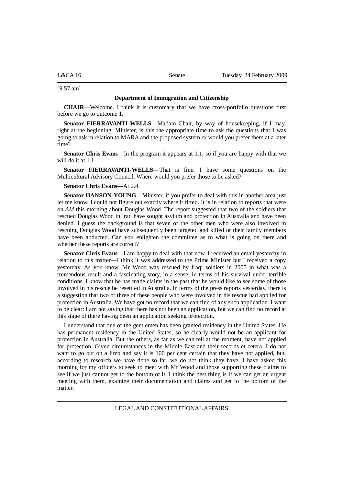L&CA 16 Senate Tuesday, 24 February 2009

[9.57 am]

#### **Department of Immigration and Citizenship**

**CHAIR**—Welcome. I think it is customary that we have cross-portfolio questions first before we go to outcome 1.

**Senator FIERRAVANTI-WELLS—Madam Chair, by way of housekeeping, if I may,** right at the beginning: Minister, is this the appropriate time to ask the questions that I was going to ask in relation to MARA and the proposed system or would you prefer them at a later time?

**Senator Chris Evans**—In the program it appears at 1.1, so if you are happy with that we will do it at 1.1.

**Senator FIERRAVANTI-WELLS**—That is fine. I have some questions on the Multicultural Advisory Council. Where would you prefer those to be asked?

#### **Senator Chris Evans**—At 2.4.

**Senator HANSON-YOUNG—Minister, if you prefer to deal with this in another area just** let me know. I could not figure out exactly where it fitted. It is in relation to reports that were on *AM* this morning about Douglas Wood. The report suggested that two of the soldiers that rescued Douglas Wood in Iraq have sought asylum and protection in Australia and have been denied. I guess the background is that seven of the other men who were also involved in rescuing Douglas Wood have subsequently been targeted and killed or their family members have been abducted. Can you enlighten the committee as to what is going on there and whether these reports are correct?

**Senator Chris Evans**—I am happy to deal with that now. I received an email yesterday in relation to this matter—I think it was addressed to the Prime Minister but I received a copy yesterday. As you know, Mr Wood was rescued by Iraqi soldiers in 2005 in what was a tremendous result and a fascinating story, in a sense, in terms of his survival under terrible conditions. I know that he has made claims in the past that he would like to see some of those involved in his rescue be resettled in Australia. In terms of the press reports yesterday, there is a suggestion that two or three of these people who were involved in his rescue had applied for protection in Australia. We have got no record that we can find of any such application. I want to be clear: I am not saying that there has not been an application, but we can find no record at this stage of there having been an application seeking protection.

I understand that one of the gentlemen has been granted residency in the United States. He has permanent residency in the United States, so he clearly would not be an applicant for protection in Australia. But the others, as far as we can tell at the moment, have not applied for protection. Given circumstances in the Middle East and their records et cetera, I do not want to go out on a limb and say it is 100 per cent certain that they have not applied, but, according to research we have done so far, we do not think they have. I have asked this morning for my officers to seek to meet with Mr Wood and those supporting these claims to see if we just cannot get to the bottom of it. I think the best thing is if we can get an urgent meeting with them, examine their documentation and claims and get to the bottom of the matter.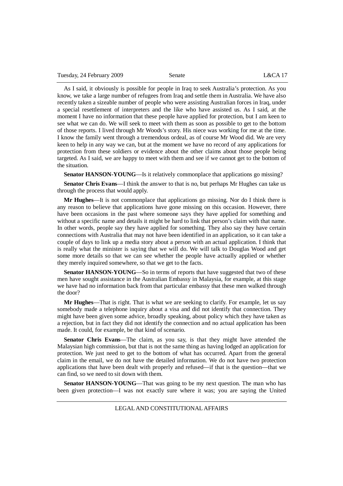As I said, it obviously is possible for people in Iraq to seek Australia's protection. As you know, we take a large number of refugees from Iraq and settle them in Australia. We have also recently taken a sizeable number of people who were assisting Australian forces in Iraq, under a special resettlement of interpreters and the like who have assisted us. As I said, at the moment I have no information that these people have applied for protection, but I am keen to see what we can do. We will seek to meet with them as soon as possible to get to the bottom of those reports. I lived through Mr Woods's story. His niece was working for me at the time. I know the family went through a tremendous ordeal, as of course Mr Wood did. We are very keen to help in any way we can, but at the moment we have no record of any applications for protection from these soldiers or evidence about the other claims about those people being targeted. As I said, we are happy to meet with them and see if we cannot get to the bottom of the situation.

**Senator HANSON-YOUNG—Is** it relatively commonplace that applications go missing?

**Senator Chris Evans**—I think the answer to that is no, but perhaps Mr Hughes can take us through the process that would apply.

**Mr Hughes**—It is not commonplace that applications go missing. Nor do I think there is any reason to believe that applications have gone missing on this occasion. However, there have been occasions in the past where someone says they have applied for something and without a specific name and details it might be hard to link that person's claim with that name. In other words, people say they have applied for something. They also say they have certain connections with Australia that may not have been identified in an application, so it can take a couple of days to link up a media story about a person with an actual application. I think that is really what the minister is saying that we will do. We will talk to Douglas Wood and get some more details so that we can see whether the people have actually applied or whether they merely inquired somewhere, so that we get to the facts.

**Senator HANSON-YOUNG**—So in terms of reports that have suggested that two of these men have sought assistance in the Australian Embassy in Malaysia, for example, at this stage we have had no information back from that particular embassy that these men walked through the door?

**Mr Hughes**—That is right. That is what we are seeking to clarify. For example, let us say somebody made a telephone inquiry about a visa and did not identify that connection. They might have been given some advice, broadly speaking, about policy which they have taken as a rejection, but in fact they did not identify the connection and no actual application has been made. It could, for example, be that kind of scenario.

**Senator Chris Evans**—The claim, as you say, is that they might have attended the Malaysian high commission, but that is not the same thing as having lodged an application for protection. We just need to get to the bottom of what has occurred. Apart from the general claim in the email, we do not have the detailed information. We do not have two protection applications that have been dealt with properly and refused—if that is the question—that we can find, so we need to sit down with them.

**Senator HANSON-YOUNG—That was going to be my next question. The man who has** been given protection—I was not exactly sure where it was; you are saying the United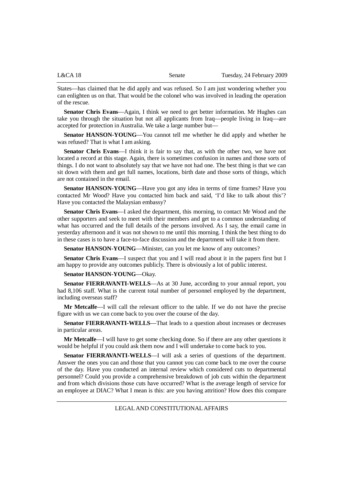| L&CA 18 | Senate | Tuesday, 24 February 2009 |
|---------|--------|---------------------------|
|         |        |                           |

States—has claimed that he did apply and was refused. So I am just wondering whether you can enlighten us on that. That would be the colonel who was involved in leading the operation of the rescue.

**Senator Chris Evans**—Again, I think we need to get better information. Mr Hughes can take you through the situation but not all applicants from Iraq—people living in Iraq—are accepted for protection in Australia. We take a large number but—

**Senator HANSON-YOUNG**—You cannot tell me whether he did apply and whether he was refused? That is what I am asking.

**Senator Chris Evans**—I think it is fair to say that, as with the other two, we have not located a record at this stage. Again, there is sometimes confusion in names and those sorts of things. I do not want to absolutely say that we have not had one. The best thing is that we can sit down with them and get full names, locations, birth date and those sorts of things, which are not contained in the email.

**Senator HANSON-YOUNG**—Have you got any idea in terms of time frames? Have you contacted Mr Wood? Have you contacted him back and said, 'I'd like to talk about this'? Have you contacted the Malaysian embassy?

**Senator Chris Evans**—I asked the department, this morning, to contact Mr Wood and the other supporters and seek to meet with their members and get to a common understanding of what has occurred and the full details of the persons involved. As I say, the email came in yesterday afternoon and it was not shown to me until this morning. I think the best thing to do in these cases is to have a face-to-face discussion and the department will take it from there.

**Senator HANSON-YOUNG—Minister, can you let me know of any outcomes?** 

**Senator Chris Evans**—I suspect that you and I will read about it in the papers first but I am happy to provide any outcomes publicly. There is obviously a lot of public interest.

#### **Senator HANSON-YOUNG**—Okay.

**Senator FIERRAVANTI-WELLS**—As at 30 June, according to your annual report, you had 8,106 staff. What is the current total number of personnel employed by the department, including overseas staff?

**Mr Metcalfe**—I will call the relevant officer to the table. If we do not have the precise figure with us we can come back to you over the course of the day.

**Senator FIERRAVANTI-WELLS**—That leads to a question about increases or decreases in particular areas.

**Mr Metcalfe**—I will have to get some checking done. So if there are any other questions it would be helpful if you could ask them now and I will undertake to come back to you.

**Senator FIERRAVANTI-WELLS**—I will ask a series of questions of the department. Answer the ones you can and those that you cannot you can come back to me over the course of the day. Have you conducted an internal review which considered cuts to departmental personnel? Could you provide a comprehensive breakdown of job cuts within the department and from which divisions those cuts have occurred? What is the average length of service for an employee at DIAC? What I mean is this: are you having attrition? How does this compare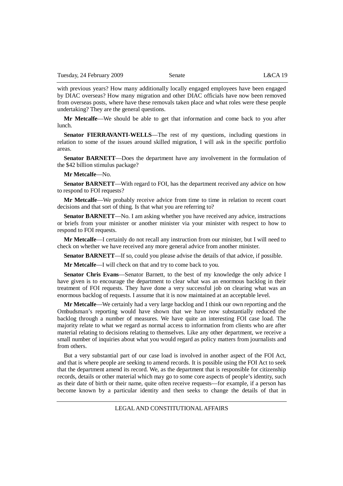with previous years? How many additionally locally engaged employees have been engaged by DIAC overseas? How many migration and other DIAC officials have now been removed from overseas posts, where have these removals taken place and what roles were these people undertaking? They are the general questions.

**Mr Metcalfe**—We should be able to get that information and come back to you after lunch.

**Senator FIERRAVANTI-WELLS**—The rest of my questions, including questions in relation to some of the issues around skilled migration, I will ask in the specific portfolio areas.

**Senator BARNETT**—Does the department have any involvement in the formulation of the \$42 billion stimulus package?

**Mr Metcalfe**—No.

**Senator BARNETT**—With regard to FOI, has the department received any advice on how to respond to FOI requests?

**Mr Metcalfe**—We probably receive advice from time to time in relation to recent court decisions and that sort of thing. Is that what you are referring to?

**Senator BARNETT—No.** I am asking whether you have received any advice, instructions or briefs from your minister or another minister via your minister with respect to how to respond to FOI requests.

**Mr Metcalfe**—I certainly do not recall any instruction from our minister, but I will need to check on whether we have received any more general advice from another minister.

**Senator BARNETT**—If so, could you please advise the details of that advice, if possible.

**Mr Metcalfe**—I will check on that and try to come back to you.

**Senator Chris Evans**—Senator Barnett, to the best of my knowledge the only advice I have given is to encourage the department to clear what was an enormous backlog in their treatment of FOI requests. They have done a very successful job on clearing what was an enormous backlog of requests. I assume that it is now maintained at an acceptable level.

**Mr Metcalfe**—We certainly had a very large backlog and I think our own reporting and the Ombudsman's reporting would have shown that we have now substantially reduced the backlog through a number of measures. We have quite an interesting FOI case load. The majority relate to what we regard as normal access to information from clients who are after material relating to decisions relating to themselves. Like any other department, we receive a small number of inquiries about what you would regard as policy matters from journalists and from others.

But a very substantial part of our case load is involved in another aspect of the FOI Act, and that is where people are seeking to amend records. It is possible using the FOI Act to seek that the department amend its record. We, as the department that is responsible for citizenship records, details or other material which may go to some core aspects of people's identity, such as their date of birth or their name, quite often receive requests—for example, if a person has become known by a particular identity and then seeks to change the details of that in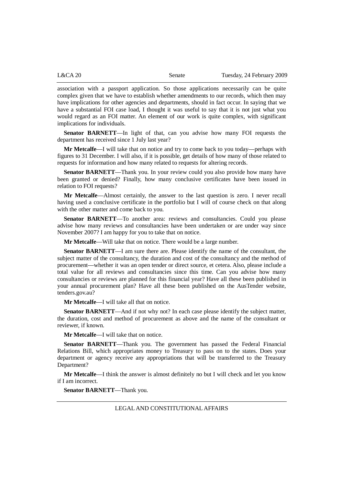| L&CA 20 | Senate | Tuesday, 24 February 2009 |
|---------|--------|---------------------------|
|         |        |                           |

association with a passport application. So those applications necessarily can be quite complex given that we have to establish whether amendments to our records, which then may have implications for other agencies and departments, should in fact occur. In saying that we have a substantial FOI case load, I thought it was useful to say that it is not just what you would regard as an FOI matter. An element of our work is quite complex, with significant implications for individuals.

**Senator BARNETT**—In light of that, can you advise how many FOI requests the department has received since 1 July last year?

**Mr Metcalfe**—I will take that on notice and try to come back to you today—perhaps with figures to 31 December. I will also, if it is possible, get details of how many of those related to requests for information and how many related to requests for altering records.

**Senator BARNETT**—Thank you. In your review could you also provide how many have been granted or denied? Finally, how many conclusive certificates have been issued in relation to FOI requests?

**Mr Metcalfe**—Almost certainly, the answer to the last question is zero. I never recall having used a conclusive certificate in the portfolio but I will of course check on that along with the other matter and come back to you.

Senator BARNETT—To another area: reviews and consultancies. Could you please advise how many reviews and consultancies have been undertaken or are under way since November 2007? I am happy for you to take that on notice.

**Mr Metcalfe**—Will take that on notice. There would be a large number.

**Senator BARNETT**—I am sure there are. Please identify the name of the consultant, the subject matter of the consultancy, the duration and cost of the consultancy and the method of procurement—whether it was an open tender or direct source, et cetera. Also, please include a total value for all reviews and consultancies since this time. Can you advise how many consultancies or reviews are planned for this financial year? Have all these been published in your annual procurement plan? Have all these been published on the AusTender website, tenders.gov.au?

**Mr Metcalfe**—I will take all that on notice.

**Senator BARNETT**—And if not why not? In each case please identify the subject matter, the duration, cost and method of procurement as above and the name of the consultant or reviewer, if known.

**Mr Metcalfe**—I will take that on notice.

**Senator BARNETT**—Thank you. The government has passed the Federal Financial Relations Bill, which appropriates money to Treasury to pass on to the states. Does your department or agency receive any appropriations that will be transferred to the Treasury Department?

**Mr Metcalfe**—I think the answer is almost definitely no but I will check and let you know if I am incorrect.

**Senator BARNETT**—Thank you.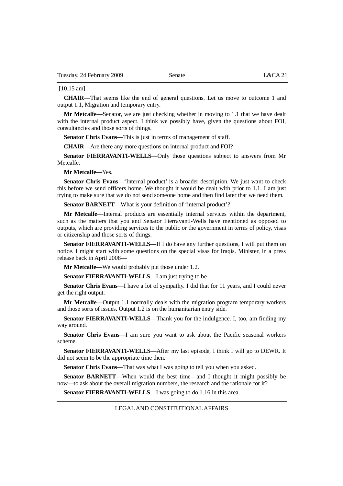#### [10.15 am]

**CHAIR**—That seems like the end of general questions. Let us move to outcome 1 and output 1.1, Migration and temporary entry.

**Mr Metcalfe**—Senator, we are just checking whether in moving to 1.1 that we have dealt with the internal product aspect. I think we possibly have, given the questions about FOI, consultancies and those sorts of things.

**Senator Chris Evans**—This is just in terms of management of staff.

**CHAIR**—Are there any more questions on internal product and FOI?

**Senator FIERRAVANTI-WELLS**—Only those questions subject to answers from Mr Metcalfe.

**Mr Metcalfe**—Yes.

**Senator Chris Evans**—'Internal product' is a broader description. We just want to check this before we send officers home. We thought it would be dealt with prior to 1.1. I am just trying to make sure that we do not send someone home and then find later that we need them.

**Senator BARNETT—What is your definition of 'internal product'?** 

**Mr Metcalfe**—Internal products are essentially internal services within the department, such as the matters that you and Senator Fierravanti-Wells have mentioned as opposed to outputs, which are providing services to the public or the government in terms of policy, visas or citizenship and those sorts of things.

**Senator FIERRAVANTI-WELLS**—If I do have any further questions, I will put them on notice. I might start with some questions on the special visas for Iraqis. Minister, in a press release back in April 2008—

**Mr Metcalfe**—We would probably put those under 1.2.

**Senator FIERRAVANTI-WELLS—I** am just trying to be—

**Senator Chris Evans**—I have a lot of sympathy. I did that for 11 years, and I could never get the right output.

**Mr Metcalfe**—Output 1.1 normally deals with the migration program temporary workers and those sorts of issues. Output 1.2 is on the humanitarian entry side.

**Senator FIERRAVANTI-WELLS**—Thank you for the indulgence. I, too, am finding my way around.

**Senator Chris Evans**—I am sure you want to ask about the Pacific seasonal workers scheme.

**Senator FIERRAVANTI-WELLS—After my last episode, I think I will go to DEWR. It** did not seem to be the appropriate time then.

**Senator Chris Evans**—That was what I was going to tell you when you asked.

**Senator BARNETT**—When would the best time—and I thought it might possibly be now—to ask about the overall migration numbers, the research and the rationale for it?

**Senator FIERRAVANTI-WELLS**—I was going to do 1.16 in this area.

#### LEGAL AND CONSTITUTIONAL AFFAIRS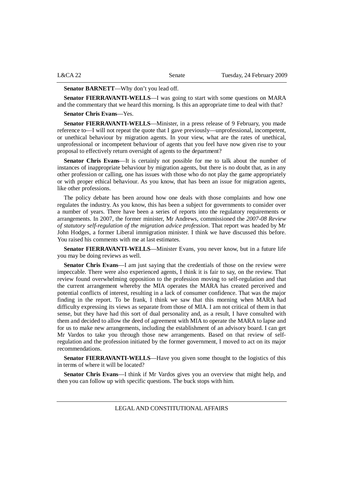| L&CA 22 | Senate | Tuesday, 24 February 2009 |
|---------|--------|---------------------------|
|         |        |                           |

#### **Senator BARNETT**—Why don't you lead off.

**Senator FIERRAVANTI-WELLS**—I was going to start with some questions on MARA and the commentary that we heard this morning. Is this an appropriate time to deal with that?

**Senator Chris Evans**—Yes.

**Senator FIERRAVANTI-WELLS**—Minister, in a press release of 9 February, you made reference to—I will not repeat the quote that I gave previously—unprofessional, incompetent, or unethical behaviour by migration agents. In your view, what are the rates of unethical, unprofessional or incompetent behaviour of agents that you feel have now given rise to your proposal to effectively return oversight of agents to the department?

**Senator Chris Evans**—It is certainly not possible for me to talk about the number of instances of inappropriate behaviour by migration agents, but there is no doubt that, as in any other profession or calling, one has issues with those who do not play the game appropriately or with proper ethical behaviour. As you know, that has been an issue for migration agents, like other professions.

The policy debate has been around how one deals with those complaints and how one regulates the industry. As you know, this has been a subject for governments to consider over a number of years. There have been a series of reports into the regulatory requirements or arrangements. In 2007, the former minister, Mr Andrews, commissioned the *2007-08 Review of statutory self-regulation of the migration advice profession*. That report was headed by Mr John Hodges, a former Liberal immigration minister. I think we have discussed this before. You raised his comments with me at last estimates.

**Senator FIERRAVANTI-WELLS**—Minister Evans, you never know, but in a future life you may be doing reviews as well.

**Senator Chris Evans**—I am just saying that the credentials of those on the review were impeccable. There were also experienced agents, I think it is fair to say, on the review. That review found overwhelming opposition to the profession moving to self-regulation and that the current arrangement whereby the MIA operates the MARA has created perceived and potential conflicts of interest, resulting in a lack of consumer confidence. That was the major finding in the report. To be frank, I think we saw that this morning when MARA had difficulty expressing its views as separate from those of MIA. I am not critical of them in that sense, but they have had this sort of dual personality and, as a result, I have consulted with them and decided to allow the deed of agreement with MIA to operate the MARA to lapse and for us to make new arrangements, including the establishment of an advisory board. I can get Mr Vardos to take you through those new arrangements. Based on that review of selfregulation and the profession initiated by the former government, I moved to act on its major recommendations.

**Senator FIERRAVANTI-WELLS**—Have you given some thought to the logistics of this in terms of where it will be located?

**Senator Chris Evans**—I think if Mr Vardos gives you an overview that might help, and then you can follow up with specific questions. The buck stops with him.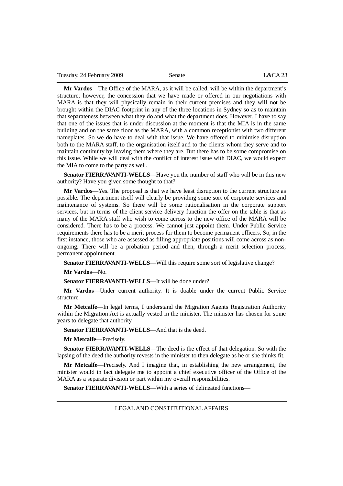Tuesday, 24 February 2009 Senate L&CA 23

**Mr Vardos**—The Office of the MARA, as it will be called, will be within the department's structure; however, the concession that we have made or offered in our negotiations with MARA is that they will physically remain in their current premises and they will not be brought within the DIAC footprint in any of the three locations in Sydney so as to maintain that separateness between what they do and what the department does. However, I have to say that one of the issues that is under discussion at the moment is that the MIA is in the same building and on the same floor as the MARA, with a common receptionist with two different nameplates. So we do have to deal with that issue. We have offered to minimise disruption both to the MARA staff, to the organisation itself and to the clients whom they serve and to maintain continuity by leaving them where they are. But there has to be some compromise on this issue. While we will deal with the conflict of interest issue with DIAC, we would expect the MIA to come to the party as well.

**Senator FIERRAVANTI-WELLS**—Have you the number of staff who will be in this new authority? Have you given some thought to that?

**Mr Vardos**—Yes. The proposal is that we have least disruption to the current structure as possible. The department itself will clearly be providing some sort of corporate services and maintenance of systems. So there will be some rationalisation in the corporate support services, but in terms of the client service delivery function the offer on the table is that as many of the MARA staff who wish to come across to the new office of the MARA will be considered. There has to be a process. We cannot just appoint them. Under Public Service requirements there has to be a merit process for them to become permanent officers. So, in the first instance, those who are assessed as filling appropriate positions will come across as nonongoing. There will be a probation period and then, through a merit selection process, permanent appointment.

**Senator FIERRAVANTI-WELLS**—Will this require some sort of legislative change?

**Mr Vardos**—No.

**Senator FIERRAVANTI-WELLS**—It will be done under?

**Mr Vardos**—Under current authority. It is doable under the current Public Service structure.

**Mr Metcalfe**—In legal terms, I understand the Migration Agents Registration Authority within the Migration Act is actually vested in the minister. The minister has chosen for some years to delegate that authority—

**Senator FIERRAVANTI-WELLS**—And that is the deed.

**Mr Metcalfe**—Precisely.

**Senator FIERRAVANTI-WELLS**—The deed is the effect of that delegation. So with the lapsing of the deed the authority revests in the minister to then delegate as he or she thinks fit.

**Mr Metcalfe**—Precisely. And I imagine that, in establishing the new arrangement, the minister would in fact delegate me to appoint a chief executive officer of the Office of the MARA as a separate division or part within my overall responsibilities.

**Senator FIERRAVANTI-WELLS**—With a series of delineated functions—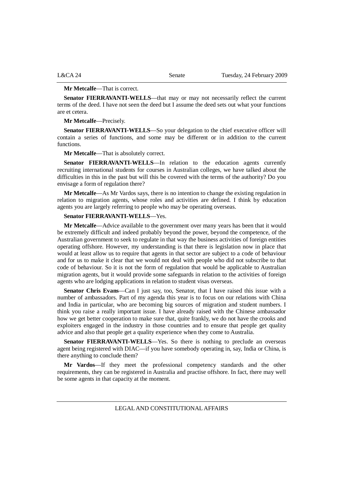#### **Mr Metcalfe**—That is correct.

**Senator FIERRAVANTI-WELLS**—that may or may not necessarily reflect the current terms of the deed. I have not seen the deed but I assume the deed sets out what your functions are et cetera.

**Mr Metcalfe**—Precisely.

**Senator FIERRAVANTI-WELLS**—So your delegation to the chief executive officer will contain a series of functions, and some may be different or in addition to the current functions.

**Mr Metcalfe**—That is absolutely correct.

Senator FIERRAVANTI-WELLS-In relation to the education agents currently recruiting international students for courses in Australian colleges, we have talked about the difficulties in this in the past but will this be covered with the terms of the authority? Do you envisage a form of regulation there?

**Mr Metcalfe**—As Mr Vardos says, there is no intention to change the existing regulation in relation to migration agents, whose roles and activities are defined. I think by education agents you are largely referring to people who may be operating overseas.

#### **Senator FIERRAVANTI-WELLS**—Yes.

**Mr Metcalfe**—Advice available to the government over many years has been that it would be extremely difficult and indeed probably beyond the power, beyond the competence, of the Australian government to seek to regulate in that way the business activities of foreign entities operating offshore. However, my understanding is that there is legislation now in place that would at least allow us to require that agents in that sector are subject to a code of behaviour and for us to make it clear that we would not deal with people who did not subscribe to that code of behaviour. So it is not the form of regulation that would be applicable to Australian migration agents, but it would provide some safeguards in relation to the activities of foreign agents who are lodging applications in relation to student visas overseas.

**Senator Chris Evans**—Can I just say, too, Senator, that I have raised this issue with a number of ambassadors. Part of my agenda this year is to focus on our relations with China and India in particular, who are becoming big sources of migration and student numbers. I think you raise a really important issue. I have already raised with the Chinese ambassador how we get better cooperation to make sure that, quite frankly, we do not have the crooks and exploiters engaged in the industry in those countries and to ensure that people get quality advice and also that people get a quality experience when they come to Australia.

**Senator FIERRAVANTI-WELLS—Yes.** So there is nothing to preclude an overseas agent being registered with DIAC—if you have somebody operating in, say, India or China, is there anything to conclude them?

**Mr Vardos**—If they meet the professional competency standards and the other requirements, they can be registered in Australia and practise offshore. In fact, there may well be some agents in that capacity at the moment.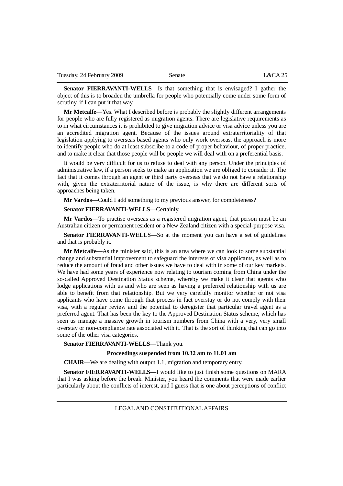**Senator FIERRAVANTI-WELLS**—Is that something that is envisaged? I gather the object of this is to broaden the umbrella for people who potentially come under some form of scrutiny, if I can put it that way.

**Mr Metcalfe**—Yes. What I described before is probably the slightly different arrangements for people who are fully registered as migration agents. There are legislative requirements as to in what circumstances it is prohibited to give migration advice or visa advice unless you are an accredited migration agent. Because of the issues around extraterritoriality of that legislation applying to overseas based agents who only work overseas, the approach is more to identify people who do at least subscribe to a code of proper behaviour, of proper practice, and to make it clear that those people will be people we will deal with on a preferential basis.

It would be very difficult for us to refuse to deal with any person. Under the principles of administrative law, if a person seeks to make an application we are obliged to consider it. The fact that it comes through an agent or third party overseas that we do not have a relationship with, given the extraterritorial nature of the issue, is why there are different sorts of approaches being taken.

**Mr Vardos**—Could I add something to my previous answer, for completeness?

#### **Senator FIERRAVANTI-WELLS**—Certainly.

**Mr Vardos**—To practise overseas as a registered migration agent, that person must be an Australian citizen or permanent resident or a New Zealand citizen with a special-purpose visa.

**Senator FIERRAVANTI-WELLS**—So at the moment you can have a set of guidelines and that is probably it.

**Mr Metcalfe**—As the minister said, this is an area where we can look to some substantial change and substantial improvement to safeguard the interests of visa applicants, as well as to reduce the amount of fraud and other issues we have to deal with in some of our key markets. We have had some years of experience now relating to tourism coming from China under the so-called Approved Destination Status scheme, whereby we make it clear that agents who lodge applications with us and who are seen as having a preferred relationship with us are able to benefit from that relationship. But we very carefully monitor whether or not visa applicants who have come through that process in fact overstay or do not comply with their visa, with a regular review and the potential to deregister that particular travel agent as a preferred agent. That has been the key to the Approved Destination Status scheme, which has seen us manage a massive growth in tourism numbers from China with a very, very small overstay or non-compliance rate associated with it. That is the sort of thinking that can go into some of the other visa categories.

**Senator FIERRAVANTI-WELLS**—Thank you.

**Proceedings suspended from 10.32 am to 11.01 am** 

**CHAIR**—We are dealing with output 1.1, migration and temporary entry.

**Senator FIERRAVANTI-WELLS**—I would like to just finish some questions on MARA that I was asking before the break. Minister, you heard the comments that were made earlier particularly about the conflicts of interest, and I guess that is one about perceptions of conflict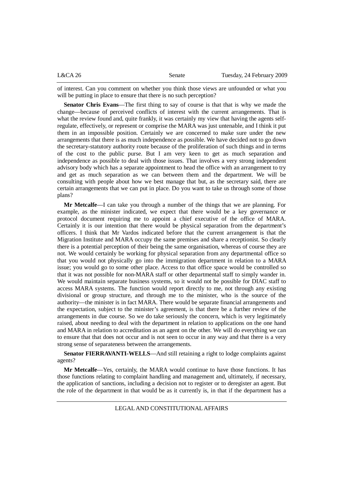| L&CA26 | Senate | Tuesday, 24 February 2009 |
|--------|--------|---------------------------|
|        |        |                           |

of interest. Can you comment on whether you think those views are unfounded or what you will be putting in place to ensure that there is no such perception?

**Senator Chris Evans**—The first thing to say of course is that that is why we made the change—because of perceived conflicts of interest with the current arrangements. That is what the review found and, quite frankly, it was certainly my view that having the agents selfregulate, effectively, or represent or comprise the MARA was just untenable, and I think it put them in an impossible position. Certainly we are concerned to make sure under the new arrangements that there is as much independence as possible. We have decided not to go down the secretary-statutory authority route because of the proliferation of such things and in terms of the cost to the public purse. But I am very keen to get as much separation and independence as possible to deal with those issues. That involves a very strong independent advisory body which has a separate appointment to head the office with an arrangement to try and get as much separation as we can between them and the department. We will be consulting with people about how we best manage that but, as the secretary said, there are certain arrangements that we can put in place. Do you want to take us through some of those plans?

**Mr Metcalfe**—I can take you through a number of the things that we are planning. For example, as the minister indicated, we expect that there would be a key governance or protocol document requiring me to appoint a chief executive of the office of MARA. Certainly it is our intention that there would be physical separation from the department's officers. I think that Mr Vardos indicated before that the current arrangement is that the Migration Institute and MARA occupy the same premises and share a receptionist. So clearly there is a potential perception of their being the same organisation, whereas of course they are not. We would certainly be working for physical separation from any departmental office so that you would not physically go into the immigration department in relation to a MARA issue; you would go to some other place. Access to that office space would be controlled so that it was not possible for non-MARA staff or other departmental staff to simply wander in. We would maintain separate business systems, so it would not be possible for DIAC staff to access MARA systems. The function would report directly to me, not through any existing divisional or group structure, and through me to the minister, who is the source of the authority—the minister is in fact MARA. There would be separate financial arrangements and the expectation, subject to the minister's agreement, is that there be a further review of the arrangements in due course. So we do take seriously the concern, which is very legitimately raised, about needing to deal with the department in relation to applications on the one hand and MARA in relation to accreditation as an agent on the other. We will do everything we can to ensure that that does not occur and is not seen to occur in any way and that there is a very strong sense of separateness between the arrangements.

**Senator FIERRAVANTI-WELLS**—And still retaining a right to lodge complaints against agents?

**Mr Metcalfe**—Yes, certainly, the MARA would continue to have those functions. It has those functions relating to complaint handling and management and, ultimately, if necessary, the application of sanctions, including a decision not to register or to deregister an agent. But the role of the department in that would be as it currently is, in that if the department has a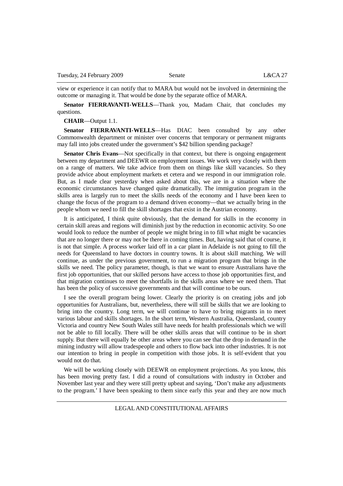view or experience it can notify that to MARA but would not be involved in determining the outcome or managing it. That would be done by the separate office of MARA.

**Senator FIERRAVANTI-WELLS**—Thank you, Madam Chair, that concludes my questions.

**CHAIR**—Output 1.1.

**Senator FIERRAVANTI-WELLS**—Has DIAC been consulted by any other Commonwealth department or minister over concerns that temporary or permanent migrants may fall into jobs created under the government's \$42 billion spending package?

**Senator Chris Evans—Not specifically in that context, but there is ongoing engagement** between my department and DEEWR on employment issues. We work very closely with them on a range of matters. We take advice from them on things like skill vacancies. So they provide advice about employment markets et cetera and we respond in our immigration role. But, as I made clear yesterday when asked about this, we are in a situation where the economic circumstances have changed quite dramatically. The immigration program in the skills area is largely run to meet the skills needs of the economy and I have been keen to change the focus of the program to a demand driven economy—that we actually bring in the people whom we need to fill the skill shortages that exist in the Austrian economy.

It is anticipated, I think quite obviously, that the demand for skills in the economy in certain skill areas and regions will diminish just by the reduction in economic activity. So one would look to reduce the number of people we might bring in to fill what might be vacancies that are no longer there or may not be there in coming times. But, having said that of course, it is not that simple. A process worker laid off in a car plant in Adelaide is not going to fill the needs for Queensland to have doctors in country towns. It is about skill matching. We will continue, as under the previous government, to run a migration program that brings in the skills we need. The policy parameter, though, is that we want to ensure Australians have the first job opportunities, that our skilled persons have access to those job opportunities first, and that migration continues to meet the shortfalls in the skills areas where we need them. That has been the policy of successive governments and that will continue to be ours.

I see the overall program being lower. Clearly the priority is on creating jobs and job opportunities for Australians, but, nevertheless, there will still be skills that we are looking to bring into the country. Long term, we will continue to have to bring migrants in to meet various labour and skills shortages. In the short term, Western Australia, Queensland, country Victoria and country New South Wales still have needs for health professionals which we will not be able to fill locally. There will be other skills areas that will continue to be in short supply. But there will equally be other areas where you can see that the drop in demand in the mining industry will allow tradespeople and others to flow back into other industries. It is not our intention to bring in people in competition with those jobs. It is self-evident that you would not do that.

We will be working closely with DEEWR on employment projections. As you know, this has been moving pretty fast. I did a round of consultations with industry in October and November last year and they were still pretty upbeat and saying, 'Don't make any adjustments to the program.' I have been speaking to them since early this year and they are now much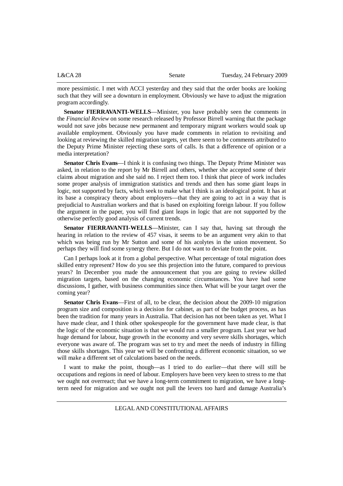| L&CA28 | Senate | Tuesday, 24 February 2009 |
|--------|--------|---------------------------|
|        |        |                           |

more pessimistic. I met with ACCI yesterday and they said that the order books are looking such that they will see a downturn in employment. Obviously we have to adjust the migration program accordingly.

**Senator FIERRAVANTI-WELLS**—Minister, you have probably seen the comments in the *Financial Review* on some research released by Professor Birrell warning that the package would not save jobs because new permanent and temporary migrant workers would soak up available employment. Obviously you have made comments in relation to revisiting and looking at reviewing the skilled migration targets, yet there seem to be comments attributed to the Deputy Prime Minister rejecting these sorts of calls. Is that a difference of opinion or a media interpretation?

**Senator Chris Evans**—I think it is confusing two things. The Deputy Prime Minister was asked, in relation to the report by Mr Birrell and others, whether she accepted some of their claims about migration and she said no. I reject them too. I think that piece of work includes some proper analysis of immigration statistics and trends and then has some giant leaps in logic, not supported by facts, which seek to make what I think is an ideological point. It has at its base a conspiracy theory about employers—that they are going to act in a way that is prejudicial to Australian workers and that is based on exploiting foreign labour. If you follow the argument in the paper, you will find giant leaps in logic that are not supported by the otherwise perfectly good analysis of current trends.

**Senator FIERRAVANTI-WELLS**—Minister, can I say that, having sat through the hearing in relation to the review of 457 visas, it seems to be an argument very akin to that which was being run by Mr Sutton and some of his acolytes in the union movement. So perhaps they will find some synergy there. But I do not want to deviate from the point.

Can I perhaps look at it from a global perspective. What percentage of total migration does skilled entry represent? How do you see this projection into the future, compared to previous years? In December you made the announcement that you are going to review skilled migration targets, based on the changing economic circumstances. You have had some discussions, I gather, with business communities since then. What will be your target over the coming year?

**Senator Chris Evans**—First of all, to be clear, the decision about the 2009-10 migration program size and composition is a decision for cabinet, as part of the budget process, as has been the tradition for many years in Australia. That decision has not been taken as yet. What I have made clear, and I think other spokespeople for the government have made clear, is that the logic of the economic situation is that we would run a smaller program. Last year we had huge demand for labour, huge growth in the economy and very severe skills shortages, which everyone was aware of. The program was set to try and meet the needs of industry in filling those skills shortages. This year we will be confronting a different economic situation, so we will make a different set of calculations based on the needs.

I want to make the point, though—as I tried to do earlier—that there will still be occupations and regions in need of labour. Employers have been very keen to stress to me that we ought not overreact; that we have a long-term commitment to migration, we have a longterm need for migration and we ought not pull the levers too hard and damage Australia's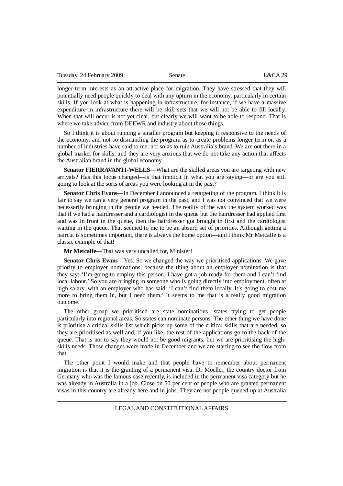longer term interests as an attractive place for migration. They have stressed that they will potentially need people quickly to deal with any upturn in the economy, particularly in certain skills. If you look at what is happening in infrastructure, for instance, if we have a massive expenditure in infrastructure there will be skill sets that we will not be able to fill locally. When that will occur is not yet clear, but clearly we will want to be able to respond. That is where we take advice from DEEWR and industry about those things.

So I think it is about running a smaller program but keeping it responsive to the needs of the economy, and not so dismantling the program as to create problems longer term or, as a number of industries have said to me, not so as to ruin Australia's brand. We are out there in a global market for skills, and they are very anxious that we do not take any action that affects the Australian brand in the global economy.

**Senator FIERRAVANTI-WELLS—What are the skilled areas you are targeting with new** arrivals? Has this focus changed—is that implicit in what you are saying—or are you still going to look at the sorts of areas you were looking at in the past?

**Senator Chris Evans**—In December I announced a retargeting of the program. I think it is fair to say we ran a very general program in the past, and I was not convinced that we were necessarily bringing in the people we needed. The reality of the way the system worked was that if we had a hairdresser and a cardiologist in the queue but the hairdresser had applied first and was in front in the queue, then the hairdresser got brought in first and the cardiologist waiting in the queue. That seemed to me to be an absurd set of priorities. Although getting a haircut is sometimes important, there is always the home option—and I think Mr Metcalfe is a classic example of that!

**Mr Metcalfe**—That was very uncalled for, Minister!

**Senator Chris Evans**—Yes. So we changed the way we prioritised applications. We gave priority to employer nominations, because the thing about an employer nomination is that they say: 'I'm going to employ this person. I have got a job ready for them and I can't find local labour.' So you are bringing in someone who is going directly into employment, often at high salary, with an employer who has said: 'I can't find them locally. It's going to cost me more to bring them in, but I need them.' It seems to me that is a really good migration outcome.

The other group we prioritised are state nominations—states trying to get people particularly into regional areas. So states can nominate persons. The other thing we have done is prioritise a critical skills list which picks up some of the critical skills that are needed, so they are prioritised as well and, if you like, the rest of the applications go to the back of the queue. That is not to say they would not be good migrants, but we are prioritising the highskills needs. Those changes were made in December and we are starting to see the flow from that.

The other point I would make and that people have to remember about permanent migration is that it is the granting of a permanent visa. Dr Moeller, the country doctor from Germany who was the famous case recently, is included in the permanent visa category but he was already in Australia in a job. Close on 50 per cent of people who are granted permanent visas in this country are already here and in jobs. They are not people queued up at Australia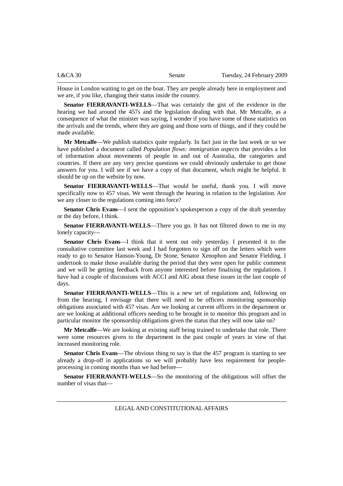| L&CA30 | Senate | Tuesday, 24 February 2009 |
|--------|--------|---------------------------|
|        |        |                           |

House in London waiting to get on the boat. They are people already here in employment and we are, if you like, changing their status inside the country.

**Senator FIERRAVANTI-WELLS**—That was certainly the gist of the evidence in the hearing we had around the 457s and the legislation dealing with that. Mr Metcalfe, as a consequence of what the minister was saying, I wonder if you have some of those statistics on the arrivals and the trends, where they are going and those sorts of things, and if they could be made available.

**Mr Metcalfe**—We publish statistics quite regularly. In fact just in the last week or so we have published a document called *Population flows: immigration aspects* that provides a lot of information about movements of people in and out of Australia, the categories and countries. If there are any very precise questions we could obviously undertake to get those answers for you. I will see if we have a copy of that document, which might be helpful. It should be up on the website by now.

**Senator FIERRAVANTI-WELLS**—That would be useful, thank you. I will move specifically now to 457 visas. We went through the hearing in relation to the legislation. Are we any closer to the regulations coming into force?

**Senator Chris Evans**—I sent the opposition's spokesperson a copy of the draft yesterday or the day before, I think.

**Senator FIERRAVANTI-WELLS**—There you go. It has not filtered down to me in my lonely capacity—

**Senator Chris Evans**—I think that it went out only yesterday. I presented it to the consultative committee last week and I had forgotten to sign off on the letters which were ready to go to Senator Hanson-Young, Dr Stone, Senator Xenophon and Senator Fielding. I undertook to make those available during the period that they were open for public comment and we will be getting feedback from anyone interested before finalising the regulations. I have had a couple of discussions with ACCI and AIG about these issues in the last couple of days.

**Senator FIERRAVANTI-WELLS**—This is a new set of regulations and, following on from the hearing, I envisage that there will need to be officers monitoring sponsorship obligations associated with 457 visas. Are we looking at current officers in the department or are we looking at additional officers needing to be brought in to monitor this program and in particular monitor the sponsorship obligations given the status that they will now take on?

**Mr Metcalfe**—We are looking at existing staff being trained to undertake that role. There were some resources given to the department in the past couple of years in view of that increased monitoring role.

**Senator Chris Evans**—The obvious thing to say is that the 457 program is starting to see already a drop-off in applications so we will probably have less requirement for peopleprocessing in coming months than we had before—

**Senator FIERRAVANTI-WELLS**—So the monitoring of the obligations will offset the number of visas that—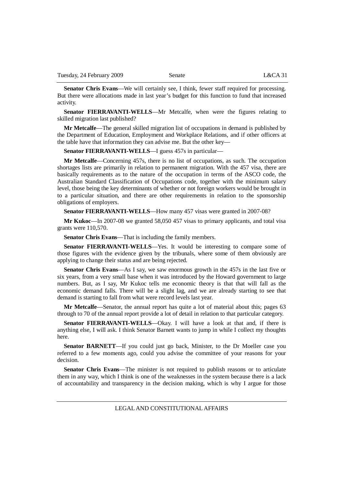**Senator Chris Evans—We** will certainly see, I think, fewer staff required for processing. But there were allocations made in last year's budget for this function to fund that increased activity.

**Senator FIERRAVANTI-WELLS**—Mr Metcalfe, when were the figures relating to skilled migration last published?

**Mr Metcalfe**—The general skilled migration list of occupations in demand is published by the Department of Education, Employment and Workplace Relations, and if other officers at the table have that information they can advise me. But the other key—

**Senator FIERRAVANTI-WELLS**—I guess 457s in particular—

**Mr Metcalfe**—Concerning 457s, there is no list of occupations, as such. The occupation shortages lists are primarily in relation to permanent migration. With the 457 visa, there are basically requirements as to the nature of the occupation in terms of the ASCO code, the Australian Standard Classification of Occupations code, together with the minimum salary level, those being the key determinants of whether or not foreign workers would be brought in to a particular situation, and there are other requirements in relation to the sponsorship obligations of employers.

**Senator FIERRAVANTI-WELLS**—How many 457 visas were granted in 2007-08?

**Mr Kukoc**—In 2007-08 we granted 58,050 457 visas to primary applicants, and total visa grants were 110,570.

**Senator Chris Evans**—That is including the family members.

**Senator FIERRAVANTI-WELLS**—Yes. It would be interesting to compare some of those figures with the evidence given by the tribunals, where some of them obviously are applying to change their status and are being rejected.

**Senator Chris Evans**—As I say, we saw enormous growth in the 457s in the last five or six years, from a very small base when it was introduced by the Howard government to large numbers. But, as I say, Mr Kukoc tells me economic theory is that that will fall as the economic demand falls. There will be a slight lag, and we are already starting to see that demand is starting to fall from what were record levels last year.

**Mr Metcalfe**—Senator, the annual report has quite a lot of material about this; pages 63 through to 70 of the annual report provide a lot of detail in relation to that particular category.

**Senator FIERRAVANTI-WELLS**—Okay. I will have a look at that and, if there is anything else, I will ask. I think Senator Barnett wants to jump in while I collect my thoughts here.

**Senator BARNETT**—If you could just go back, Minister, to the Dr Moeller case you referred to a few moments ago, could you advise the committee of your reasons for your decision.

**Senator Chris Evans**—The minister is not required to publish reasons or to articulate them in any way, which I think is one of the weaknesses in the system because there is a lack of accountability and transparency in the decision making, which is why I argue for those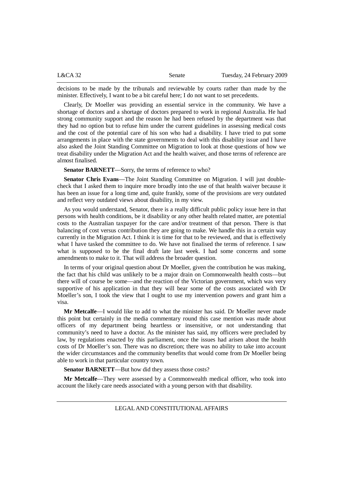| L&CA32 | Senate | Tuesday, 24 February 2009 |
|--------|--------|---------------------------|
|        |        |                           |

decisions to be made by the tribunals and reviewable by courts rather than made by the minister. Effectively, I want to be a bit careful here; I do not want to set precedents.

Clearly, Dr Moeller was providing an essential service in the community. We have a shortage of doctors and a shortage of doctors prepared to work in regional Australia. He had strong community support and the reason he had been refused by the department was that they had no option but to refuse him under the current guidelines in assessing medical costs and the cost of the potential care of his son who had a disability. I have tried to put some arrangements in place with the state governments to deal with this disability issue and I have also asked the Joint Standing Committee on Migration to look at those questions of how we treat disability under the Migration Act and the health waiver, and those terms of reference are almost finalised.

**Senator BARNETT—Sorry, the terms of reference to who?** 

**Senator Chris Evans**—The Joint Standing Committee on Migration. I will just doublecheck that I asked them to inquire more broadly into the use of that health waiver because it has been an issue for a long time and, quite frankly, some of the provisions are very outdated and reflect very outdated views about disability, in my view.

As you would understand, Senator, there is a really difficult public policy issue here in that persons with health conditions, be it disability or any other health related matter, are potential costs to the Australian taxpayer for the care and/or treatment of that person. There is that balancing of cost versus contribution they are going to make. We handle this in a certain way currently in the Migration Act. I think it is time for that to be reviewed, and that is effectively what I have tasked the committee to do. We have not finalised the terms of reference. I saw what is supposed to be the final draft late last week. I had some concerns and some amendments to make to it. That will address the broader question.

In terms of your original question about Dr Moeller, given the contribution he was making, the fact that his child was unlikely to be a major drain on Commonwealth health costs—but there will of course be some—and the reaction of the Victorian government, which was very supportive of his application in that they will bear some of the costs associated with Dr Moeller's son, I took the view that I ought to use my intervention powers and grant him a visa.

**Mr Metcalfe**—I would like to add to what the minister has said. Dr Moeller never made this point but certainly in the media commentary round this case mention was made about officers of my department being heartless or insensitive, or not understanding that community's need to have a doctor. As the minister has said, my officers were precluded by law, by regulations enacted by this parliament, once the issues had arisen about the health costs of Dr Moeller's son. There was no discretion; there was no ability to take into account the wider circumstances and the community benefits that would come from Dr Moeller being able to work in that particular country town.

**Senator BARNETT**—But how did they assess those costs?

**Mr Metcalfe**—They were assessed by a Commonwealth medical officer, who took into account the likely care needs associated with a young person with that disability.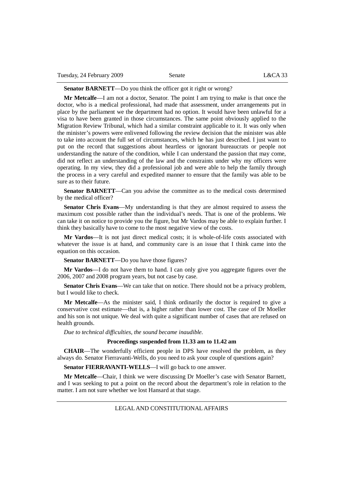**Senator BARNETT**—Do you think the officer got it right or wrong?

**Mr Metcalfe**—I am not a doctor, Senator. The point I am trying to make is that once the doctor, who is a medical professional, had made that assessment, under arrangements put in place by the parliament we the department had no option. It would have been unlawful for a visa to have been granted in those circumstances. The same point obviously applied to the Migration Review Tribunal, which had a similar constraint applicable to it. It was only when the minister's powers were enlivened following the review decision that the minister was able to take into account the full set of circumstances, which he has just described. I just want to put on the record that suggestions about heartless or ignorant bureaucrats or people not understanding the nature of the condition, while I can understand the passion that may come, did not reflect an understanding of the law and the constraints under why my officers were operating. In my view, they did a professional job and were able to help the family through the process in a very careful and expedited manner to ensure that the family was able to be sure as to their future.

**Senator BARNETT**—Can you advise the committee as to the medical costs determined by the medical officer?

**Senator Chris Evans**—My understanding is that they are almost required to assess the maximum cost possible rather than the individual's needs. That is one of the problems. We can take it on notice to provide you the figure, but Mr Vardos may be able to explain further. I think they basically have to come to the most negative view of the costs.

**Mr Vardos**—It is not just direct medical costs; it is whole-of-life costs associated with whatever the issue is at hand, and community care is an issue that I think came into the equation on this occasion.

**Senator BARNETT**—Do you have those figures?

**Mr Vardos**—I do not have them to hand. I can only give you aggregate figures over the 2006, 2007 and 2008 program years, but not case by case.

**Senator Chris Evans**—We can take that on notice. There should not be a privacy problem, but I would like to check.

**Mr Metcalfe**—As the minister said, I think ordinarily the doctor is required to give a conservative cost estimate—that is, a higher rather than lower cost. The case of Dr Moeller and his son is not unique. We deal with quite a significant number of cases that are refused on health grounds.

*Due to technical difficulties, the sound became inaudible.*

#### **Proceedings suspended from 11.33 am to 11.42 am**

**CHAIR**—The wonderfully efficient people in DPS have resolved the problem, as they always do. Senator Fierravanti-Wells, do you need to ask your couple of questions again?

**Senator FIERRAVANTI-WELLS**—I will go back to one answer.

**Mr Metcalfe**—Chair, I think we were discussing Dr Moeller's case with Senator Barnett, and I was seeking to put a point on the record about the department's role in relation to the matter. I am not sure whether we lost Hansard at that stage.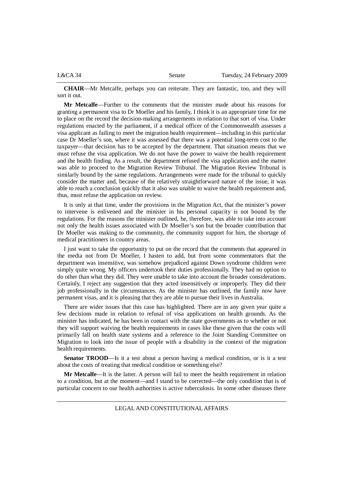| L&CA34 | Senate | Tuesday, 24 February 2009 |
|--------|--------|---------------------------|
|        |        |                           |

**CHAIR**—Mr Metcalfe, perhaps you can reiterate. They are fantastic, too, and they will sort it out.

**Mr Metcalfe**—Further to the comments that the minister made about his reasons for granting a permanent visa to Dr Moeller and his family, I think it is an appropriate time for me to place on the record the decision-making arrangements in relation to that sort of visa. Under regulations enacted by the parliament, if a medical officer of the Commonwealth assesses a visa applicant as failing to meet the migration health requirement—including in this particular case Dr Moeller's son, where it was assessed that there was a potential long-term cost to the taxpayer—that decision has to be accepted by the department. That situation means that we must refuse the visa application. We do not have the power to waive the health requirement and the health finding. As a result, the department refused the visa application and the matter was able to proceed to the Migration Review Tribunal. The Migration Review Tribunal is similarly bound by the same regulations. Arrangements were made for the tribunal to quickly consider the matter and, because of the relatively straightforward nature of the issue, it was able to reach a conclusion quickly that it also was unable to waive the health requirement and, thus, must refuse the application on review.

It is only at that time, under the provisions in the Migration Act, that the minister's power to intervene is enlivened and the minister in his personal capacity is not bound by the regulations. For the reasons the minister outlined, he, therefore, was able to take into account not only the health issues associated with Dr Moeller's son but the broader contribution that Dr Moeller was making to the community, the community support for him, the shortage of medical practitioners in country areas.

I just want to take the opportunity to put on the record that the comments that appeared in the media not from Dr Moeller, I hasten to add, but from some commentators that the department was insensitive, was somehow prejudiced against Down syndrome children were simply quite wrong. My officers undertook their duties professionally. They had no option to do other than what they did. They were unable to take into account the broader considerations. Certainly, I reject any suggestion that they acted insensitively or improperly. They did their job professionally in the circumstances. As the minister has outlined, the family now have permanent visas, and it is pleasing that they are able to pursue their lives in Australia.

There are wider issues that this case has highlighted. There are in any given year quite a few decisions made in relation to refusal of visa applications on health grounds. As the minister has indicated, he has been in contact with the state governments as to whether or not they will support waiving the health requirements in cases like these given that the costs will primarily fall on health state systems and a reference to the Joint Standing Committee on Migration to look into the issue of people with a disability in the context of the migration health requirements.

**Senator TROOD**—Is it a test about a person having a medical condition, or is it a test about the costs of treating that medical condition or something else?

**Mr Metcalfe**—It is the latter. A person will fail to meet the health requirement in relation to a condition, but at the moment—and I stand to be corrected—the only condition that is of particular concern to our health authorities is active tuberculosis. In some other diseases there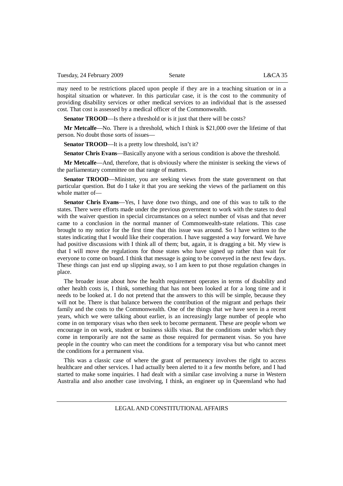may need to be restrictions placed upon people if they are in a teaching situation or in a hospital situation or whatever. In this particular case, it is the cost to the community of providing disability services or other medical services to an individual that is the assessed cost. That cost is assessed by a medical officer of the Commonwealth.

**Senator TROOD—Is** there a threshold or is it just that there will be costs?

**Mr Metcalfe**—No. There is a threshold, which I think is \$21,000 over the lifetime of that person. No doubt those sorts of issues—

**Senator TROOD—It** is a pretty low threshold, isn't it?

**Senator Chris Evans**—Basically anyone with a serious condition is above the threshold.

**Mr Metcalfe**—And, therefore, that is obviously where the minister is seeking the views of the parliamentary committee on that range of matters.

**Senator TROOD—Minister, you are seeking views from the state government on that** particular question. But do I take it that you are seeking the views of the parliament on this whole matter of—

**Senator Chris Evans**—Yes, I have done two things, and one of this was to talk to the states. There were efforts made under the previous government to work with the states to deal with the waiver question in special circumstances on a select number of visas and that never came to a conclusion in the normal manner of Commonwealth-state relations. This case brought to my notice for the first time that this issue was around. So I have written to the states indicating that I would like their cooperation. I have suggested a way forward. We have had positive discussions with I think all of them; but, again, it is dragging a bit. My view is that I will move the regulations for those states who have signed up rather than wait for everyone to come on board. I think that message is going to be conveyed in the next few days. These things can just end up slipping away, so I am keen to put those regulation changes in place.

The broader issue about how the health requirement operates in terms of disability and other health costs is, I think, something that has not been looked at for a long time and it needs to be looked at. I do not pretend that the answers to this will be simple, because they will not be. There is that balance between the contribution of the migrant and perhaps their family and the costs to the Commonwealth. One of the things that we have seen in a recent years, which we were talking about earlier, is an increasingly large number of people who come in on temporary visas who then seek to become permanent. These are people whom we encourage in on work, student or business skills visas. But the conditions under which they come in temporarily are not the same as those required for permanent visas. So you have people in the country who can meet the conditions for a temporary visa but who cannot meet the conditions for a permanent visa.

This was a classic case of where the grant of permanency involves the right to access healthcare and other services. I had actually been alerted to it a few months before, and I had started to make some inquiries. I had dealt with a similar case involving a nurse in Western Australia and also another case involving, I think, an engineer up in Queensland who had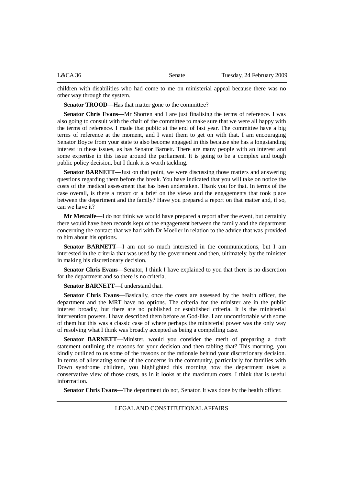|  | L&CA36 | Senate | Tuesday, 24 February 2009 |
|--|--------|--------|---------------------------|
|--|--------|--------|---------------------------|

children with disabilities who had come to me on ministerial appeal because there was no other way through the system.

**Senator TROOD—Has that matter gone to the committee?** 

**Senator Chris Evans**—Mr Shorten and I are just finalising the terms of reference. I was also going to consult with the chair of the committee to make sure that we were all happy with the terms of reference. I made that public at the end of last year. The committee have a big terms of reference at the moment, and I want them to get on with that. I am encouraging Senator Boyce from your state to also become engaged in this because she has a longstanding interest in these issues, as has Senator Barnett. There are many people with an interest and some expertise in this issue around the parliament. It is going to be a complex and tough public policy decision, but I think it is worth tackling.

**Senator BARNETT**—Just on that point, we were discussing those matters and answering questions regarding them before the break. You have indicated that you will take on notice the costs of the medical assessment that has been undertaken. Thank you for that. In terms of the case overall, is there a report or a brief on the views and the engagements that took place between the department and the family? Have you prepared a report on that matter and, if so, can we have it?

**Mr Metcalfe**—I do not think we would have prepared a report after the event, but certainly there would have been records kept of the engagement between the family and the department concerning the contact that we had with Dr Moeller in relation to the advice that was provided to him about his options.

**Senator BARNETT**—I am not so much interested in the communications, but I am interested in the criteria that was used by the government and then, ultimately, by the minister in making his discretionary decision.

**Senator Chris Evans**—Senator, I think I have explained to you that there is no discretion for the department and so there is no criteria.

**Senator BARNETT**—I understand that.

**Senator Chris Evans**—Basically, once the costs are assessed by the health officer, the department and the MRT have no options. The criteria for the minister are in the public interest broadly, but there are no published or established criteria. It is the ministerial intervention powers. I have described them before as God-like. I am uncomfortable with some of them but this was a classic case of where perhaps the ministerial power was the only way of resolving what I think was broadly accepted as being a compelling case.

**Senator BARNETT**—Minister, would you consider the merit of preparing a draft statement outlining the reasons for your decision and then tabling that? This morning, you kindly outlined to us some of the reasons or the rationale behind your discretionary decision. In terms of alleviating some of the concerns in the community, particularly for families with Down syndrome children, you highlighted this morning how the department takes a conservative view of those costs, as in it looks at the maximum costs. I think that is useful information.

**Senator Chris Evans**—The department do not, Senator. It was done by the health officer.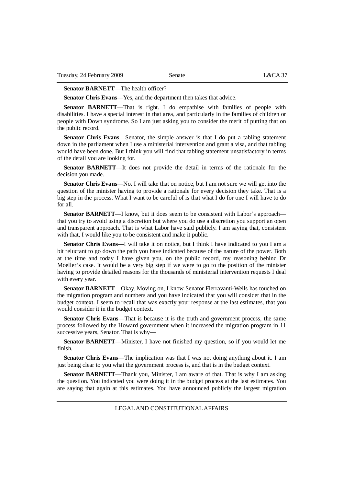#### **Senator BARNETT—The health officer?**

**Senator Chris Evans**—Yes, and the department then takes that advice.

**Senator BARNETT**—That is right. I do empathise with families of people with disabilities. I have a special interest in that area, and particularly in the families of children or people with Down syndrome. So I am just asking you to consider the merit of putting that on the public record.

**Senator Chris Evans**—Senator, the simple answer is that I do put a tabling statement down in the parliament when I use a ministerial intervention and grant a visa, and that tabling would have been done. But I think you will find that tabling statement unsatisfactory in terms of the detail you are looking for.

**Senator BARNETT**—It does not provide the detail in terms of the rationale for the decision you made.

**Senator Chris Evans—No.** I will take that on notice, but I am not sure we will get into the question of the minister having to provide a rationale for every decision they take. That is a big step in the process. What I want to be careful of is that what I do for one I will have to do for all.

**Senator BARNETT—I** know, but it does seem to be consistent with Labor's approach that you try to avoid using a discretion but where you do use a discretion you support an open and transparent approach. That is what Labor have said publicly. I am saying that, consistent with that, I would like you to be consistent and make it public.

**Senator Chris Evans**—I will take it on notice, but I think I have indicated to you I am a bit reluctant to go down the path you have indicated because of the nature of the power. Both at the time and today I have given you, on the public record, my reasoning behind Dr Moeller's case. It would be a very big step if we were to go to the position of the minister having to provide detailed reasons for the thousands of ministerial intervention requests I deal with every year.

**Senator BARNETT**—Okay. Moving on, I know Senator Fierravanti-Wells has touched on the migration program and numbers and you have indicated that you will consider that in the budget context. I seem to recall that was exactly your response at the last estimates, that you would consider it in the budget context.

**Senator Chris Evans**—That is because it is the truth and government process, the same process followed by the Howard government when it increased the migration program in 11 successive years, Senator. That is why—

**Senator BARNETT**—Minister, I have not finished my question, so if you would let me finish.

**Senator Chris Evans**—The implication was that I was not doing anything about it. I am just being clear to you what the government process is, and that is in the budget context.

**Senator BARNETT**—Thank you, Minister, I am aware of that. That is why I am asking the question. You indicated you were doing it in the budget process at the last estimates. You are saying that again at this estimates. You have announced publicly the largest migration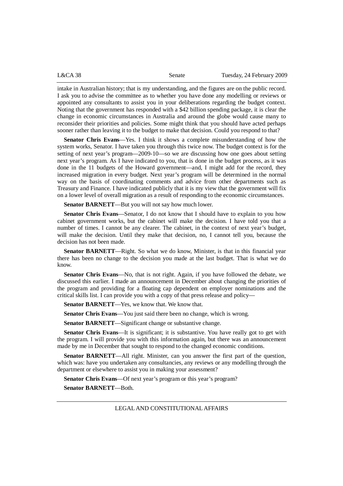intake in Australian history; that is my understanding, and the figures are on the public record. I ask you to advise the committee as to whether you have done any modelling or reviews or appointed any consultants to assist you in your deliberations regarding the budget context. Noting that the government has responded with a \$42 billion spending package, it is clear the change in economic circumstances in Australia and around the globe would cause many to reconsider their priorities and policies. Some might think that you should have acted perhaps sooner rather than leaving it to the budget to make that decision. Could you respond to that?

**Senator Chris Evans**—Yes. I think it shows a complete misunderstanding of how the system works, Senator. I have taken you through this twice now. The budget context is for the setting of next year's program—2009-10—so we are discussing how one goes about setting next year's program. As I have indicated to you, that is done in the budget process, as it was done in the 11 budgets of the Howard government—and, I might add for the record, they increased migration in every budget. Next year's program will be determined in the normal way on the basis of coordinating comments and advice from other departments such as Treasury and Finance. I have indicated publicly that it is my view that the government will fix on a lower level of overall migration as a result of responding to the economic circumstances.

**Senator BARNETT**—But you will not say how much lower.

**Senator Chris Evans**—Senator, I do not know that I should have to explain to you how cabinet government works, but the cabinet will make the decision. I have told you that a number of times. I cannot be any clearer. The cabinet, in the context of next year's budget, will make the decision. Until they make that decision, no, I cannot tell you, because the decision has not been made.

**Senator BARNETT—Right.** So what we do know, Minister, is that in this financial year there has been no change to the decision you made at the last budget. That is what we do know.

**Senator Chris Evans**—No, that is not right. Again, if you have followed the debate, we discussed this earlier. I made an announcement in December about changing the priorities of the program and providing for a floating cap dependent on employer nominations and the critical skills list. I can provide you with a copy of that press release and policy—

**Senator BARNETT**—Yes, we know that. We know that.

**Senator Chris Evans**—You just said there been no change, which is wrong.

**Senator BARNETT**—Significant change or substantive change.

**Senator Chris Evans—It** is significant; it is substantive. You have really got to get with the program. I will provide you with this information again, but there was an announcement made by me in December that sought to respond to the changed economic conditions.

**Senator BARNETT**—All right. Minister, can you answer the first part of the question, which was: have you undertaken any consultancies, any reviews or any modelling through the department or elsewhere to assist you in making your assessment?

**Senator Chris Evans**—Of next year's program or this year's program? **Senator BARNETT**—Both.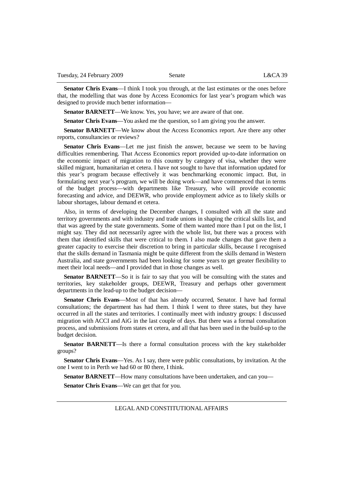**Senator Chris Evans**—I think I took you through, at the last estimates or the ones before that, the modelling that was done by Access Economics for last year's program which was designed to provide much better information—

**Senator BARNETT**—We know. Yes, you have; we are aware of that one.

**Senator Chris Evans**—You asked me the question, so I am giving you the answer.

**Senator BARNETT**—We know about the Access Economics report. Are there any other reports, consultancies or reviews?

**Senator Chris Evans**—Let me just finish the answer, because we seem to be having difficulties remembering. That Access Economics report provided up-to-date information on the economic impact of migration to this country by category of visa, whether they were skilled migrant, humanitarian et cetera. I have not sought to have that information updated for this year's program because effectively it was benchmarking economic impact. But, in formulating next year's program, we will be doing work—and have commenced that in terms of the budget process—with departments like Treasury, who will provide economic forecasting and advice, and DEEWR, who provide employment advice as to likely skills or labour shortages, labour demand et cetera.

Also, in terms of developing the December changes, I consulted with all the state and territory governments and with industry and trade unions in shaping the critical skills list, and that was agreed by the state governments. Some of them wanted more than I put on the list, I might say. They did not necessarily agree with the whole list, but there was a process with them that identified skills that were critical to them. I also made changes that gave them a greater capacity to exercise their discretion to bring in particular skills, because I recognised that the skills demand in Tasmania might be quite different from the skills demand in Western Australia, and state governments had been looking for some years to get greater flexibility to meet their local needs—and I provided that in those changes as well.

**Senator BARNETT**—So it is fair to say that you will be consulting with the states and territories, key stakeholder groups, DEEWR, Treasury and perhaps other government departments in the lead-up to the budget decision—

**Senator Chris Evans**—Most of that has already occurred, Senator. I have had formal consultations; the department has had them. I think I went to three states, but they have occurred in all the states and territories. I continually meet with industry groups: I discussed migration with ACCI and AiG in the last couple of days. But there was a formal consultation process, and submissions from states et cetera, and all that has been used in the build-up to the budget decision.

**Senator BARNETT**—Is there a formal consultation process with the key stakeholder groups?

**Senator Chris Evans**—Yes. As I say, there were public consultations, by invitation. At the one I went to in Perth we had 60 or 80 there, I think.

**Senator BARNETT**—How many consultations have been undertaken, and can you—

**Senator Chris Evans**—We can get that for you.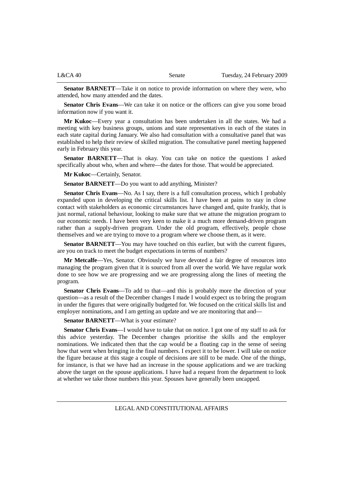| L&CA 40 | Senate | Tuesday, 24 February 2009 |
|---------|--------|---------------------------|
|         |        |                           |

**Senator BARNETT**—Take it on notice to provide information on where they were, who attended, how many attended and the dates.

**Senator Chris Evans**—We can take it on notice or the officers can give you some broad information now if you want it.

**Mr Kukoc**—Every year a consultation has been undertaken in all the states. We had a meeting with key business groups, unions and state representatives in each of the states in each state capital during January. We also had consultation with a consultative panel that was established to help their review of skilled migration. The consultative panel meeting happened early in February this year.

**Senator BARNETT**—That is okay. You can take on notice the questions I asked specifically about who, when and where—the dates for those. That would be appreciated.

**Mr Kukoc**—Certainly, Senator.

**Senator BARNETT**—Do you want to add anything, Minister?

**Senator Chris Evans**—No. As I say, there is a full consultation process, which I probably expanded upon in developing the critical skills list. I have been at pains to stay in close contact with stakeholders as economic circumstances have changed and, quite frankly, that is just normal, rational behaviour, looking to make sure that we attune the migration program to our economic needs. I have been very keen to make it a much more demand-driven program rather than a supply-driven program. Under the old program, effectively, people chose themselves and we are trying to move to a program where we choose them, as it were.

**Senator BARNETT—You** may have touched on this earlier, but with the current figures, are you on track to meet the budget expectations in terms of numbers?

**Mr Metcalfe**—Yes, Senator. Obviously we have devoted a fair degree of resources into managing the program given that it is sourced from all over the world. We have regular work done to see how we are progressing and we are progressing along the lines of meeting the program.

**Senator Chris Evans**—To add to that—and this is probably more the direction of your question—as a result of the December changes I made I would expect us to bring the program in under the figures that were originally budgeted for. We focused on the critical skills list and employer nominations, and I am getting an update and we are monitoring that and—

**Senator BARNETT**—What is your estimate?

**Senator Chris Evans**—I would have to take that on notice. I got one of my staff to ask for this advice yesterday. The December changes prioritise the skills and the employer nominations. We indicated then that the cap would be a floating cap in the sense of seeing how that went when bringing in the final numbers. I expect it to be lower. I will take on notice the figure because at this stage a couple of decisions are still to be made. One of the things, for instance, is that we have had an increase in the spouse applications and we are tracking above the target on the spouse applications. I have had a request from the department to look at whether we take those numbers this year. Spouses have generally been uncapped.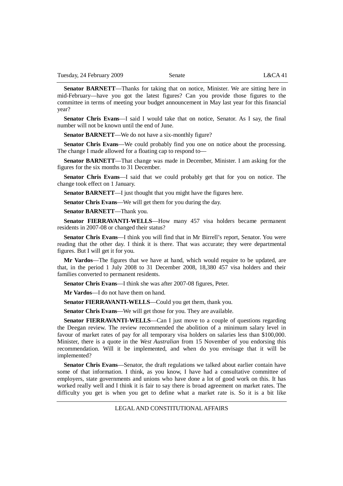**Senator BARNETT**—Thanks for taking that on notice, Minister. We are sitting here in mid-February—have you got the latest figures? Can you provide those figures to the committee in terms of meeting your budget announcement in May last year for this financial year?

**Senator Chris Evans**—I said I would take that on notice, Senator. As I say, the final number will not be known until the end of June.

**Senator BARNETT—We do not have a six-monthly figure?** 

**Senator Chris Evans**—We could probably find you one on notice about the processing. The change I made allowed for a floating cap to respond to—

**Senator BARNETT**—That change was made in December, Minister. I am asking for the figures for the six months to 31 December.

**Senator Chris Evans**—I said that we could probably get that for you on notice. The change took effect on 1 January.

**Senator BARNETT—I** just thought that you might have the figures here.

**Senator Chris Evans**—We will get them for you during the day.

**Senator BARNETT**—Thank you.

**Senator FIERRAVANTI-WELLS**—How many 457 visa holders became permanent residents in 2007-08 or changed their status?

**Senator Chris Evans**—I think you will find that in Mr Birrell's report, Senator. You were reading that the other day. I think it is there. That was accurate; they were departmental figures. But I will get it for you.

**Mr Vardos**—The figures that we have at hand, which would require to be updated, are that, in the period 1 July 2008 to 31 December 2008, 18,380 457 visa holders and their families converted to permanent residents.

**Senator Chris Evans**—I think she was after 2007-08 figures, Peter.

**Mr Vardos**—I do not have them on hand.

**Senator FIERRAVANTI-WELLS**—Could you get them, thank you.

**Senator Chris Evans**—We will get those for you. They are available.

**Senator FIERRAVANTI-WELLS—Can I just move to a couple of questions regarding** the Deegan review. The review recommended the abolition of a minimum salary level in favour of market rates of pay for all temporary visa holders on salaries less than \$100,000. Minister, there is a quote in the *West Australian* from 15 November of you endorsing this recommendation. Will it be implemented, and when do you envisage that it will be implemented?

**Senator Chris Evans**—Senator, the draft regulations we talked about earlier contain have some of that information. I think, as you know, I have had a consultative committee of employers, state governments and unions who have done a lot of good work on this. It has worked really well and I think it is fair to say there is broad agreement on market rates. The difficulty you get is when you get to define what a market rate is. So it is a bit like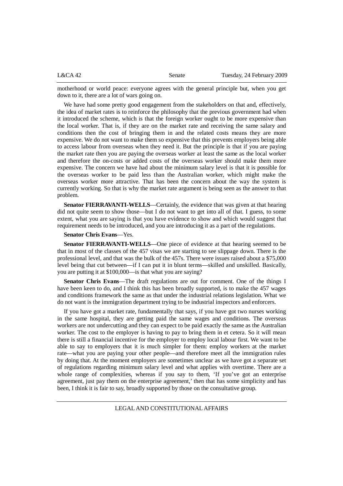| L&CA42 | Senate | Tuesday, 24 February 2009 |
|--------|--------|---------------------------|
|        |        |                           |

motherhood or world peace: everyone agrees with the general principle but, when you get down to it, there are a lot of wars going on.

We have had some pretty good engagement from the stakeholders on that and, effectively, the idea of market rates is to reinforce the philosophy that the previous government had when it introduced the scheme, which is that the foreign worker ought to be more expensive than the local worker. That is, if they are on the market rate and receiving the same salary and conditions then the cost of bringing them in and the related costs means they are more expensive. We do not want to make them so expensive that this prevents employers being able to access labour from overseas when they need it. But the principle is that if you are paying the market rate then you are paying the overseas worker at least the same as the local worker and therefore the on-costs or added costs of the overseas worker should make them more expensive. The concern we have had about the minimum salary level is that it is possible for the overseas worker to be paid less than the Australian worker, which might make the overseas worker more attractive. That has been the concern about the way the system is currently working. So that is why the market rate argument is being seen as the answer to that problem.

**Senator FIERRAVANTI-WELLS**—Certainly, the evidence that was given at that hearing did not quite seem to show those—but I do not want to get into all of that. I guess, to some extent, what you are saying is that you have evidence to show and which would suggest that requirement needs to be introduced, and you are introducing it as a part of the regulations.

### **Senator Chris Evans**—Yes.

**Senator FIERRAVANTI-WELLS**—One piece of evidence at that hearing seemed to be that in most of the classes of the 457 visas we are starting to see slippage down. There is the professional level, and that was the bulk of the 457s. There were issues raised about a \$75,000 level being that cut between—if I can put it in blunt terms—skilled and unskilled. Basically, you are putting it at \$100,000—is that what you are saying?

**Senator Chris Evans**—The draft regulations are out for comment. One of the things I have been keen to do, and I think this has been broadly supported, is to make the 457 wages and conditions framework the same as that under the industrial relations legislation. What we do not want is the immigration department trying to be industrial inspectors and enforcers.

If you have got a market rate, fundamentally that says, if you have got two nurses working in the same hospital, they are getting paid the same wages and conditions. The overseas workers are not undercutting and they can expect to be paid exactly the same as the Australian worker. The cost to the employer is having to pay to bring them in et cetera. So it will mean there is still a financial incentive for the employer to employ local labour first. We want to be able to say to employers that it is much simpler for them: employ workers at the market rate—what you are paying your other people—and therefore meet all the immigration rules by doing that. At the moment employers are sometimes unclear as we have got a separate set of regulations regarding minimum salary level and what applies with overtime. There are a whole range of complexities, whereas if you say to them, 'If you've got an enterprise agreement, just pay them on the enterprise agreement,' then that has some simplicity and has been, I think it is fair to say, broadly supported by those on the consultative group.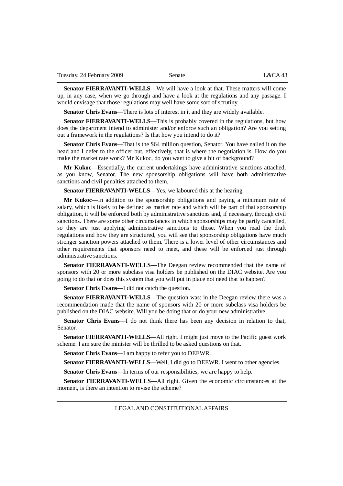**Senator FIERRAVANTI-WELLS**—We will have a look at that. These matters will come up, in any case, when we go through and have a look at the regulations and any passage. I would envisage that those regulations may well have some sort of scrutiny.

**Senator Chris Evans**—There is lots of interest in it and they are widely available.

**Senator FIERRAVANTI-WELLS**—This is probably covered in the regulations, but how does the department intend to administer and/or enforce such an obligation? Are you setting out a framework in the regulations? Is that how you intend to do it?

**Senator Chris Evans**—That is the \$64 million question, Senator. You have nailed it on the head and I defer to the officer but, effectively, that is where the negotiation is. How do you make the market rate work? Mr Kukoc, do you want to give a bit of background?

**Mr Kukoc**—Essentially, the current undertakings have administrative sanctions attached, as you know, Senator. The new sponsorship obligations will have both administrative sanctions and civil penalties attached to them.

**Senator FIERRAVANTI-WELLS**—Yes, we laboured this at the hearing.

**Mr Kukoc**—In addition to the sponsorship obligations and paying a minimum rate of salary, which is likely to be defined as market rate and which will be part of that sponsorship obligation, it will be enforced both by administrative sanctions and, if necessary, through civil sanctions. There are some other circumstances in which sponsorships may be partly cancelled, so they are just applying administrative sanctions to those. When you read the draft regulations and how they are structured, you will see that sponsorship obligations have much stronger sanction powers attached to them. There is a lower level of other circumstances and other requirements that sponsors need to meet, and these will be enforced just through administrative sanctions.

**Senator FIERRAVANTI-WELLS**—The Deegan review recommended that the name of sponsors with 20 or more subclass visa holders be published on the DIAC website. Are you going to do that or does this system that you will put in place not need that to happen?

**Senator Chris Evans**—I did not catch the question.

**Senator FIERRAVANTI-WELLS**—The question was: in the Deegan review there was a recommendation made that the name of sponsors with 20 or more subclass visa holders be published on the DIAC website. Will you be doing that or do your new administrative—

**Senator Chris Evans**—I do not think there has been any decision in relation to that, Senator.

**Senator FIERRAVANTI-WELLS—All right.** I might just move to the Pacific guest work scheme. I am sure the minister will be thrilled to be asked questions on that.

**Senator Chris Evans**—I am happy to refer you to DEEWR.

**Senator FIERRAVANTI-WELLS**—Well, I did go to DEEWR. I went to other agencies.

**Senator Chris Evans**—In terms of our responsibilities, we are happy to help.

**Senator FIERRAVANTI-WELLS**—All right. Given the economic circumstances at the moment, is there an intention to revise the scheme?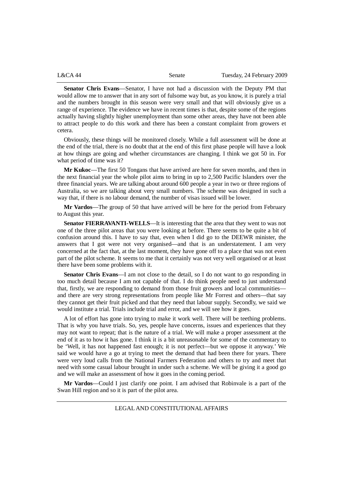| L&CA44 | Senate | Tuesday, 24 February 2009 |
|--------|--------|---------------------------|
|        |        |                           |

**Senator Chris Evans**—Senator, I have not had a discussion with the Deputy PM that would allow me to answer that in any sort of fulsome way but, as you know, it is purely a trial and the numbers brought in this season were very small and that will obviously give us a range of experience. The evidence we have in recent times is that, despite some of the regions actually having slightly higher unemployment than some other areas, they have not been able to attract people to do this work and there has been a constant complaint from growers et cetera.

Obviously, these things will be monitored closely. While a full assessment will be done at the end of the trial, there is no doubt that at the end of this first phase people will have a look at how things are going and whether circumstances are changing. I think we got 50 in. For what period of time was it?

**Mr Kukoc**—The first 50 Tongans that have arrived are here for seven months, and then in the next financial year the whole pilot aims to bring in up to 2,500 Pacific Islanders over the three financial years. We are talking about around 600 people a year in two or three regions of Australia, so we are talking about very small numbers. The scheme was designed in such a way that, if there is no labour demand, the number of visas issued will be lower.

**Mr Vardos**—The group of 50 that have arrived will be here for the period from February to August this year.

**Senator FIERRAVANTI-WELLS**—It is interesting that the area that they went to was not one of the three pilot areas that you were looking at before. There seems to be quite a bit of confusion around this. I have to say that, even when I did go to the DEEWR minister, the answers that I got were not very organised—and that is an understatement. I am very concerned at the fact that, at the last moment, they have gone off to a place that was not even part of the pilot scheme. It seems to me that it certainly was not very well organised or at least there have been some problems with it.

**Senator Chris Evans**—I am not close to the detail, so I do not want to go responding in too much detail because I am not capable of that. I do think people need to just understand that, firstly, we are responding to demand from those fruit growers and local communities and there are very strong representations from people like Mr Forrest and others—that say they cannot get their fruit picked and that they need that labour supply. Secondly, we said we would institute a trial. Trials include trial and error, and we will see how it goes.

A lot of effort has gone into trying to make it work well. There will be teething problems. That is why you have trials. So, yes, people have concerns, issues and experiences that they may not want to repeat; that is the nature of a trial. We will make a proper assessment at the end of it as to how it has gone. I think it is a bit unreasonable for some of the commentary to be 'Well, it has not happened fast enough; it is not perfect—but we oppose it anyway.' We said we would have a go at trying to meet the demand that had been there for years. There were very loud calls from the National Farmers Federation and others to try and meet that need with some casual labour brought in under such a scheme. We will be giving it a good go and we will make an assessment of how it goes in the coming period.

**Mr Vardos**—Could I just clarify one point. I am advised that Robinvale is a part of the Swan Hill region and so it is part of the pilot area.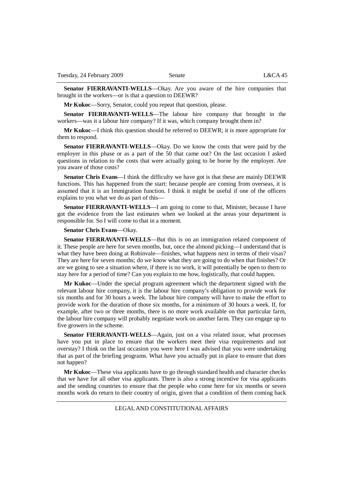**Senator FIERRAVANTI-WELLS**—Okay. Are you aware of the hire companies that brought in the workers—or is that a question to DEEWR?

**Mr Kukoc**—Sorry, Senator, could you repeat that question, please.

**Senator FIERRAVANTI-WELLS**—The labour hire company that brought in the workers—was it a labour hire company? If it was, which company brought them in?

**Mr Kukoc**—I think this question should be referred to DEEWR; it is more appropriate for them to respond.

**Senator FIERRAVANTI-WELLS**—Okay. Do we know the costs that were paid by the employer in this phase or as a part of the 50 that came out? On the last occasion I asked questions in relation to the costs that were actually going to be borne by the employer. Are you aware of those costs?

**Senator Chris Evans**—I think the difficulty we have got is that these are mainly DEEWR functions. This has happened from the start: because people are coming from overseas, it is assumed that it is an Immigration function. I think it might be useful if one of the officers explains to you what we do as part of this—

**Senator FIERRAVANTI-WELLS**—I am going to come to that, Minister, because I have got the evidence from the last estimates when we looked at the areas your department is responsible for. So I will come to that in a moment.

# **Senator Chris Evans**—Okay.

**Senator FIERRAVANTI-WELLS**—But this is on an immigration related component of it. These people are here for seven months, but, once the almond picking—I understand that is what they have been doing at Robinvale—finishes, what happens next in terms of their visas? They are here for seven months; do we know what they are going to do when that finishes? Or are we going to see a situation where, if there is no work, it will potentially be open to them to stay here for a period of time? Can you explain to me how, logistically, that could happen.

**Mr Kukoc**—Under the special program agreement which the department signed with the relevant labour hire company, it is the labour hire company's obligation to provide work for six months and for 30 hours a week. The labour hire company will have to make the effort to provide work for the duration of those six months, for a minimum of 30 hours a week. If, for example, after two or three months, there is no more work available on that particular farm, the labour hire company will probably negotiate work on another farm. They can engage up to five growers in the scheme.

**Senator FIERRAVANTI-WELLS**—Again, just on a visa related issue, what processes have you put in place to ensure that the workers meet their visa requirements and not overstay? I think on the last occasion you were here I was advised that you were undertaking that as part of the briefing programs. What have you actually put in place to ensure that does not happen?

**Mr Kukoc**—These visa applicants have to go through standard health and character checks that we have for all other visa applicants. There is also a strong incentive for visa applicants and the sending countries to ensure that the people who come here for six months or seven months work do return to their country of origin, given that a condition of them coming back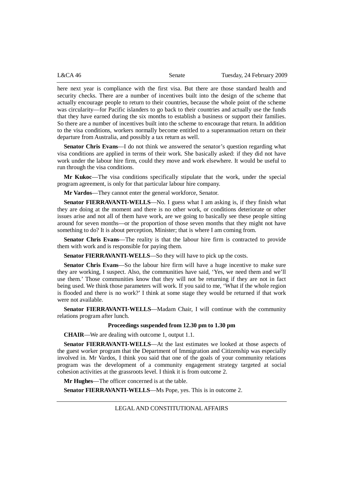here next year is compliance with the first visa. But there are those standard health and security checks. There are a number of incentives built into the design of the scheme that actually encourage people to return to their countries, because the whole point of the scheme was circularity—for Pacific islanders to go back to their countries and actually use the funds that they have earned during the six months to establish a business or support their families. So there are a number of incentives built into the scheme to encourage that return. In addition to the visa conditions, workers normally become entitled to a superannuation return on their departure from Australia, and possibly a tax return as well.

**Senator Chris Evans**—I do not think we answered the senator's question regarding what visa conditions are applied in terms of their work. She basically asked: if they did not have work under the labour hire firm, could they move and work elsewhere. It would be useful to run through the visa conditions.

**Mr Kukoc**—The visa conditions specifically stipulate that the work, under the special program agreement, is only for that particular labour hire company.

**Mr Vardos**—They cannot enter the general workforce, Senator.

**Senator FIERRAVANTI-WELLS**—No. I guess what I am asking is, if they finish what they are doing at the moment and there is no other work, or conditions deteriorate or other issues arise and not all of them have work, are we going to basically see these people sitting around for seven months—or the proportion of those seven months that they might not have something to do? It is about perception, Minister; that is where I am coming from.

**Senator Chris Evans**—The reality is that the labour hire firm is contracted to provide them with work and is responsible for paying them.

**Senator FIERRAVANTI-WELLS**—So they will have to pick up the costs.

**Senator Chris Evans**—So the labour hire firm will have a huge incentive to make sure they are working, I suspect. Also, the communities have said, 'Yes, we need them and we'll use them.' Those communities know that they will not be returning if they are not in fact being used. We think those parameters will work. If you said to me, 'What if the whole region is flooded and there is no work?' I think at some stage they would be returned if that work were not available.

**Senator FIERRAVANTI-WELLS**—Madam Chair, I will continue with the community relations program after lunch.

# **Proceedings suspended from 12.30 pm to 1.30 pm**

**CHAIR**—We are dealing with outcome 1, output 1.1.

**Senator FIERRAVANTI-WELLS**—At the last estimates we looked at those aspects of the guest worker program that the Department of Immigration and Citizenship was especially involved in. Mr Vardos, I think you said that one of the goals of your community relations program was the development of a community engagement strategy targeted at social cohesion activities at the grassroots level. I think it is from outcome 2.

**Mr Hughes**—The officer concerned is at the table.

**Senator FIERRAVANTI-WELLS**—Ms Pope, yes. This is in outcome 2.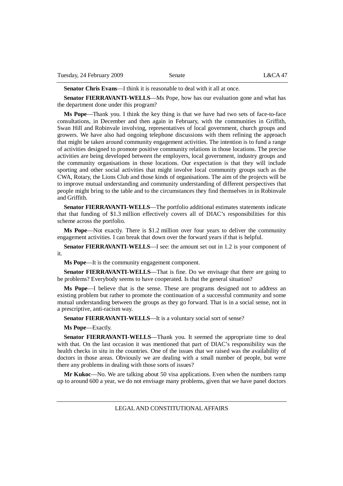**Senator Chris Evans**—I think it is reasonable to deal with it all at once.

**Senator FIERRAVANTI-WELLS**—Ms Pope, how has our evaluation gone and what has the department done under this program?

**Ms Pope**—Thank you. I think the key thing is that we have had two sets of face-to-face consultations, in December and then again in February, with the communities in Griffith, Swan Hill and Robinvale involving, representatives of local government, church groups and growers. We have also had ongoing telephone discussions with them refining the approach that might be taken around community engagement activities. The intention is to fund a range of activities designed to promote positive community relations in those locations. The precise activities are being developed between the employers, local government, industry groups and the community organisations in those locations. Our expectation is that they will include sporting and other social activities that might involve local community groups such as the CWA, Rotary, the Lions Club and those kinds of organisations. The aim of the projects will be to improve mutual understanding and community understanding of different perspectives that people might bring to the table and to the circumstances they find themselves in in Robinvale and Griffith.

**Senator FIERRAVANTI-WELLS**—The portfolio additional estimates statements indicate that that funding of \$1.3 million effectively covers all of DIAC's responsibilities for this scheme across the portfolio.

**Ms Pope**—Not exactly. There is \$1.2 million over four years to deliver the community engagement activities. I can break that down over the forward years if that is helpful.

**Senator FIERRAVANTI-WELLS**—I see: the amount set out in 1.2 is your component of it.

**Ms Pope**—It is the community engagement component.

**Senator FIERRAVANTI-WELLS**—That is fine. Do we envisage that there are going to be problems? Everybody seems to have cooperated. Is that the general situation?

**Ms Pope**—I believe that is the sense. These are programs designed not to address an existing problem but rather to promote the continuation of a successful community and some mutual understanding between the groups as they go forward. That is in a social sense, not in a prescriptive, anti-racism way.

**Senator FIERRAVANTI-WELLS**—It is a voluntary social sort of sense?

**Ms Pope**—Exactly.

**Senator FIERRAVANTI-WELLS**—Thank you. It seemed the appropriate time to deal with that. On the last occasion it was mentioned that part of DIAC's responsibility was the health checks in situ in the countries. One of the issues that we raised was the availability of doctors in those areas. Obviously we are dealing with a small number of people, but were there any problems in dealing with those sorts of issues?

**Mr Kukoc**—No. We are talking about 50 visa applications. Even when the numbers ramp up to around 600 a year, we do not envisage many problems, given that we have panel doctors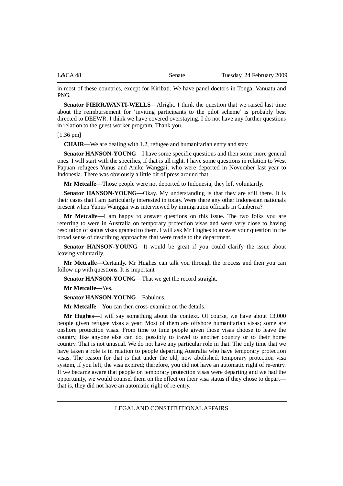in most of these countries, except for Kiribati. We have panel doctors in Tonga, Vanuatu and PNG.

**Senator FIERRAVANTI-WELLS**—Alright. I think the question that we raised last time about the reimbursement for 'inviting participants to the pilot scheme' is probably best directed to DEEWR. I think we have covered overstaying. I do not have any further questions in relation to the guest worker program. Thank you.

### [1.36 pm]

**CHAIR**—We are dealing with 1.2, refugee and humanitarian entry and stay.

**Senator HANSON-YOUNG**—I have some specific questions and then some more general ones. I will start with the specifics, if that is all right. I have some questions in relation to West Papuan refugees Yunus and Anike Wanggai, who were deported in November last year to Indonesia. There was obviously a little bit of press around that.

**Mr Metcalfe**—Those people were not deported to Indonesia; they left voluntarily.

**Senator HANSON-YOUNG**—Okay. My understanding is that they are still there. It is their cases that I am particularly interested in today. Were there any other Indonesian nationals present when Yunus Wanggai was interviewed by immigration officials in Canberra?

**Mr Metcalfe**—I am happy to answer questions on this issue. The two folks you are referring to were in Australia on temporary protection visas and were very close to having resolution of status visas granted to them. I will ask Mr Hughes to answer your question in the broad sense of describing approaches that were made to the department.

**Senator HANSON-YOUNG—It** would be great if you could clarify the issue about leaving voluntarily.

**Mr Metcalfe**—Certainly. Mr Hughes can talk you through the process and then you can follow up with questions. It is important—

**Senator HANSON-YOUNG**—That we get the record straight.

**Mr Metcalfe**—Yes.

**Senator HANSON-YOUNG**—Fabulous.

**Mr Metcalfe**—You can then cross-examine on the details.

**Mr Hughes**—I will say something about the context. Of course, we have about 13,000 people given refugee visas a year. Most of them are offshore humanitarian visas; some are onshore protection visas. From time to time people given those visas choose to leave the country, like anyone else can do, possibly to travel to another country or to their home country. That is not unusual. We do not have any particular role in that. The only time that we have taken a role is in relation to people departing Australia who have temporary protection visas. The reason for that is that under the old, now abolished, temporary protection visa system, if you left, the visa expired; therefore, you did not have an automatic right of re-entry. If we became aware that people on temporary protection visas were departing and we had the opportunity, we would counsel them on the effect on their visa status if they chose to depart that is, they did not have an automatic right of re-entry.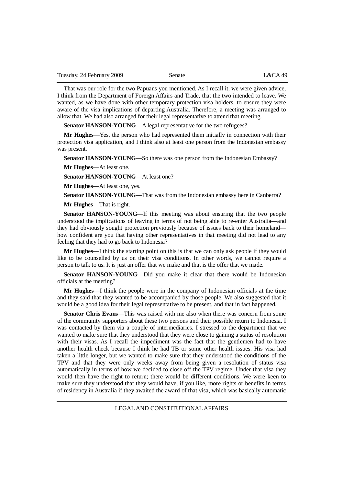That was our role for the two Papuans you mentioned. As I recall it, we were given advice, I think from the Department of Foreign Affairs and Trade, that the two intended to leave. We wanted, as we have done with other temporary protection visa holders, to ensure they were aware of the visa implications of departing Australia. Therefore, a meeting was arranged to allow that. We had also arranged for their legal representative to attend that meeting.

**Senator HANSON-YOUNG—A legal representative for the two refugees?** 

**Mr Hughes**—Yes, the person who had represented them initially in connection with their protection visa application, and I think also at least one person from the Indonesian embassy was present.

**Senator HANSON-YOUNG—So there was one person from the Indonesian Embassy?** 

**Mr Hughes**—At least one.

**Senator HANSON-YOUNG**—At least one?

**Mr Hughes**—At least one, yes.

**Senator HANSON-YOUNG**—That was from the Indonesian embassy here in Canberra?

**Mr Hughes**—That is right.

**Senator HANSON-YOUNG**—If this meeting was about ensuring that the two people understood the implications of leaving in terms of not being able to re-enter Australia—and they had obviously sought protection previously because of issues back to their homeland how confident are you that having other representatives in that meeting did not lead to any feeling that they had to go back to Indonesia?

**Mr Hughes**—I think the starting point on this is that we can only ask people if they would like to be counselled by us on their visa conditions. In other words, we cannot require a person to talk to us. It is just an offer that we make and that is the offer that we made.

**Senator HANSON-YOUNG**—Did you make it clear that there would be Indonesian officials at the meeting?

**Mr Hughes**—I think the people were in the company of Indonesian officials at the time and they said that they wanted to be accompanied by those people. We also suggested that it would be a good idea for their legal representative to be present, and that in fact happened.

**Senator Chris Evans**—This was raised with me also when there was concern from some of the community supporters about these two persons and their possible return to Indonesia. I was contacted by them via a couple of intermediaries. I stressed to the department that we wanted to make sure that they understood that they were close to gaining a status of resolution with their visas. As I recall the impediment was the fact that the gentlemen had to have another health check because I think he had TB or some other health issues. His visa had taken a little longer, but we wanted to make sure that they understood the conditions of the TPV and that they were only weeks away from being given a resolution of status visa automatically in terms of how we decided to close off the TPV regime. Under that visa they would then have the right to return; there would be different conditions. We were keen to make sure they understood that they would have, if you like, more rights or benefits in terms of residency in Australia if they awaited the award of that visa, which was basically automatic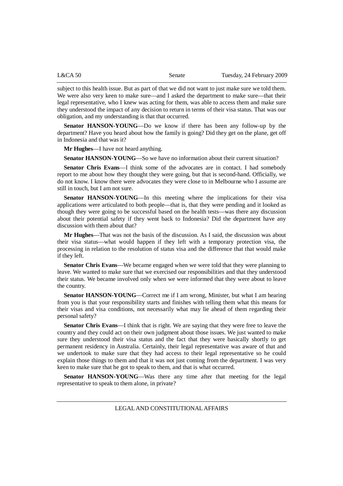| L&CA~50 | Senate | Tuesday, 24 February 2009 |
|---------|--------|---------------------------|
|         |        |                           |

subject to this health issue. But as part of that we did not want to just make sure we told them. We were also very keen to make sure—and I asked the department to make sure—that their legal representative, who I knew was acting for them, was able to access them and make sure they understood the impact of any decision to return in terms of their visa status. That was our obligation, and my understanding is that that occurred.

**Senator HANSON-YOUNG**—Do we know if there has been any follow-up by the department? Have you heard about how the family is going? Did they get on the plane, get off in Indonesia and that was it?

**Mr Hughes**—I have not heard anything.

**Senator HANSON-YOUNG**—So we have no information about their current situation?

**Senator Chris Evans**—I think some of the advocates are in contact. I had somebody report to me about how they thought they were going, but that is second-hand. Officially, we do not know. I know there were advocates they were close to in Melbourne who I assume are still in touch, but I am not sure.

**Senator HANSON-YOUNG**—In this meeting where the implications for their visa applications were articulated to both people—that is, that they were pending and it looked as though they were going to be successful based on the health tests—was there any discussion about their potential safety if they went back to Indonesia? Did the department have any discussion with them about that?

**Mr Hughes**—That was not the basis of the discussion. As I said, the discussion was about their visa status—what would happen if they left with a temporary protection visa, the processing in relation to the resolution of status visa and the difference that that would make if they left.

**Senator Chris Evans**—We became engaged when we were told that they were planning to leave. We wanted to make sure that we exercised our responsibilities and that they understood their status. We became involved only when we were informed that they were about to leave the country.

**Senator HANSON-YOUNG**—Correct me if I am wrong, Minister, but what I am hearing from you is that your responsibility starts and finishes with telling them what this means for their visas and visa conditions, not necessarily what may lie ahead of them regarding their personal safety?

**Senator Chris Evans**—I think that is right. We are saying that they were free to leave the country and they could act on their own judgment about those issues. We just wanted to make sure they understood their visa status and the fact that they were basically shortly to get permanent residency in Australia. Certainly, their legal representative was aware of that and we undertook to make sure that they had access to their legal representative so he could explain those things to them and that it was not just coming from the department. I was very keen to make sure that he got to speak to them, and that is what occurred.

**Senator HANSON-YOUNG—Was there any time after that meeting for the legal** representative to speak to them alone, in private?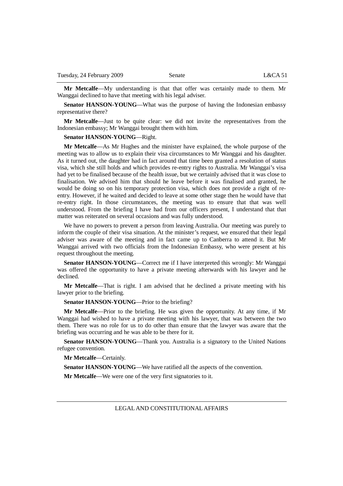**Mr Metcalfe**—My understanding is that that offer was certainly made to them. Mr Wanggai declined to have that meeting with his legal adviser.

**Senator HANSON-YOUNG—What was the purpose of having the Indonesian embassy** representative there?

**Mr Metcalfe**—Just to be quite clear: we did not invite the representatives from the Indonesian embassy; Mr Wanggai brought them with him.

### **Senator HANSON-YOUNG**—Right.

**Mr Metcalfe**—As Mr Hughes and the minister have explained, the whole purpose of the meeting was to allow us to explain their visa circumstances to Mr Wanggai and his daughter. As it turned out, the daughter had in fact around that time been granted a resolution of status visa, which she still holds and which provides re-entry rights to Australia. Mr Wanggai's visa had yet to be finalised because of the health issue, but we certainly advised that it was close to finalisation. We advised him that should he leave before it was finalised and granted, he would be doing so on his temporary protection visa, which does not provide a right of reentry. However, if he waited and decided to leave at some other stage then he would have that re-entry right. In those circumstances, the meeting was to ensure that that was well understood. From the briefing I have had from our officers present, I understand that that matter was reiterated on several occasions and was fully understood.

We have no powers to prevent a person from leaving Australia. Our meeting was purely to inform the couple of their visa situation. At the minister's request, we ensured that their legal adviser was aware of the meeting and in fact came up to Canberra to attend it. But Mr Wanggai arrived with two officials from the Indonesian Embassy, who were present at his request throughout the meeting.

**Senator HANSON-YOUNG**—Correct me if I have interpreted this wrongly: Mr Wanggai was offered the opportunity to have a private meeting afterwards with his lawyer and he declined.

**Mr Metcalfe**—That is right. I am advised that he declined a private meeting with his lawyer prior to the briefing.

**Senator HANSON-YOUNG**—Prior to the briefing?

**Mr Metcalfe**—Prior to the briefing. He was given the opportunity. At any time, if Mr Wanggai had wished to have a private meeting with his lawyer, that was between the two them. There was no role for us to do other than ensure that the lawyer was aware that the briefing was occurring and he was able to be there for it.

**Senator HANSON-YOUNG**—Thank you. Australia is a signatory to the United Nations refugee convention.

**Mr Metcalfe**—Certainly.

**Senator HANSON-YOUNG**—We have ratified all the aspects of the convention.

**Mr Metcalfe**—We were one of the very first signatories to it.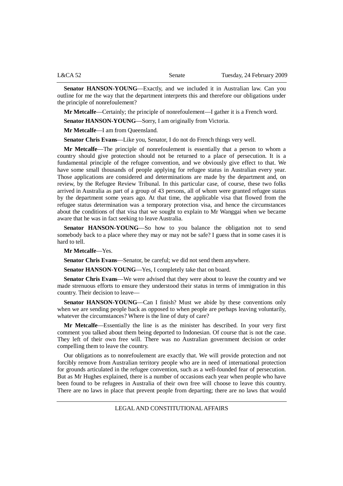| L&CA~52 | Senate | Tuesday, 24 February 2009 |
|---------|--------|---------------------------|
|         |        |                           |

**Senator HANSON-YOUNG**—Exactly, and we included it in Australian law. Can you outline for me the way that the department interprets this and therefore our obligations under the principle of nonrefoulement?

**Mr Metcalfe**—Certainly; the principle of nonrefoulement—I gather it is a French word.

**Senator HANSON-YOUNG**—Sorry, I am originally from Victoria.

**Mr Metcalfe**—I am from Queensland.

**Senator Chris Evans**—Like you, Senator, I do not do French things very well.

**Mr Metcalfe**—The principle of nonrefoulement is essentially that a person to whom a country should give protection should not be returned to a place of persecution. It is a fundamental principle of the refugee convention, and we obviously give effect to that. We have some small thousands of people applying for refugee status in Australian every year. Those applications are considered and determinations are made by the department and, on review, by the Refugee Review Tribunal. In this particular case, of course, these two folks arrived in Australia as part of a group of 43 persons, all of whom were granted refugee status by the department some years ago. At that time, the applicable visa that flowed from the refugee status determination was a temporary protection visa, and hence the circumstances about the conditions of that visa that we sought to explain to Mr Wanggai when we became aware that he was in fact seeking to leave Australia.

**Senator HANSON-YOUNG**—So how to you balance the obligation not to send somebody back to a place where they may or may not be safe? I guess that in some cases it is hard to tell.

## **Mr Metcalfe**—Yes.

**Senator Chris Evans**—Senator, be careful; we did not send them anywhere.

**Senator HANSON-YOUNG**—Yes, I completely take that on board.

**Senator Chris Evans**—We were advised that they were about to leave the country and we made strenuous efforts to ensure they understood their status in terms of immigration in this country. Their decision to leave—

**Senator HANSON-YOUNG**—Can I finish? Must we abide by these conventions only when we are sending people back as opposed to when people are perhaps leaving voluntarily, whatever the circumstances? Where is the line of duty of care?

**Mr Metcalfe**—Essentially the line is as the minister has described. In your very first comment you talked about them being deported to Indonesian. Of course that is not the case. They left of their own free will. There was no Australian government decision or order compelling them to leave the country.

Our obligations as to nonrefoulement are exactly that. We will provide protection and not forcibly remove from Australian territory people who are in need of international protection for grounds articulated in the refugee convention, such as a well-founded fear of persecution. But as Mr Hughes explained, there is a number of occasions each year when people who have been found to be refugees in Australia of their own free will choose to leave this country. There are no laws in place that prevent people from departing; there are no laws that would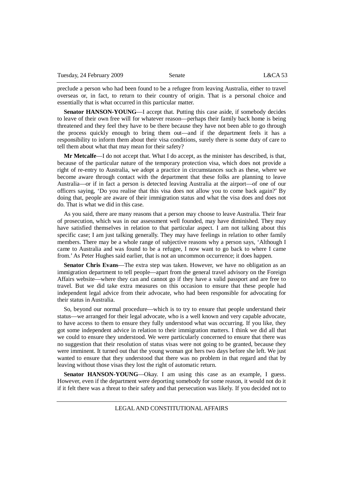preclude a person who had been found to be a refugee from leaving Australia, either to travel overseas or, in fact, to return to their country of origin. That is a personal choice and essentially that is what occurred in this particular matter.

**Senator HANSON-YOUNG—I** accept that. Putting this case aside, if somebody decides to leave of their own free will for whatever reason—perhaps their family back home is being threatened and they feel they have to be there because they have not been able to go through the process quickly enough to bring them out—and if the department feels it has a responsibility to inform them about their visa conditions, surely there is some duty of care to tell them about what that may mean for their safety?

**Mr Metcalfe**—I do not accept that. What I do accept, as the minister has described, is that, because of the particular nature of the temporary protection visa, which does not provide a right of re-entry to Australia, we adopt a practice in circumstances such as these, where we become aware through contact with the department that these folks are planning to leave Australia—or if in fact a person is detected leaving Australia at the airport—of one of our officers saying, 'Do you realise that this visa does not allow you to come back again?' By doing that, people are aware of their immigration status and what the visa does and does not do. That is what we did in this case.

As you said, there are many reasons that a person may choose to leave Australia. Their fear of prosecution, which was in our assessment well founded, may have diminished. They may have satisfied themselves in relation to that particular aspect. I am not talking about this specific case; I am just talking generally. They may have feelings in relation to other family members. There may be a whole range of subjective reasons why a person says, 'Although I came to Australia and was found to be a refugee, I now want to go back to where I came from.' As Peter Hughes said earlier, that is not an uncommon occurrence; it does happen.

**Senator Chris Evans**—The extra step was taken. However, we have no obligation as an immigration department to tell people—apart from the general travel advisory on the Foreign Affairs website—where they can and cannot go if they have a valid passport and are free to travel. But we did take extra measures on this occasion to ensure that these people had independent legal advice from their advocate, who had been responsible for advocating for their status in Australia.

So, beyond our normal procedure—which is to try to ensure that people understand their status—we arranged for their legal advocate, who is a well known and very capable advocate, to have access to them to ensure they fully understood what was occurring. If you like, they got some independent advice in relation to their immigration matters. I think we did all that we could to ensure they understood. We were particularly concerned to ensure that there was no suggestion that their resolution of status visas were not going to be granted, because they were imminent. It turned out that the young woman got hers two days before she left. We just wanted to ensure that they understood that there was no problem in that regard and that by leaving without those visas they lost the right of automatic return.

**Senator HANSON-YOUNG**—Okay. I am using this case as an example, I guess. However, even if the department were deporting somebody for some reason, it would not do it if it felt there was a threat to their safety and that persecution was likely. If you decided not to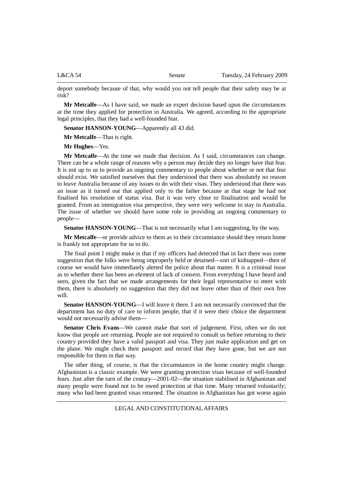L&CA 54 Senate Tuesday, 24 February 2009

deport somebody because of that, why would you not tell people that their safety may be at risk?

**Mr Metcalfe**—As I have said, we made an expert decision based upon the circumstances at the time they applied for protection in Australia. We agreed, according to the appropriate legal principles, that they had a well-founded fear.

**Senator HANSON-YOUNG**—Apparently all 43 did.

**Mr Metcalfe**—That is right.

**Mr Hughes**—Yes.

**Mr Metcalfe**—At the time we made that decision. As I said, circumstances can change. There can be a whole range of reasons why a person may decide they no longer have that fear. It is not up to us to provide an ongoing commentary to people about whether or not that fear should exist. We satisfied ourselves that they understood that there was absolutely no reason to leave Australia because of any issues to do with their visas. They understood that there was an issue as it turned out that applied only to the father because at that stage he had not finalised his resolution of status visa. But it was very close to finalisation and would be granted. From an immigration visa perspective, they were very welcome to stay in Australia. The issue of whether we should have some role in providing an ongoing commentary to people—

**Senator HANSON-YOUNG—That is not necessarily what I am suggesting, by the way.** 

**Mr Metcalfe**—or provide advice to them as to their circumstance should they return home is frankly not appropriate for us to do.

The final point I might make is that if my officers had detected that in fact there was some suggestion that the folks were being improperly held or detained—sort of kidnapped—then of course we would have immediately alerted the police about that matter. It is a criminal issue as to whether there has been an element of lack of consent. From everything I have heard and seen, given the fact that we made arrangements for their legal representative to meet with them, there is absolutely no suggestion that they did not leave other than of their own free will.

**Senator HANSON-YOUNG—I** will leave it there. I am not necessarily convinced that the department has no duty of care to inform people, that if it were their choice the department would not necessarily advise them—

**Senator Chris Evans**—We cannot make that sort of judgement. First, often we do not know that people are returning. People are not required to consult us before returning to their country provided they have a valid passport and visa. They just make application and get on the plane. We might check their passport and record that they have gone, but we are not responsible for them in that way.

The other thing, of course, is that the circumstances in the home country might change. Afghanistan is a classic example. We were granting protection visas because of well-founded fears. Just after the turn of the century—2001-02—the situation stabilised in Afghanistan and many people were found not to be owed protection at that time. Many returned voluntarily; many who had been granted visas returned. The situation in Afghanistan has got worse again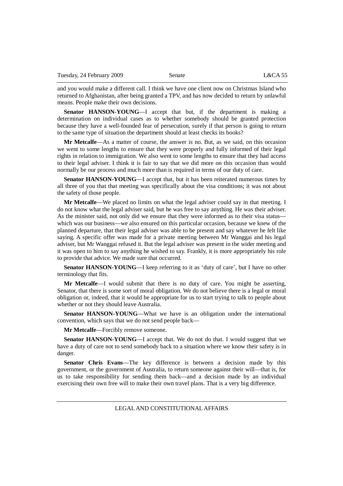and you would make a different call. I think we have one client now on Christmas Island who returned to Afghanistan, after being granted a TPV, and has now decided to return by unlawful means. People make their own decisions.

**Senator HANSON-YOUNG**—I accept that but, if the department is making a determination on individual cases as to whether somebody should be granted protection because they have a well-founded fear of persecution, surely if that person is going to return to the same type of situation the department should at least checks its books?

**Mr Metcalfe**—As a matter of course, the answer is no. But, as we said, on this occasion we went to some lengths to ensure that they were properly and fully informed of their legal rights in relation to immigration. We also went to some lengths to ensure that they had access to their legal adviser. I think it is fair to say that we did more on this occasion than would normally be our process and much more than is required in terms of our duty of care.

**Senator HANSON-YOUNG**—I accept that, but it has been reiterated numerous times by all three of you that that meeting was specifically about the visa conditions; it was not about the safety of those people.

**Mr Metcalfe**—We placed no limits on what the legal adviser could say in that meeting. I do not know what the legal adviser said, but he was free to say anything. He was their adviser. As the minister said, not only did we ensure that they were informed as to their visa status which was our business—we also ensured on this particular occasion, because we knew of the planned departure, that their legal adviser was able to be present and say whatever he felt like saying. A specific offer was made for a private meeting between Mr Wanggai and his legal adviser, but Mr Wanggai refused it. But the legal adviser was present in the wider meeting and it was open to him to say anything he wished to say. Frankly, it is more appropriately his role to provide that advice. We made sure that occurred.

**Senator HANSON-YOUNG**—I keep referring to it as 'duty of care', but I have no other terminology that fits.

**Mr Metcalfe**—I would submit that there is no duty of care. You might be asserting, Senator, that there is some sort of moral obligation. We do not believe there is a legal or moral obligation or, indeed, that it would be appropriate for us to start trying to talk to people about whether or not they should leave Australia.

**Senator HANSON-YOUNG**—What we have is an obligation under the international convention, which says that we do not send people back—

**Mr Metcalfe**—Forcibly remove someone.

**Senator HANSON-YOUNG**—I accept that. We do not do that. I would suggest that we have a duty of care not to send somebody back to a situation where we know their safety is in danger.

**Senator Chris Evans**—The key difference is between a decision made by this government, or the government of Australia, to return someone against their will—that is, for us to take responsibility for sending them back—and a decision made by an individual exercising their own free will to make their own travel plans. That is a very big difference.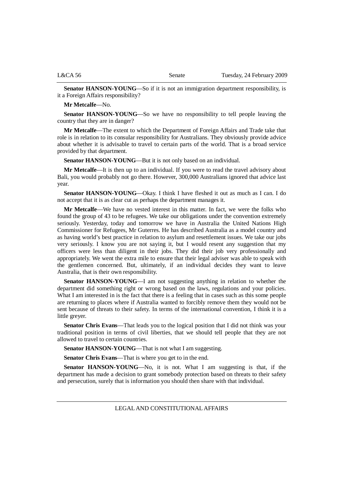**Senator HANSON-YOUNG**—So if it is not an immigration department responsibility, is it a Foreign Affairs responsibility?

**Mr Metcalfe**—No.

**Senator HANSON-YOUNG**—So we have no responsibility to tell people leaving the country that they are in danger?

**Mr Metcalfe**—The extent to which the Department of Foreign Affairs and Trade take that role is in relation to its consular responsibility for Australians. They obviously provide advice about whether it is advisable to travel to certain parts of the world. That is a broad service provided by that department.

**Senator HANSON-YOUNG**—But it is not only based on an individual.

**Mr Metcalfe**—It is then up to an individual. If you were to read the travel advisory about Bali, you would probably not go there. However, 300,000 Australians ignored that advice last year.

**Senator HANSON-YOUNG**—Okay. I think I have fleshed it out as much as I can. I do not accept that it is as clear cut as perhaps the department manages it.

**Mr Metcalfe**—We have no vested interest in this matter. In fact, we were the folks who found the group of 43 to be refugees. We take our obligations under the convention extremely seriously. Yesterday, today and tomorrow we have in Australia the United Nations High Commissioner for Refugees, Mr Guterres. He has described Australia as a model country and as having world's best practice in relation to asylum and resettlement issues. We take our jobs very seriously. I know you are not saying it, but I would resent any suggestion that my officers were less than diligent in their jobs. They did their job very professionally and appropriately. We went the extra mile to ensure that their legal adviser was able to speak with the gentlemen concerned. But, ultimately, if an individual decides they want to leave Australia, that is their own responsibility.

**Senator HANSON-YOUNG**—I am not suggesting anything in relation to whether the department did something right or wrong based on the laws, regulations and your policies. What I am interested in is the fact that there is a feeling that in cases such as this some people are returning to places where if Australia wanted to forcibly remove them they would not be sent because of threats to their safety. In terms of the international convention, I think it is a little greyer.

**Senator Chris Evans**—That leads you to the logical position that I did not think was your traditional position in terms of civil liberties, that we should tell people that they are not allowed to travel to certain countries.

**Senator HANSON-YOUNG**—That is not what I am suggesting.

**Senator Chris Evans**—That is where you get to in the end.

Senator HANSON-YOUNG—No, it is not. What I am suggesting is that, if the department has made a decision to grant somebody protection based on threats to their safety and persecution, surely that is information you should then share with that individual.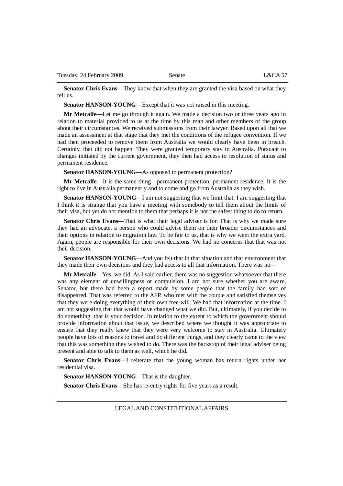**Senator Chris Evans**—They know that when they are granted the visa based on what they tell us.

**Senator HANSON-YOUNG**—Except that it was not raised in this meeting.

**Mr Metcalfe**—Let me go through it again. We made a decision two or three years ago in relation to material provided to us at the time by this man and other members of the group about their circumstances. We received submissions from their lawyer. Based upon all that we made an assessment at that stage that they met the conditions of the refugee convention. If we had then proceeded to remove them from Australia we would clearly have been in breach. Certainly, that did not happen. They were granted temporary stay in Australia. Pursuant to changes initiated by the current government, they then had access to resolution of status and permanent residence.

**Senator HANSON-YOUNG**—As opposed to permanent protection?

**Mr Metcalfe**—It is the same thing—permanent protection, permanent residence. It is the right to live in Australia permanently and to come and go from Australia as they wish.

**Senator HANSON-YOUNG**—I am not suggesting that we limit that. I am suggesting that I think it is strange that you have a meeting with somebody to tell them about the limits of their visa, but yet do not mention to them that perhaps it is not the safest thing to do to return.

**Senator Chris Evans**—That is what their legal adviser is for. That is why we made sure they had an advocate, a person who could advise them on their broader circumstances and their options in relation to migration law. To be fair to us, that is why we went the extra yard. Again, people are responsible for their own decisions. We had no concerns that that was not their decision.

**Senator HANSON-YOUNG**—And you felt that in that situation and that environment that they made their own decisions and they had access to all that information. There was no—

**Mr Metcalfe**—Yes, we did. As I said earlier, there was no suggestion whatsoever that there was any element of unwillingness or compulsion. I am not sure whether you are aware, Senator, but there had been a report made by some people that the family had sort of disappeared. That was referred to the AFP, who met with the couple and satisfied themselves that they were doing everything of their own free will. We had that information at the time. I am not suggesting that that would have changed what we did. But, ultimately, if you decide to do something, that is your decision. In relation to the extent to which the government should provide information about that issue, we described where we thought it was appropriate to ensure that they really knew that they were very welcome to stay in Australia. Ultimately people have lots of reasons to travel and do different things, and they clearly came to the view that this was something they wished to do. There was the backstop of their legal adviser being present and able to talk to them as well, which he did.

**Senator Chris Evans**—I reiterate that the young woman has return rights under her residential visa.

**Senator HANSON-YOUNG**—That is the daughter.

**Senator Chris Evans**—She has re-entry rights for five years as a result.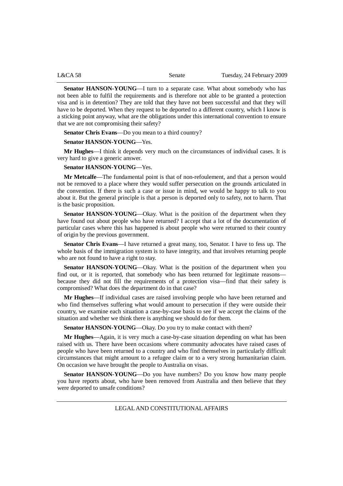| L&CA~58 | Senate | Tuesday, 24 February 2009 |
|---------|--------|---------------------------|
|         |        |                           |

**Senator HANSON-YOUNG**—I turn to a separate case. What about somebody who has not been able to fulfil the requirements and is therefore not able to be granted a protection visa and is in detention? They are told that they have not been successful and that they will have to be deported. When they request to be deported to a different country, which I know is a sticking point anyway, what are the obligations under this international convention to ensure that we are not compromising their safety?

**Senator Chris Evans**—Do you mean to a third country?

# **Senator HANSON-YOUNG**—Yes.

**Mr Hughes**—I think it depends very much on the circumstances of individual cases. It is very hard to give a generic answer.

## **Senator HANSON-YOUNG**—Yes.

**Mr Metcalfe**—The fundamental point is that of non-refoulement, and that a person would not be removed to a place where they would suffer persecution on the grounds articulated in the convention. If there is such a case or issue in mind, we would be happy to talk to you about it. But the general principle is that a person is deported only to safety, not to harm. That is the basic proposition.

**Senator HANSON-YOUNG**—Okay. What is the position of the department when they have found out about people who have returned? I accept that a lot of the documentation of particular cases where this has happened is about people who were returned to their country of origin by the previous government.

**Senator Chris Evans**—I have returned a great many, too, Senator. I have to fess up. The whole basis of the immigration system is to have integrity, and that involves returning people who are not found to have a right to stay.

**Senator HANSON-YOUNG**—Okay. What is the position of the department when you find out, or it is reported, that somebody who has been returned for legitimate reasons because they did not fill the requirements of a protection visa—find that their safety is compromised? What does the department do in that case?

**Mr Hughes**—If individual cases are raised involving people who have been returned and who find themselves suffering what would amount to persecution if they were outside their country, we examine each situation a case-by-case basis to see if we accept the claims of the situation and whether we think there is anything we should do for them.

**Senator HANSON-YOUNG**—Okay. Do you try to make contact with them?

**Mr Hughes**—Again, it is very much a case-by-case situation depending on what has been raised with us. There have been occasions where community advocates have raised cases of people who have been returned to a country and who find themselves in particularly difficult circumstances that might amount to a refugee claim or to a very strong humanitarian claim. On occasion we have brought the people to Australia on visas.

**Senator HANSON-YOUNG**—Do you have numbers? Do you know how many people you have reports about, who have been removed from Australia and then believe that they were deported to unsafe conditions?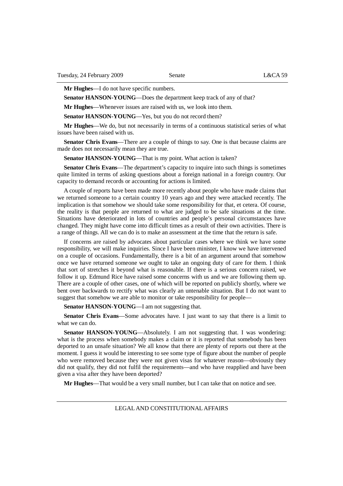**Mr Hughes**—I do not have specific numbers.

**Senator HANSON-YOUNG**—Does the department keep track of any of that?

**Mr Hughes**—Whenever issues are raised with us, we look into them.

Senator HANSON-YOUNG—Yes, but you do not record them?

**Mr Hughes**—We do, but not necessarily in terms of a continuous statistical series of what issues have been raised with us.

**Senator Chris Evans**—There are a couple of things to say. One is that because claims are made does not necessarily mean they are true.

**Senator HANSON-YOUNG**—That is my point. What action is taken?

**Senator Chris Evans**—The department's capacity to inquire into such things is sometimes quite limited in terms of asking questions about a foreign national in a foreign country. Our capacity to demand records or accounting for actions is limited.

A couple of reports have been made more recently about people who have made claims that we returned someone to a certain country 10 years ago and they were attacked recently. The implication is that somehow we should take some responsibility for that, et cetera. Of course, the reality is that people are returned to what are judged to be safe situations at the time. Situations have deteriorated in lots of countries and people's personal circumstances have changed. They might have come into difficult times as a result of their own activities. There is a range of things. All we can do is to make an assessment at the time that the return is safe.

If concerns are raised by advocates about particular cases where we think we have some responsibility, we will make inquiries. Since I have been minister, I know we have intervened on a couple of occasions. Fundamentally, there is a bit of an argument around that somehow once we have returned someone we ought to take an ongoing duty of care for them. I think that sort of stretches it beyond what is reasonable. If there is a serious concern raised, we follow it up. Edmund Rice have raised some concerns with us and we are following them up. There are a couple of other cases, one of which will be reported on publicly shortly, where we bent over backwards to rectify what was clearly an untenable situation. But I do not want to suggest that somehow we are able to monitor or take responsibility for people—

**Senator HANSON-YOUNG—I** am not suggesting that.

**Senator Chris Evans**—Some advocates have. I just want to say that there is a limit to what we can do.

**Senator HANSON-YOUNG**—Absolutely. I am not suggesting that. I was wondering: what is the process when somebody makes a claim or it is reported that somebody has been deported to an unsafe situation? We all know that there are plenty of reports out there at the moment. I guess it would be interesting to see some type of figure about the number of people who were removed because they were not given visas for whatever reason—obviously they did not qualify, they did not fulfil the requirements—and who have reapplied and have been given a visa after they have been deported?

**Mr Hughes**—That would be a very small number, but I can take that on notice and see.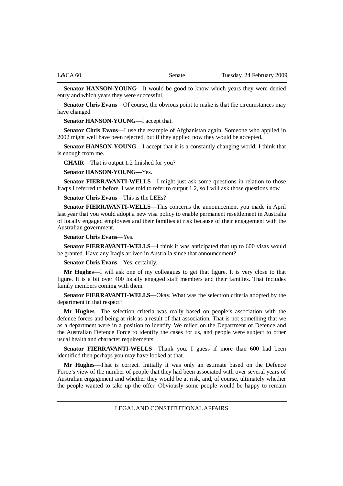**Senator HANSON-YOUNG**—It would be good to know which years they were denied entry and which years they were successful.

**Senator Chris Evans—Of** course, the obvious point to make is that the circumstances may have changed.

**Senator HANSON-YOUNG**—I accept that.

**Senator Chris Evans**—I use the example of Afghanistan again. Someone who applied in 2002 might well have been rejected, but if they applied now they would be accepted.

**Senator HANSON-YOUNG**—I accept that it is a constantly changing world. I think that is enough from me.

**CHAIR**—That is output 1.2 finished for you?

**Senator HANSON-YOUNG**—Yes.

**Senator FIERRAVANTI-WELLS**—I might just ask some questions in relation to those Iraqis I referred to before. I was told to refer to output 1.2, so I will ask those questions now.

**Senator Chris Evans**—This is the LEEs?

**Senator FIERRAVANTI-WELLS**—This concerns the announcement you made in April last year that you would adopt a new visa policy to enable permanent resettlement in Australia of locally engaged employees and their families at risk because of their engagement with the Australian government.

**Senator Chris Evans**—Yes.

**Senator FIERRAVANTI-WELLS**—I think it was anticipated that up to 600 visas would be granted. Have any Iraqis arrived in Australia since that announcement?

**Senator Chris Evans**—Yes, certainly.

**Mr Hughes**—I will ask one of my colleagues to get that figure. It is very close to that figure. It is a bit over 400 locally engaged staff members and their families. That includes family members coming with them.

**Senator FIERRAVANTI-WELLS**—Okay. What was the selection criteria adopted by the department in that respect?

**Mr Hughes**—The selection criteria was really based on people's association with the defence forces and being at risk as a result of that association. That is not something that we as a department were in a position to identify. We relied on the Department of Defence and the Australian Defence Force to identify the cases for us, and people were subject to other usual health and character requirements.

**Senator FIERRAVANTI-WELLS**—Thank you. I guess if more than 600 had been identified then perhaps you may have looked at that.

**Mr Hughes**—That is correct. Initially it was only an estimate based on the Defence Force's view of the number of people that they had been associated with over several years of Australian engagement and whether they would be at risk, and, of course, ultimately whether the people wanted to take up the offer. Obviously some people would be happy to remain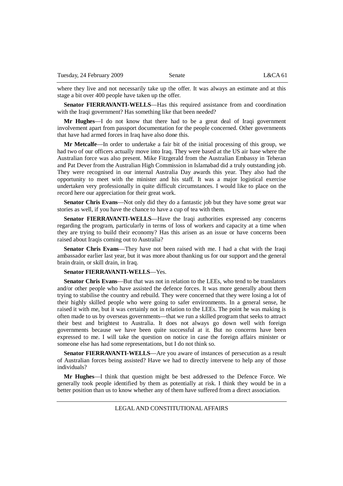where they live and not necessarily take up the offer. It was always an estimate and at this stage a bit over 400 people have taken up the offer.

**Senator FIERRAVANTI-WELLS**—Has this required assistance from and coordination with the Iraqi government? Has something like that been needed?

**Mr Hughes**—I do not know that there had to be a great deal of Iraqi government involvement apart from passport documentation for the people concerned. Other governments that have had armed forces in Iraq have also done this.

**Mr Metcalfe**—In order to undertake a fair bit of the initial processing of this group, we had two of our officers actually move into Iraq. They were based at the US air base where the Australian force was also present. Mike Fitzgerald from the Australian Embassy in Teheran and Pat Dever from the Australian High Commission in Islamabad did a truly outstanding job. They were recognised in our internal Australia Day awards this year. They also had the opportunity to meet with the minister and his staff. It was a major logistical exercise undertaken very professionally in quite difficult circumstances. I would like to place on the record here our appreciation for their great work.

**Senator Chris Evans—Not only did they do a fantastic job but they have some great war** stories as well, if you have the chance to have a cup of tea with them.

**Senator FIERRAVANTI-WELLS**—Have the Iraqi authorities expressed any concerns regarding the program, particularly in terms of loss of workers and capacity at a time when they are trying to build their economy? Has this arisen as an issue or have concerns been raised about Iraqis coming out to Australia?

**Senator Chris Evans**—They have not been raised with me. I had a chat with the Iraqi ambassador earlier last year, but it was more about thanking us for our support and the general brain drain, or skill drain, in Iraq.

#### **Senator FIERRAVANTI-WELLS**—Yes.

**Senator Chris Evans**—But that was not in relation to the LEEs, who tend to be translators and/or other people who have assisted the defence forces. It was more generally about them trying to stabilise the country and rebuild. They were concerned that they were losing a lot of their highly skilled people who were going to safer environments. In a general sense, he raised it with me, but it was certainly not in relation to the LEEs. The point he was making is often made to us by overseas governments—that we run a skilled program that seeks to attract their best and brightest to Australia. It does not always go down well with foreign governments because we have been quite successful at it. But no concerns have been expressed to me. I will take the question on notice in case the foreign affairs minister or someone else has had some representations, but I do not think so.

**Senator FIERRAVANTI-WELLS**—Are you aware of instances of persecution as a result of Australian forces being assisted? Have we had to directly intervene to help any of those individuals?

**Mr Hughes**—I think that question might be best addressed to the Defence Force. We generally took people identified by them as potentially at risk. I think they would be in a better position than us to know whether any of them have suffered from a direct association.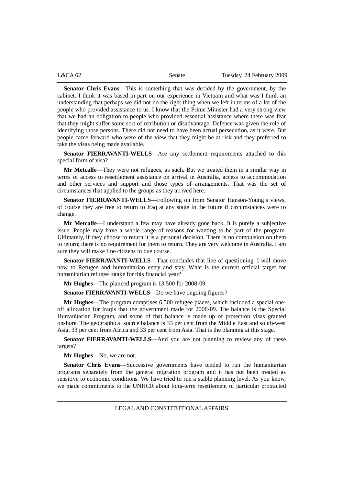**Senator Chris Evans**—This is something that was decided by the government, by the cabinet. I think it was based in part on our experience in Vietnam and what was I think an understanding that perhaps we did not do the right thing when we left in terms of a lot of the people who provided assistance to us. I know that the Prime Minister had a very strong view that we had an obligation to people who provided essential assistance where there was fear that they might suffer some sort of retribution or disadvantage. Defence was given the role of identifying those persons. There did not need to have been actual persecution, as it were. But people came forward who were of the view that they might be at risk and they preferred to take the visas being made available.

**Senator FIERRAVANTI-WELLS**—Are any settlement requirements attached to this special form of visa?

**Mr Metcalfe**—They were not refugees, as such. But we treated them in a similar way in terms of access to resettlement assistance on arrival in Australia, access to accommodation and other services and support and those types of arrangements. That was the set of circumstances that applied to the groups as they arrived here.

**Senator FIERRAVANTI-WELLS**—Following on from Senator Hanson-Young's views, of course they are free to return to Iraq at any stage in the future if circumstances were to change.

**Mr Metcalfe**—I understand a few may have already gone back. It is purely a subjective issue. People may have a whole range of reasons for wanting to be part of the program. Ultimately, if they choose to return it is a personal decision. There is no compulsion on them to return; there is no requirement for them to return. They are very welcome in Australia. I am sure they will make fine citizens in due course.

**Senator FIERRAVANTI-WELLS**—That concludes that line of questioning. I will move now to Refugee and humanitarian entry and stay. What is the current official target for humanitarian refugee intake for this financial year?

**Mr Hughes**—The planned program is 13,500 for 2008-09.

**Senator FIERRAVANTI-WELLS**—Do we have ongoing figures?

**Mr Hughes**—The program comprises 6,500 refugee places, which included a special oneoff allocation for Iraqis that the government made for 2008-09. The balance is the Special Humanitarian Program, and some of that balance is made up of protection visas granted onshore. The geographical source balance is 33 per cent from the Middle East and south-west Asia, 33 per cent from Africa and 33 per cent from Asia. That is the planning at this stage.

Senator FIERRAVANTI-WELLS—And you are not planning to review any of these targets?

**Mr Hughes**—No, we are not.

**Senator Chris Evans**—Successive governments have tended to run the humanitarian programs separately from the general migration program and it has not been treated as sensitive to economic conditions. We have tried to run a stable planning level. As you know, we made commitments to the UNHCR about long-term resettlement of particular protracted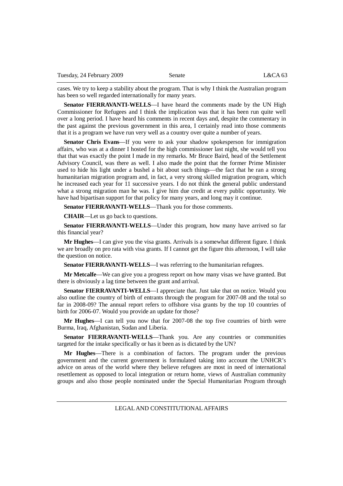cases. We try to keep a stability about the program. That is why I think the Australian program has been so well regarded internationally for many years.

**Senator FIERRAVANTI-WELLS**—I have heard the comments made by the UN High Commissioner for Refugees and I think the implication was that it has been run quite well over a long period. I have heard his comments in recent days and, despite the commentary in the past against the previous government in this area, I certainly read into those comments that it is a program we have run very well as a country over quite a number of years.

**Senator Chris Evans**—If you were to ask your shadow spokesperson for immigration affairs, who was at a dinner I hosted for the high commissioner last night, she would tell you that that was exactly the point I made in my remarks. Mr Bruce Baird, head of the Settlement Advisory Council, was there as well. I also made the point that the former Prime Minister used to hide his light under a bushel a bit about such things—the fact that he ran a strong humanitarian migration program and, in fact, a very strong skilled migration program, which he increased each year for 11 successive years. I do not think the general public understand what a strong migration man he was. I give him due credit at every public opportunity. We have had bipartisan support for that policy for many years, and long may it continue.

**Senator FIERRAVANTI-WELLS**—Thank you for those comments.

**CHAIR**—Let us go back to questions.

**Senator FIERRAVANTI-WELLS—Under this program, how many have arrived so far** this financial year?

**Mr Hughes**—I can give you the visa grants. Arrivals is a somewhat different figure. I think we are broadly on pro rata with visa grants. If I cannot get the figure this afternoon, I will take the question on notice.

Senator FIERRAVANTI-WELLS-I was referring to the humanitarian refugees.

**Mr Metcalfe**—We can give you a progress report on how many visas we have granted. But there is obviously a lag time between the grant and arrival.

**Senator FIERRAVANTI-WELLS**—I appreciate that. Just take that on notice. Would you also outline the country of birth of entrants through the program for 2007-08 and the total so far in 2008-09? The annual report refers to offshore visa grants by the top 10 countries of birth for 2006-07. Would you provide an update for those?

**Mr Hughes**—I can tell you now that for 2007-08 the top five countries of birth were Burma, Iraq, Afghanistan, Sudan and Liberia.

**Senator FIERRAVANTI-WELLS**—Thank you. Are any countries or communities targeted for the intake specifically or has it been as is dictated by the UN?

**Mr Hughes**—There is a combination of factors. The program under the previous government and the current government is formulated taking into account the UNHCR's advice on areas of the world where they believe refugees are most in need of international resettlement as opposed to local integration or return home, views of Australian community groups and also those people nominated under the Special Humanitarian Program through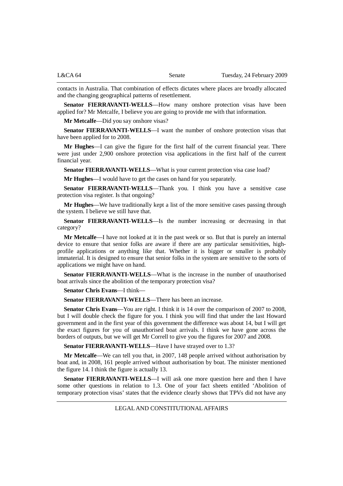contacts in Australia. That combination of effects dictates where places are broadly allocated and the changing geographical patterns of resettlement.

**Senator FIERRAVANTI-WELLS**—How many onshore protection visas have been applied for? Mr Metcalfe, I believe you are going to provide me with that information.

**Mr Metcalfe**—Did you say onshore visas?

**Senator FIERRAVANTI-WELLS**—I want the number of onshore protection visas that have been applied for to 2008.

**Mr Hughes**—I can give the figure for the first half of the current financial year. There were just under 2,900 onshore protection visa applications in the first half of the current financial year.

**Senator FIERRAVANTI-WELLS—What is your current protection visa case load?** 

**Mr Hughes**—I would have to get the cases on hand for you separately.

**Senator FIERRAVANTI-WELLS**—Thank you. I think you have a sensitive case protection visa register. Is that ongoing?

**Mr Hughes**—We have traditionally kept a list of the more sensitive cases passing through the system. I believe we still have that.

**Senator FIERRAVANTI-WELLS**—Is the number increasing or decreasing in that category?

**Mr Metcalfe**—I have not looked at it in the past week or so. But that is purely an internal device to ensure that senior folks are aware if there are any particular sensitivities, highprofile applications or anything like that. Whether it is bigger or smaller is probably immaterial. It is designed to ensure that senior folks in the system are sensitive to the sorts of applications we might have on hand.

**Senator FIERRAVANTI-WELLS**—What is the increase in the number of unauthorised boat arrivals since the abolition of the temporary protection visa?

**Senator Chris Evans**—I think—

**Senator FIERRAVANTI-WELLS—There has been an increase.** 

**Senator Chris Evans—You are right.** I think it is 14 over the comparison of 2007 to 2008, but I will double check the figure for you. I think you will find that under the last Howard government and in the first year of this government the difference was about 14, but I will get the exact figures for you of unauthorised boat arrivals. I think we have gone across the borders of outputs, but we will get Mr Correll to give you the figures for 2007 and 2008.

**Senator FIERRAVANTI-WELLS**—Have I have strayed over to 1.3?

**Mr Metcalfe**—We can tell you that, in 2007, 148 people arrived without authorisation by boat and, in 2008, 161 people arrived without authorisation by boat. The minister mentioned the figure 14. I think the figure is actually 13.

**Senator FIERRAVANTI-WELLS**—I will ask one more question here and then I have some other questions in relation to 1.3. One of your fact sheets entitled 'Abolition of temporary protection visas' states that the evidence clearly shows that TPVs did not have any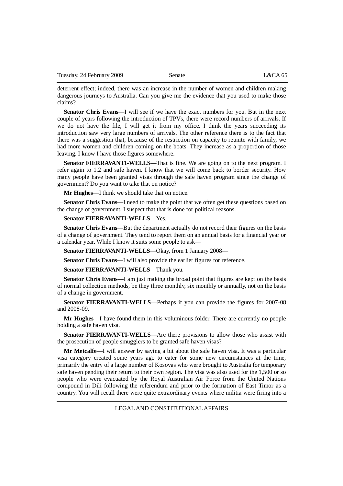deterrent effect; indeed, there was an increase in the number of women and children making dangerous journeys to Australia. Can you give me the evidence that you used to make those claims?

**Senator Chris Evans**—I will see if we have the exact numbers for you. But in the next couple of years following the introduction of TPVs, there were record numbers of arrivals. If we do not have the file, I will get it from my office. I think the years succeeding its introduction saw very large numbers of arrivals. The other reference there is to the fact that there was a suggestion that, because of the restriction on capacity to reunite with family, we had more women and children coming on the boats. They increase as a proportion of those leaving. I know I have those figures somewhere.

**Senator FIERRAVANTI-WELLS**—That is fine. We are going on to the next program. I refer again to 1.2 and safe haven. I know that we will come back to border security. How many people have been granted visas through the safe haven program since the change of government? Do you want to take that on notice?

**Mr Hughes**—I think we should take that on notice.

**Senator Chris Evans—I** need to make the point that we often get these questions based on the change of government. I suspect that that is done for political reasons.

### **Senator FIERRAVANTI-WELLS**—Yes.

**Senator Chris Evans**—But the department actually do not record their figures on the basis of a change of government. They tend to report them on an annual basis for a financial year or a calendar year. While I know it suits some people to ask—

**Senator FIERRAVANTI-WELLS**—Okay, from 1 January 2008—

**Senator Chris Evans**—I will also provide the earlier figures for reference.

**Senator FIERRAVANTI-WELLS**—Thank you.

**Senator Chris Evans**—I am just making the broad point that figures are kept on the basis of normal collection methods, be they three monthly, six monthly or annually, not on the basis of a change in government.

**Senator FIERRAVANTI-WELLS**—Perhaps if you can provide the figures for 2007-08 and 2008-09.

**Mr Hughes**—I have found them in this voluminous folder. There are currently no people holding a safe haven visa.

**Senator FIERRAVANTI-WELLS**—Are there provisions to allow those who assist with the prosecution of people smugglers to be granted safe haven visas?

**Mr Metcalfe**—I will answer by saying a bit about the safe haven visa. It was a particular visa category created some years ago to cater for some new circumstances at the time, primarily the entry of a large number of Kosovas who were brought to Australia for temporary safe haven pending their return to their own region. The visa was also used for the 1,500 or so people who were evacuated by the Royal Australian Air Force from the United Nations compound in Dili following the referendum and prior to the formation of East Timor as a country. You will recall there were quite extraordinary events where militia were firing into a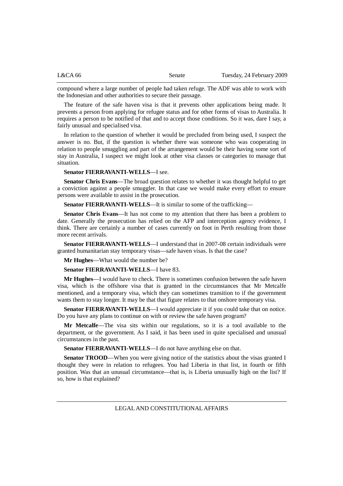| L&CA66 | Senate | Tuesday, 24 February 2009 |
|--------|--------|---------------------------|
|        |        |                           |

compound where a large number of people had taken refuge. The ADF was able to work with the Indonesian and other authorities to secure their passage.

The feature of the safe haven visa is that it prevents other applications being made. It prevents a person from applying for refugee status and for other forms of visas to Australia. It requires a person to be notified of that and to accept those conditions. So it was, dare I say, a fairly unusual and specialised visa.

In relation to the question of whether it would be precluded from being used, I suspect the answer is no. But, if the question is whether there was someone who was cooperating in relation to people smuggling and part of the arrangement would be their having some sort of stay in Australia, I suspect we might look at other visa classes or categories to manage that situation.

## **Senator FIERRAVANTI-WELLS**—I see.

**Senator Chris Evans**—The broad question relates to whether it was thought helpful to get a conviction against a people smuggler. In that case we would make every effort to ensure persons were available to assist in the prosecution.

**Senator FIERRAVANTI-WELLS**—It is similar to some of the trafficking—

**Senator Chris Evans**—It has not come to my attention that there has been a problem to date. Generally the prosecution has relied on the AFP and interception agency evidence, I think. There are certainly a number of cases currently on foot in Perth resulting from those more recent arrivals.

**Senator FIERRAVANTI-WELLS**—I understand that in 2007-08 certain individuals were granted humanitarian stay temporary visas—safe haven visas. Is that the case?

**Mr Hughes**—What would the number be?

## **Senator FIERRAVANTI-WELLS**—I have 83.

**Mr Hughes**—I would have to check. There is sometimes confusion between the safe haven visa, which is the offshore visa that is granted in the circumstances that Mr Metcalfe mentioned, and a temporary visa, which they can sometimes transition to if the government wants them to stay longer. It may be that that figure relates to that onshore temporary visa.

**Senator FIERRAVANTI-WELLS—I** would appreciate it if you could take that on notice. Do you have any plans to continue on with or review the safe haven program?

**Mr Metcalfe**—The visa sits within our regulations, so it is a tool available to the department, or the government. As I said, it has been used in quite specialised and unusual circumstances in the past.

**Senator FIERRAVANTI-WELLS**—I do not have anything else on that.

Senator TROOD—When you were giving notice of the statistics about the visas granted I thought they were in relation to refugees. You had Liberia in that list, in fourth or fifth position. Was that an unusual circumstance—that is, is Liberia unusually high on the list? If so, how is that explained?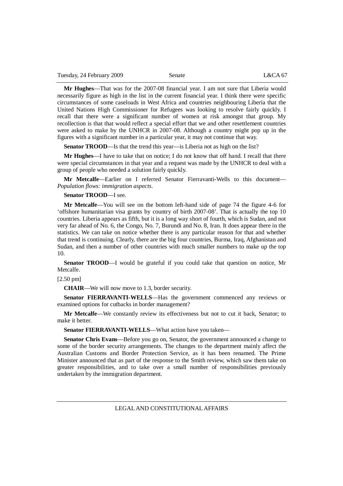**Mr Hughes**—That was for the 2007-08 financial year. I am not sure that Liberia would necessarily figure as high in the list in the current financial year. I think there were specific circumstances of some caseloads in West Africa and countries neighbouring Liberia that the United Nations High Commissioner for Refugees was looking to resolve fairly quickly. I recall that there were a significant number of women at risk amongst that group. My recollection is that that would reflect a special effort that we and other resettlement countries were asked to make by the UNHCR in 2007-08. Although a country might pop up in the figures with a significant number in a particular year, it may not continue that way.

**Senator TROOD—Is** that the trend this year—is Liberia not as high on the list?

**Mr Hughes**—I have to take that on notice; I do not know that off hand. I recall that there were special circumstances in that year and a request was made by the UNHCR to deal with a group of people who needed a solution fairly quickly.

**Mr Metcalfe**—Earlier on I referred Senator Fierravanti-Wells to this document— *Population flows: immigration aspects*.

### **Senator TROOD**—I see.

**Mr Metcalfe**—You will see on the bottom left-hand side of page 74 the figure 4-6 for 'offshore humanitarian visa grants by country of birth 2007-08'. That is actually the top 10 countries. Liberia appears as fifth, but it is a long way short of fourth, which is Sudan, and not very far ahead of No. 6, the Congo, No. 7, Burundi and No. 8, Iran. It does appear there in the statistics. We can take on notice whether there is any particular reason for that and whether that trend is continuing. Clearly, there are the big four countries, Burma, Iraq, Afghanistan and Sudan, and then a number of other countries with much smaller numbers to make up the top 10.

**Senator TROOD**—I would be grateful if you could take that question on notice, Mr Metcalfe.

[2.50 pm]

**CHAIR**—We will now move to 1.3, border security.

**Senator FIERRAVANTI-WELLS**—Has the government commenced any reviews or examined options for cutbacks in border management?

**Mr Metcalfe**—We constantly review its effectiveness but not to cut it back, Senator; to make it better.

**Senator FIERRAVANTI-WELLS**—What action have you taken—

**Senator Chris Evans**—Before you go on, Senator, the government announced a change to some of the border security arrangements. The changes to the department mainly affect the Australian Customs and Border Protection Service, as it has been renamed. The Prime Minister announced that as part of the response to the Smith review, which saw them take on greater responsibilities, and to take over a small number of responsibilities previously undertaken by the immigration department.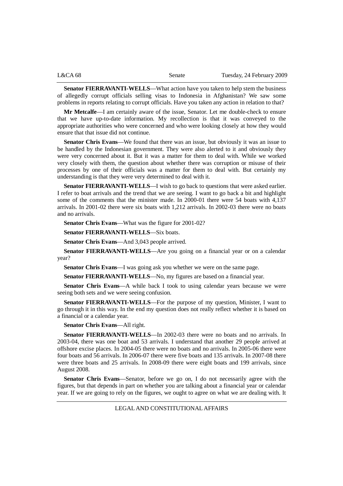| L&CA 68 | Senate | Tuesday, 24 February 2009 |
|---------|--------|---------------------------|
|         |        |                           |

**Senator FIERRAVANTI-WELLS**—What action have you taken to help stem the business of allegedly corrupt officials selling visas to Indonesia in Afghanistan? We saw some problems in reports relating to corrupt officials. Have you taken any action in relation to that?

**Mr Metcalfe**—I am certainly aware of the issue, Senator. Let me double-check to ensure that we have up-to-date information. My recollection is that it was conveyed to the appropriate authorities who were concerned and who were looking closely at how they would ensure that that issue did not continue.

**Senator Chris Evans**—We found that there was an issue, but obviously it was an issue to be handled by the Indonesian government. They were also alerted to it and obviously they were very concerned about it. But it was a matter for them to deal with. While we worked very closely with them, the question about whether there was corruption or misuse of their processes by one of their officials was a matter for them to deal with. But certainly my understanding is that they were very determined to deal with it.

**Senator FIERRAVANTI-WELLS**—I wish to go back to questions that were asked earlier. I refer to boat arrivals and the trend that we are seeing. I want to go back a bit and highlight some of the comments that the minister made. In 2000-01 there were 54 boats with 4,137 arrivals. In 2001-02 there were six boats with 1,212 arrivals. In 2002-03 there were no boats and no arrivals.

**Senator Chris Evans**—What was the figure for 2001-02?

**Senator FIERRAVANTI-WELLS**—Six boats.

**Senator Chris Evans**—And 3,043 people arrived.

**Senator FIERRAVANTI-WELLS**—Are you going on a financial year or on a calendar year?

**Senator Chris Evans**—I was going ask you whether we were on the same page.

**Senator FIERRAVANTI-WELLS**—No, my figures are based on a financial year.

**Senator Chris Evans**—A while back I took to using calendar years because we were seeing both sets and we were seeing confusion.

**Senator FIERRAVANTI-WELLS**—For the purpose of my question, Minister, I want to go through it in this way. In the end my question does not really reflect whether it is based on a financial or a calendar year.

**Senator Chris Evans**—All right.

**Senator FIERRAVANTI-WELLS**—In 2002-03 there were no boats and no arrivals. In 2003-04, there was one boat and 53 arrivals. I understand that another 29 people arrived at offshore excise places. In 2004-05 there were no boats and no arrivals. In 2005-06 there were four boats and 56 arrivals. In 2006-07 there were five boats and 135 arrivals. In 2007-08 there were three boats and 25 arrivals. In 2008-09 there were eight boats and 199 arrivals, since August 2008.

**Senator Chris Evans**—Senator, before we go on, I do not necessarily agree with the figures, but that depends in part on whether you are talking about a financial year or calendar year. If we are going to rely on the figures, we ought to agree on what we are dealing with. It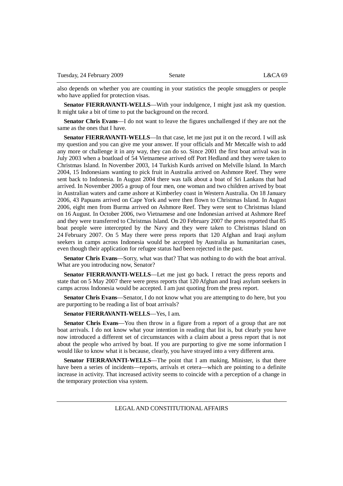also depends on whether you are counting in your statistics the people smugglers or people who have applied for protection visas.

**Senator FIERRAVANTI-WELLS—With your indulgence, I might just ask my question.** It might take a bit of time to put the background on the record.

**Senator Chris Evans**—I do not want to leave the figures unchallenged if they are not the same as the ones that I have.

**Senator FIERRAVANTI-WELLS**—In that case, let me just put it on the record. I will ask my question and you can give me your answer. If your officials and Mr Metcalfe wish to add any more or challenge it in any way, they can do so. Since 2001 the first boat arrival was in July 2003 when a boatload of 54 Vietnamese arrived off Port Hedland and they were taken to Christmas Island. In November 2003, 14 Turkish Kurds arrived on Melville Island. In March 2004, 15 Indonesians wanting to pick fruit in Australia arrived on Ashmore Reef. They were sent back to Indonesia. In August 2004 there was talk about a boat of Sri Lankans that had arrived. In November 2005 a group of four men, one woman and two children arrived by boat in Australian waters and came ashore at Kimberley coast in Western Australia. On 18 January 2006, 43 Papuans arrived on Cape York and were then flown to Christmas Island. In August 2006, eight men from Burma arrived on Ashmore Reef. They were sent to Christmas Island on 16 August. In October 2006, two Vietnamese and one Indonesian arrived at Ashmore Reef and they were transferred to Christmas Island. On 20 February 2007 the press reported that 85 boat people were intercepted by the Navy and they were taken to Christmas Island on 24 February 2007. On 5 May there were press reports that 120 Afghan and Iraqi asylum seekers in camps across Indonesia would be accepted by Australia as humanitarian cases, even though their application for refugee status had been rejected in the past.

**Senator Chris Evans**—Sorry, what was that? That was nothing to do with the boat arrival. What are you introducing now, Senator?

**Senator FIERRAVANTI-WELLS**—Let me just go back. I retract the press reports and state that on 5 May 2007 there were press reports that 120 Afghan and Iraqi asylum seekers in camps across Indonesia would be accepted. I am just quoting from the press report.

**Senator Chris Evans**—Senator, I do not know what you are attempting to do here, but you are purporting to be reading a list of boat arrivals?

### **Senator FIERRAVANTI-WELLS**—Yes, I am.

**Senator Chris Evans**—You then throw in a figure from a report of a group that are not boat arrivals. I do not know what your intention in reading that list is, but clearly you have now introduced a different set of circumstances with a claim about a press report that is not about the people who arrived by boat. If you are purporting to give me some information I would like to know what it is because, clearly, you have strayed into a very different area.

**Senator FIERRAVANTI-WELLS**—The point that I am making, Minister, is that there have been a series of incidents—reports, arrivals et cetera—which are pointing to a definite increase in activity. That increased activity seems to coincide with a perception of a change in the temporary protection visa system.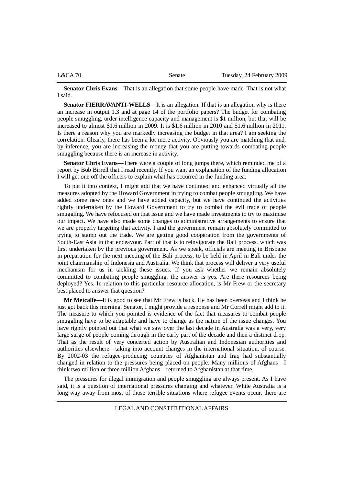|  | $L&CA$ 70 | Senate | Tuesday, 24 February 2009 |
|--|-----------|--------|---------------------------|
|--|-----------|--------|---------------------------|

**Senator Chris Evans**—That is an allegation that some people have made. That is not what I said.

**Senator FIERRAVANTI-WELLS—It** is an allegation. If that is an allegation why is there an increase in output 1.3 and at page 14 of the portfolio papers? The budget for combating people smuggling, order intelligence capacity and management is \$1 million, but that will be increased to almost \$1.6 million in 2009. It is \$1.6 million in 2010 and \$1.6 million in 2011. Is there a reason why you are markedly increasing the budget in that area? I am seeking the correlation. Clearly, there has been a lot more activity. Obviously you are matching that and, by inference, you are increasing the money that you are putting towards combating people smuggling because there is an increase in activity.

**Senator Chris Evans**—There were a couple of long jumps there, which reminded me of a report by Bob Birrell that I read recently. If you want an explanation of the funding allocation I will get one off the officers to explain what has occurred in the funding area.

To put it into context, I might add that we have continued and enhanced virtually all the measures adopted by the Howard Government in trying to combat people smuggling. We have added some new ones and we have added capacity, but we have continued the activities rightly undertaken by the Howard Government to try to combat the evil trade of people smuggling. We have refocused on that issue and we have made investments to try to maximise our impact. We have also made some changes to administrative arrangements to ensure that we are properly targeting that activity. I and the government remain absolutely committed to trying to stamp out the trade. We are getting good cooperation from the governments of South-East Asia in that endeavour. Part of that is to reinvigorate the Bali process, which was first undertaken by the previous government. As we speak, officials are meeting in Brisbane in preparation for the next meeting of the Bali process, to be held in April in Bali under the joint chairmanship of Indonesia and Australia. We think that process will deliver a very useful mechanism for us in tackling these issues. If you ask whether we remain absolutely committed to combating people smuggling, the answer is yes. Are there resources being deployed? Yes. In relation to this particular resource allocation, is Mr Frew or the secretary best placed to answer that question?

**Mr Metcalfe**—It is good to see that Mr Frew is back. He has been overseas and I think he just got back this morning. Senator, I might provide a response and Mr Correll might add to it. The measure to which you pointed is evidence of the fact that measures to combat people smuggling have to be adaptable and have to change as the nature of the issue changes. You have rightly pointed out that what we saw over the last decade in Australia was a very, very large surge of people coming through in the early part of the decade and then a distinct drop. That as the result of very concerted action by Australian and Indonesian authorities and authorities elsewhere—taking into account changes in the international situation, of course. By 2002-03 the refugee-producing countries of Afghanistan and Iraq had substantially changed in relation to the pressures being placed on people. Many millions of Afghans—I think two million or three million Afghans—returned to Afghanistan at that time.

The pressures for illegal immigration and people smuggling are always present. As I have said, it is a question of international pressures changing and whatever. While Australia is a long way away from most of those terrible situations where refugee events occur, there are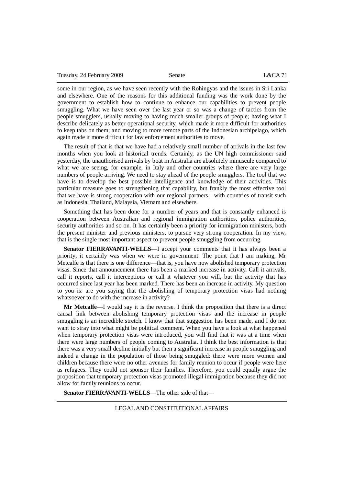|  | Tuesday, 24 February 2009 | Senate | L&CA71 |
|--|---------------------------|--------|--------|
|--|---------------------------|--------|--------|

some in our region, as we have seen recently with the Rohingyas and the issues in Sri Lanka and elsewhere. One of the reasons for this additional funding was the work done by the government to establish how to continue to enhance our capabilities to prevent people smuggling. What we have seen over the last year or so was a change of tactics from the people smugglers, usually moving to having much smaller groups of people; having what I describe delicately as better operational security, which made it more difficult for authorities to keep tabs on them; and moving to more remote parts of the Indonesian archipelago, which again made it more difficult for law enforcement authorities to move.

The result of that is that we have had a relatively small number of arrivals in the last few months when you look at historical trends. Certainly, as the UN high commissioner said yesterday, the unauthorised arrivals by boat in Australia are absolutely minuscule compared to what we are seeing, for example, in Italy and other countries where there are very large numbers of people arriving. We need to stay ahead of the people smugglers. The tool that we have is to develop the best possible intelligence and knowledge of their activities. This particular measure goes to strengthening that capability, but frankly the most effective tool that we have is strong cooperation with our regional partners—with countries of transit such as Indonesia, Thailand, Malaysia, Vietnam and elsewhere.

Something that has been done for a number of years and that is constantly enhanced is cooperation between Australian and regional immigration authorities, police authorities, security authorities and so on. It has certainly been a priority for immigration ministers, both the present minister and previous ministers, to pursue very strong cooperation. In my view, that is the single most important aspect to prevent people smuggling from occurring.

**Senator FIERRAVANTI-WELLS**—I accept your comments that it has always been a priority; it certainly was when we were in government. The point that I am making, Mr Metcalfe is that there is one difference—that is, you have now abolished temporary protection visas. Since that announcement there has been a marked increase in activity. Call it arrivals, call it reports, call it interceptions or call it whatever you will, but the activity that has occurred since last year has been marked. There has been an increase in activity. My question to you is: are you saying that the abolishing of temporary protection visas had nothing whatsoever to do with the increase in activity?

**Mr Metcalfe**—I would say it is the reverse. I think the proposition that there is a direct causal link between abolishing temporary protection visas and the increase in people smuggling is an incredible stretch. I know that that suggestion has been made, and I do not want to stray into what might be political comment. When you have a look at what happened when temporary protection visas were introduced, you will find that it was at a time when there were large numbers of people coming to Australia. I think the best information is that there was a very small decline initially but then a significant increase in people smuggling and indeed a change in the population of those being smuggled: there were more women and children because there were no other avenues for family reunion to occur if people were here as refugees. They could not sponsor their families. Therefore, you could equally argue the proposition that temporary protection visas promoted illegal immigration because they did not allow for family reunions to occur.

**Senator FIERRAVANTI-WELLS**—The other side of that—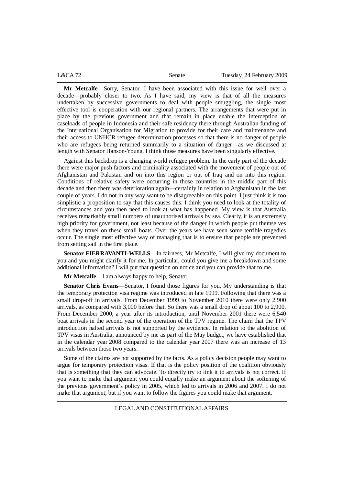| L&CA72 | Senate | Tuesday, 24 February 2009 |
|--------|--------|---------------------------|
|        |        |                           |

**Mr Metcalfe**—Sorry, Senator. I have been associated with this issue for well over a decade—probably closer to two. As I have said, my view is that of all the measures undertaken by successive governments to deal with people smuggling, the single most effective tool is cooperation with our regional partners. The arrangements that were put in place by the previous government and that remain in place enable the interception of caseloads of people in Indonesia and their safe residency there through Australian funding of the International Organisation for Migration to provide for their care and maintenance and their access to UNHCR refugee determination processes so that there is no danger of people who are refugees being returned summarily to a situation of danger—as we discussed at length with Senator Hanson-Young. I think those measures have been singularly effective.

Against this backdrop is a changing world refugee problem. In the early part of the decade there were major push factors and criminality associated with the movement of people out of Afghanistan and Pakistan and on into this region or out of Iraq and on into this region. Conditions of relative safety were occurring in those countries in the middle part of this decade and then there was deterioration again—certainly in relation to Afghanistan in the last couple of years. I do not in any way want to be disagreeable on this point. I just think it is too simplistic a proposition to say that this causes this. I think you need to look at the totality of circumstances and you then need to look at what has happened. My view is that Australia receives remarkably small numbers of unauthorised arrivals by sea. Clearly, it is an extremely high priority for government, not least because of the danger in which people put themselves when they travel on these small boats. Over the years we have seen some terrible tragedies occur. The single most effective way of managing that is to ensure that people are prevented from setting sail in the first place.

**Senator FIERRAVANTI-WELLS**—In fairness, Mr Metcalfe, I will give my document to you and you might clarify it for me. In particular, could you give me a breakdown and some additional information? I will put that question on notice and you can provide that to me.

**Mr Metcalfe**—I am always happy to help, Senator.

**Senator Chris Evans**—Senator, I found those figures for you. My understanding is that the temporary protection visa regime was introduced in late 1999. Following that there was a small drop-off in arrivals. From December 1999 to November 2010 there were only 2,900 arrivals, as compared with 3,000 before that. So there was a small drop of about 100 to 2,900. From December 2000, a year after its introduction, until November 2001 there were 6,540 boat arrivals in the second year of the operation of the TPV regime. The claim that the TPV introduction halted arrivals is not supported by the evidence. In relation to the abolition of TPV visas in Australia, announced by me as part of the May budget, we have established that in the calendar year 2008 compared to the calendar year 2007 there was an increase of 13 arrivals between those two years.

Some of the claims are not supported by the facts. As a policy decision people may want to argue for temporary protection visas. If that is the policy position of the coalition obviously that is something that they can advocate. To directly try to link it to arrivals is not correct. If you want to make that argument you could equally make an argument about the softening of the previous government's policy in 2005, which led to arrivals in 2006 and 2007. I do not make that argument, but if you want to follow the figures you could make that argument.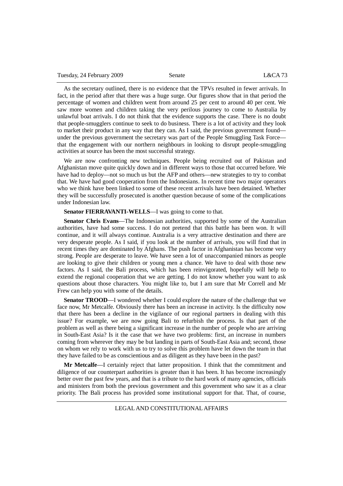| Tuesday, 24 February 2009 | Senate | L&CA73 |
|---------------------------|--------|--------|
|---------------------------|--------|--------|

As the secretary outlined, there is no evidence that the TPVs resulted in fewer arrivals. In fact, in the period after that there was a huge surge. Our figures show that in that period the percentage of women and children went from around 25 per cent to around 40 per cent. We saw more women and children taking the very perilous journey to come to Australia by unlawful boat arrivals. I do not think that the evidence supports the case. There is no doubt that people-smugglers continue to seek to do business. There is a lot of activity and they look to market their product in any way that they can. As I said, the previous government found under the previous government the secretary was part of the People Smuggling Task Force that the engagement with our northern neighbours in looking to disrupt people-smuggling activities at source has been the most successful strategy.

We are now confronting new techniques. People being recruited out of Pakistan and Afghanistan move quite quickly down and in different ways to those that occurred before. We have had to deploy—not so much us but the AFP and others—new strategies to try to combat that. We have had good cooperation from the Indonesians. In recent time two major operators who we think have been linked to some of these recent arrivals have been detained. Whether they will be successfully prosecuted is another question because of some of the complications under Indonesian law.

### **Senator FIERRAVANTI-WELLS—I** was going to come to that.

**Senator Chris Evans**—The Indonesian authorities, supported by some of the Australian authorities, have had some success. I do not pretend that this battle has been won. It will continue, and it will always continue. Australia is a very attractive destination and there are very desperate people. As I said, if you look at the number of arrivals, you will find that in recent times they are dominated by Afghans. The push factor in Afghanistan has become very strong. People are desperate to leave. We have seen a lot of unaccompanied minors as people are looking to give their children or young men a chance. We have to deal with those new factors. As I said, the Bali process, which has been reinvigorated, hopefully will help to extend the regional cooperation that we are getting. I do not know whether you want to ask questions about those characters. You might like to, but I am sure that Mr Correll and Mr Frew can help you with some of the details.

**Senator TROOD**—I wondered whether I could explore the nature of the challenge that we face now, Mr Metcalfe. Obviously there has been an increase in activity. Is the difficulty now that there has been a decline in the vigilance of our regional partners in dealing with this issue? For example, we are now going Bali to refurbish the process. Is that part of the problem as well as there being a significant increase in the number of people who are arriving in South-East Asia? Is it the case that we have two problems: first, an increase in numbers coming from wherever they may be but landing in parts of South-East Asia and; second, those on whom we rely to work with us to try to solve this problem have let down the team in that they have failed to be as conscientious and as diligent as they have been in the past?

**Mr Metcalfe**—I certainly reject that latter proposition. I think that the commitment and diligence of our counterpart authorities is greater than it has been. It has become increasingly better over the past few years, and that is a tribute to the hard work of many agencies, officials and ministers from both the previous government and this government who saw it as a clear priority. The Bali process has provided some institutional support for that. That, of course,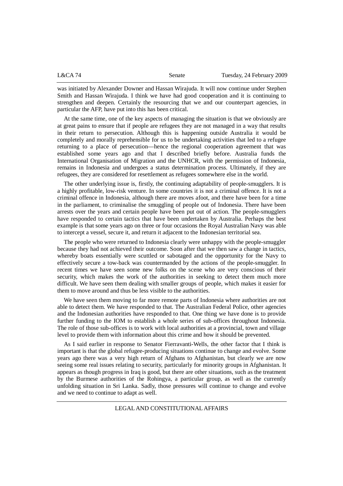| L&CA 74 | Senate | Tuesday, 24 February 2009 |
|---------|--------|---------------------------|
|         |        |                           |

was initiated by Alexander Downer and Hassan Wirajuda. It will now continue under Stephen Smith and Hassan Wirajuda. I think we have had good cooperation and it is continuing to strengthen and deepen. Certainly the resourcing that we and our counterpart agencies, in particular the AFP, have put into this has been critical.

At the same time, one of the key aspects of managing the situation is that we obviously are at great pains to ensure that if people are refugees they are not managed in a way that results in their return to persecution. Although this is happening outside Australia it would be completely and morally reprehensible for us to be undertaking activities that led to a refugee returning to a place of persecution—hence the regional cooperation agreement that was established some years ago and that I described briefly before. Australia funds the International Organisation of Migration and the UNHCR, with the permission of Indonesia, remains in Indonesia and undergoes a status determination process. Ultimately, if they are refugees, they are considered for resettlement as refugees somewhere else in the world.

The other underlying issue is, firstly, the continuing adaptability of people-smugglers. It is a highly profitable, low-risk venture. In some countries it is not a criminal offence. It is not a criminal offence in Indonesia, although there are moves afoot, and there have been for a time in the parliament, to criminalise the smuggling of people out of Indonesia. There have been arrests over the years and certain people have been put out of action. The people-smugglers have responded to certain tactics that have been undertaken by Australia. Perhaps the best example is that some years ago on three or four occasions the Royal Australian Navy was able to intercept a vessel, secure it, and return it adjacent to the Indonesian territorial sea.

The people who were returned to Indonesia clearly were unhappy with the people-smuggler because they had not achieved their outcome. Soon after that we then saw a change in tactics, whereby boats essentially were scuttled or sabotaged and the opportunity for the Navy to effectively secure a tow-back was countermanded by the actions of the people-smuggler. In recent times we have seen some new folks on the scene who are very conscious of their security, which makes the work of the authorities in seeking to detect them much more difficult. We have seen them dealing with smaller groups of people, which makes it easier for them to move around and thus be less visible to the authorities.

We have seen them moving to far more remote parts of Indonesia where authorities are not able to detect them. We have responded to that. The Australian Federal Police, other agencies and the Indonesian authorities have responded to that. One thing we have done is to provide further funding to the IOM to establish a whole series of sub-offices throughout Indonesia. The role of those sub-offices is to work with local authorities at a provincial, town and village level to provide them with information about this crime and how it should be prevented.

As I said earlier in response to Senator Fierravanti-Wells, the other factor that I think is important is that the global refugee-producing situations continue to change and evolve. Some years ago there was a very high return of Afghans to Afghanistan, but clearly we are now seeing some real issues relating to security, particularly for minority groups in Afghanistan. It appears as though progress in Iraq is good, but there are other situations, such as the treatment by the Burmese authorities of the Rohingya, a particular group, as well as the currently unfolding situation in Sri Lanka. Sadly, those pressures will continue to change and evolve and we need to continue to adapt as well.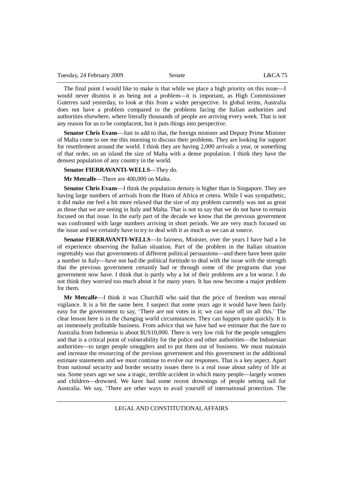The final point I would like to make is that while we place a high priority on this issue—I would never dismiss it as being not a problem—it is important, as High Commissioner Guterres said yesterday, to look at this from a wider perspective. In global terms, Australia does not have a problem compared to the problems facing the Italian authorities and authorities elsewhere, where literally thousands of people are arriving every week. That is not any reason for us to be complacent, but it puts things into perspective.

**Senator Chris Evans**—Just to add to that, the foreign minister and Deputy Prime Minister of Malta come to see me this morning to discuss their problems. They are looking for support for resettlement around the world. I think they are having 2,000 arrivals a year, or something of that order, on an island the size of Malta with a dense population. I think they have the densest population of any country in the world.

**Senator FIERRAVANTI-WELLS**—They do.

**Mr Metcalfe**—There are 400,000 on Malta.

**Senator Chris Evans**—I think the population density is higher than in Singapore. They are having large numbers of arrivals from the Horn of Africa et cetera. While I was sympathetic, it did make me feel a bit more relaxed that the size of my problem currently was not as great as those that we are seeing in Italy and Malta. That is not to say that we do not have to remain focused on that issue. In the early part of the decade we know that the previous government was confronted with large numbers arriving in short periods. We are very much focused on the issue and we certainly have to try to deal with it as much as we can at source.

**Senator FIERRAVANTI-WELLS**—In fairness, Minister, over the years I have had a lot of experience observing the Italian situation. Part of the problem in the Italian situation regrettably was that governments of different political persuasions—and there have been quite a number in Italy—have not had the political fortitude to deal with the issue with the strength that the previous government certainly had or through some of the programs that your government now have. I think that is partly why a lot of their problems are a lot worse. I do not think they worried too much about it for many years. It has now become a major problem for them.

**Mr Metcalfe**—I think it was Churchill who said that the price of freedom was eternal vigilance. It is a bit the same here. I suspect that some years ago it would have been fairly easy for the government to say, 'There are not votes in it; we can ease off on all this.' The clear lesson here is in the changing world circumstances. They can happen quite quickly. It is an immensely profitable business. From advice that we have had we estimate that the fare to Australia from Indonesia is about \$US10,000. There is very low risk for the people smugglers and that is a critical point of vulnerability for the police and other authorities—the Indonesian authorities—to target people smugglers and to put them out of business. We must maintain and increase the resourcing of the previous government and this government in the additional estimate statements and we must continue to evolve our responses. That is a key aspect. Apart from national security and border security issues there is a real issue about safety of life at sea. Some years ago we saw a tragic, terrible accident in which many people—largely women and children—drowned. We have had some recent drownings of people setting sail for Australia. We say, 'There are other ways to avail yourself of international protection. The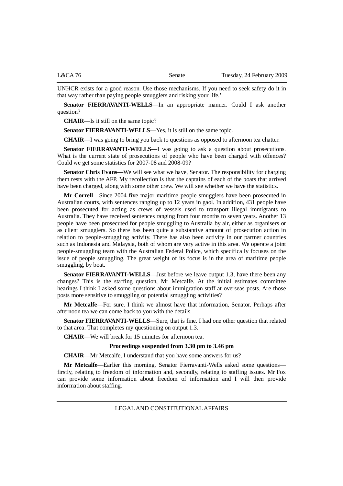UNHCR exists for a good reason. Use those mechanisms. If you need to seek safety do it in that way rather than paying people smugglers and risking your life.'

**Senator FIERRAVANTI-WELLS**—In an appropriate manner. Could I ask another question?

**CHAIR**—Is it still on the same topic?

**Senator FIERRAVANTI-WELLS**—Yes, it is still on the same topic.

**CHAIR**—I was going to bring you back to questions as opposed to afternoon tea chatter.

**Senator FIERRAVANTI-WELLS**—I was going to ask a question about prosecutions. What is the current state of prosecutions of people who have been charged with offences? Could we get some statistics for 2007-08 and 2008-09?

**Senator Chris Evans**—We will see what we have, Senator. The responsibility for charging them rests with the AFP. My recollection is that the captains of each of the boats that arrived have been charged, along with some other crew. We will see whether we have the statistics.

**Mr Correll**—Since 2004 five major maritime people smugglers have been prosecuted in Australian courts, with sentences ranging up to 12 years in gaol. In addition, 431 people have been prosecuted for acting as crews of vessels used to transport illegal immigrants to Australia. They have received sentences ranging from four months to seven years. Another 13 people have been prosecuted for people smuggling to Australia by air, either as organisers or as client smugglers. So there has been quite a substantive amount of prosecution action in relation to people-smuggling activity. There has also been activity in our partner countries such as Indonesia and Malaysia, both of whom are very active in this area. We operate a joint people-smuggling team with the Australian Federal Police, which specifically focuses on the issue of people smuggling. The great weight of its focus is in the area of maritime people smuggling, by boat.

**Senator FIERRAVANTI-WELLS**—Just before we leave output 1.3, have there been any changes? This is the staffing question, Mr Metcalfe. At the initial estimates committee hearings I think I asked some questions about immigration staff at overseas posts. Are those posts more sensitive to smuggling or potential smuggling activities?

**Mr Metcalfe**—For sure. I think we almost have that information, Senator. Perhaps after afternoon tea we can come back to you with the details.

**Senator FIERRAVANTI-WELLS**—Sure, that is fine. I had one other question that related to that area. That completes my questioning on output 1.3.

**CHAIR**—We will break for 15 minutes for afternoon tea.

### **Proceedings suspended from 3.30 pm to 3.46 pm**

**CHAIR**—Mr Metcalfe, I understand that you have some answers for us?

**Mr Metcalfe**—Earlier this morning, Senator Fierravanti-Wells asked some questions firstly, relating to freedom of information and, secondly, relating to staffing issues. Mr Fox can provide some information about freedom of information and I will then provide information about staffing.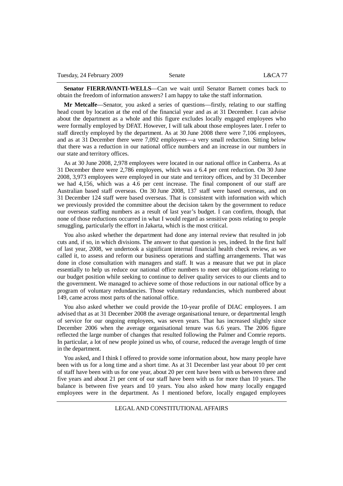**Senator FIERRAVANTI-WELLS**—Can we wait until Senator Barnett comes back to obtain the freedom of information answers? I am happy to take the staff information.

**Mr Metcalfe**—Senator, you asked a series of questions—firstly, relating to our staffing head count by location at the end of the financial year and as at 31 December. I can advise about the department as a whole and this figure excludes locally engaged employees who were formally employed by DFAT. However, I will talk about those employees later. I refer to staff directly employed by the department. As at 30 June 2008 there were 7,106 employees, and as at 31 December there were 7,092 employees—a very small reduction. Sitting below that there was a reduction in our national office numbers and an increase in our numbers in our state and territory offices.

As at 30 June 2008, 2,978 employees were located in our national office in Canberra. As at 31 December there were 2,786 employees, which was a 6.4 per cent reduction. On 30 June 2008, 3,973 employees were employed in our state and territory offices, and by 31 December we had 4,156, which was a 4.6 per cent increase. The final component of our staff are Australian based staff overseas. On 30 June 2008, 137 staff were based overseas, and on 31 December 124 staff were based overseas. That is consistent with information with which we previously provided the committee about the decision taken by the government to reduce our overseas staffing numbers as a result of last year's budget. I can confirm, though, that none of those reductions occurred in what I would regard as sensitive posts relating to people smuggling, particularly the effort in Jakarta, which is the most critical.

You also asked whether the department had done any internal review that resulted in job cuts and, if so, in which divisions. The answer to that question is yes, indeed. In the first half of last year, 2008, we undertook a significant internal financial health check review, as we called it, to assess and reform our business operations and staffing arrangements. That was done in close consultation with managers and staff. It was a measure that we put in place essentially to help us reduce our national office numbers to meet our obligations relating to our budget position while seeking to continue to deliver quality services to our clients and to the government. We managed to achieve some of those reductions in our national office by a program of voluntary redundancies. Those voluntary redundancies, which numbered about 149, came across most parts of the national office.

You also asked whether we could provide the 10-year profile of DIAC employees. I am advised that as at 31 December 2008 the average organisational tenure, or departmental length of service for our ongoing employees, was seven years. That has increased slightly since December 2006 when the average organisational tenure was 6.6 years. The 2006 figure reflected the large number of changes that resulted following the Palmer and Comrie reports. In particular, a lot of new people joined us who, of course, reduced the average length of time in the department.

You asked, and I think I offered to provide some information about, how many people have been with us for a long time and a short time. As at 31 December last year about 10 per cent of staff have been with us for one year, about 20 per cent have been with us between three and five years and about 21 per cent of our staff have been with us for more than 10 years. The balance is between five years and 10 years. You also asked how many locally engaged employees were in the department. As I mentioned before, locally engaged employees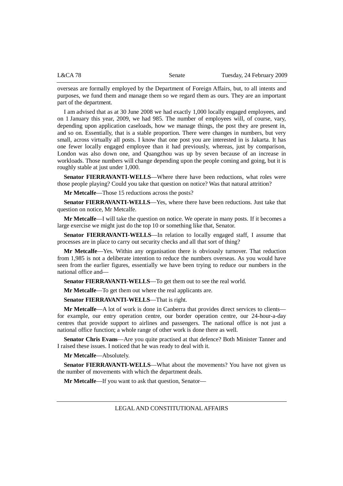overseas are formally employed by the Department of Foreign Affairs, but, to all intents and purposes, we fund them and manage them so we regard them as ours. They are an important part of the department.

I am advised that as at 30 June 2008 we had exactly 1,000 locally engaged employees, and on 1 January this year, 2009, we had 985. The number of employees will, of course, vary, depending upon application caseloads, how we manage things, the post they are present in, and so on. Essentially, that is a stable proportion. There were changes in numbers, but very small, across virtually all posts. I know that one post you are interested in is Jakarta. It has one fewer locally engaged employee than it had previously, whereas, just by comparison, London was also down one, and Quangzhou was up by seven because of an increase in workloads. Those numbers will change depending upon the people coming and going, but it is roughly stable at just under 1,000.

**Senator FIERRAVANTI-WELLS**—Where there have been reductions, what roles were those people playing? Could you take that question on notice? Was that natural attrition?

**Mr Metcalfe**—Those 15 reductions across the posts?

**Senator FIERRAVANTI-WELLS**—Yes, where there have been reductions. Just take that question on notice, Mr Metcalfe.

**Mr Metcalfe**—I will take the question on notice. We operate in many posts. If it becomes a large exercise we might just do the top 10 or something like that, Senator.

**Senator FIERRAVANTI-WELLS**—In relation to locally engaged staff, I assume that processes are in place to carry out security checks and all that sort of thing?

**Mr Metcalfe**—Yes. Within any organisation there is obviously turnover. That reduction from 1,985 is not a deliberate intention to reduce the numbers overseas. As you would have seen from the earlier figures, essentially we have been trying to reduce our numbers in the national office and—

**Senator FIERRAVANTI-WELLS**—To get them out to see the real world.

**Mr Metcalfe**—To get them out where the real applicants are.

**Senator FIERRAVANTI-WELLS**—That is right.

**Mr Metcalfe**—A lot of work is done in Canberra that provides direct services to clients for example, our entry operation centre, our border operation centre, our 24-hour-a-day centres that provide support to airlines and passengers. The national office is not just a national office function; a whole range of other work is done there as well.

**Senator Chris Evans**—Are you quite practised at that defence? Both Minister Tanner and I raised these issues. I noticed that he was ready to deal with it.

**Mr Metcalfe**—Absolutely.

**Senator FIERRAVANTI-WELLS**—What about the movements? You have not given us the number of movements with which the department deals.

**Mr Metcalfe**—If you want to ask that question, Senator—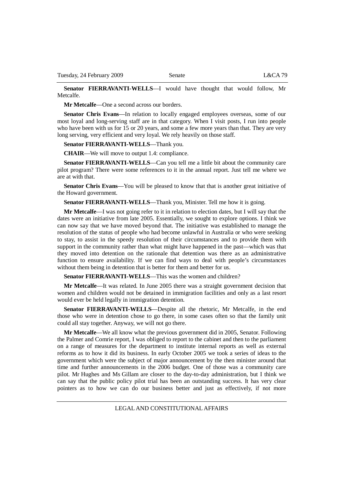**Senator FIERRAVANTI-WELLS**—I would have thought that would follow, Mr Metcalfe.

**Mr Metcalfe**—One a second across our borders.

**Senator Chris Evans**—In relation to locally engaged employees overseas, some of our most loyal and long-serving staff are in that category. When I visit posts, I run into people who have been with us for 15 or 20 years, and some a few more years than that. They are very long serving, very efficient and very loyal. We rely heavily on those staff.

**Senator FIERRAVANTI-WELLS**—Thank you.

**CHAIR**—We will move to output 1.4: compliance.

**Senator FIERRAVANTI-WELLS**—Can you tell me a little bit about the community care pilot program? There were some references to it in the annual report. Just tell me where we are at with that.

**Senator Chris Evans**—You will be pleased to know that that is another great initiative of the Howard government.

**Senator FIERRAVANTI-WELLS**—Thank you, Minister. Tell me how it is going.

**Mr Metcalfe**—I was not going refer to it in relation to election dates, but I will say that the dates were an initiative from late 2005. Essentially, we sought to explore options. I think we can now say that we have moved beyond that. The initiative was established to manage the resolution of the status of people who had become unlawful in Australia or who were seeking to stay, to assist in the speedy resolution of their circumstances and to provide them with support in the community rather than what might have happened in the past—which was that they moved into detention on the rationale that detention was there as an administrative function to ensure availability. If we can find ways to deal with people's circumstances without them being in detention that is better for them and better for us.

**Senator FIERRAVANTI-WELLS—This was the women and children?** 

**Mr Metcalfe**—It was related. In June 2005 there was a straight government decision that women and children would not be detained in immigration facilities and only as a last resort would ever be held legally in immigration detention.

**Senator FIERRAVANTI-WELLS**—Despite all the rhetoric, Mr Metcalfe, in the end those who were in detention chose to go there, in some cases often so that the family unit could all stay together. Anyway, we will not go there.

**Mr Metcalfe**—We all know what the previous government did in 2005, Senator. Following the Palmer and Comrie report, I was obliged to report to the cabinet and then to the parliament on a range of measures for the department to institute internal reports as well as external reforms as to how it did its business. In early October 2005 we took a series of ideas to the government which were the subject of major announcement by the then minister around that time and further announcements in the 2006 budget. One of those was a community care pilot. Mr Hughes and Ms Gillam are closer to the day-to-day administration, but I think we can say that the public policy pilot trial has been an outstanding success. It has very clear pointers as to how we can do our business better and just as effectively, if not more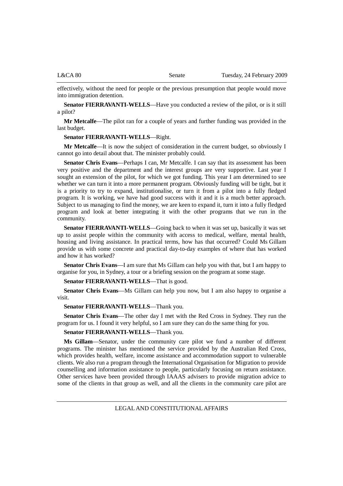effectively, without the need for people or the previous presumption that people would move into immigration detention.

**Senator FIERRAVANTI-WELLS**—Have you conducted a review of the pilot, or is it still a pilot?

**Mr Metcalfe**—The pilot ran for a couple of years and further funding was provided in the last budget.

#### **Senator FIERRAVANTI-WELLS**—Right.

**Mr Metcalfe**—It is now the subject of consideration in the current budget, so obviously I cannot go into detail about that. The minister probably could.

**Senator Chris Evans**—Perhaps I can, Mr Metcalfe. I can say that its assessment has been very positive and the department and the interest groups are very supportive. Last year I sought an extension of the pilot, for which we got funding. This year I am determined to see whether we can turn it into a more permanent program. Obviously funding will be tight, but it is a priority to try to expand, institutionalise, or turn it from a pilot into a fully fledged program. It is working, we have had good success with it and it is a much better approach. Subject to us managing to find the money, we are keen to expand it, turn it into a fully fledged program and look at better integrating it with the other programs that we run in the community.

**Senator FIERRAVANTI-WELLS**—Going back to when it was set up, basically it was set up to assist people within the community with access to medical, welfare, mental health, housing and living assistance. In practical terms, how has that occurred? Could Ms Gillam provide us with some concrete and practical day-to-day examples of where that has worked and how it has worked?

**Senator Chris Evans**—I am sure that Ms Gillam can help you with that, but I am happy to organise for you, in Sydney, a tour or a briefing session on the program at some stage.

**Senator FIERRAVANTI-WELLS**—That is good.

**Senator Chris Evans**—Ms Gillam can help you now, but I am also happy to organise a visit.

**Senator FIERRAVANTI-WELLS**—Thank you.

**Senator Chris Evans**—The other day I met with the Red Cross in Sydney. They run the program for us. I found it very helpful, so I am sure they can do the same thing for you.

# **Senator FIERRAVANTI-WELLS**—Thank you.

**Ms Gillam**—Senator, under the community care pilot we fund a number of different programs. The minister has mentioned the service provided by the Australian Red Cross, which provides health, welfare, income assistance and accommodation support to vulnerable clients. We also run a program through the International Organisation for Migration to provide counselling and information assistance to people, particularly focusing on return assistance. Other services have been provided through IAAAS advisers to provide migration advice to some of the clients in that group as well, and all the clients in the community care pilot are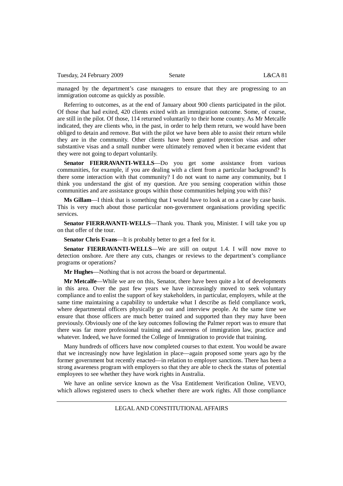managed by the department's case managers to ensure that they are progressing to an immigration outcome as quickly as possible.

Referring to outcomes, as at the end of January about 900 clients participated in the pilot. Of those that had exited, 420 clients exited with an immigration outcome. Some, of course, are still in the pilot. Of those, 114 returned voluntarily to their home country. As Mr Metcalfe indicated, they are clients who, in the past, in order to help them return, we would have been obliged to detain and remove. But with the pilot we have been able to assist their return while they are in the community. Other clients have been granted protection visas and other substantive visas and a small number were ultimately removed when it became evident that they were not going to depart voluntarily.

**Senator FIERRAVANTI-WELLS**—Do you get some assistance from various communities, for example, if you are dealing with a client from a particular background? Is there some interaction with that community? I do not want to name any community, but I think you understand the gist of my question. Are you sensing cooperation within those communities and are assistance groups within those communities helping you with this?

**Ms Gillam**—I think that is something that I would have to look at on a case by case basis. This is very much about those particular non-government organisations providing specific services.

**Senator FIERRAVANTI-WELLS**—Thank you. Thank you, Minister. I will take you up on that offer of the tour.

**Senator Chris Evans**—It is probably better to get a feel for it.

**Senator FIERRAVANTI-WELLS**—We are still on output 1.4. I will now move to detection onshore. Are there any cuts, changes or reviews to the department's compliance programs or operations?

**Mr Hughes**—Nothing that is not across the board or departmental.

**Mr Metcalfe**—While we are on this, Senator, there have been quite a lot of developments in this area. Over the past few years we have increasingly moved to seek voluntary compliance and to enlist the support of key stakeholders, in particular, employers, while at the same time maintaining a capability to undertake what I describe as field compliance work, where departmental officers physically go out and interview people. At the same time we ensure that those officers are much better trained and supported than they may have been previously. Obviously one of the key outcomes following the Palmer report was to ensure that there was far more professional training and awareness of immigration law, practice and whatever. Indeed, we have formed the College of Immigration to provide that training.

Many hundreds of officers have now completed courses to that extent. You would be aware that we increasingly now have legislation in place—again proposed some years ago by the former government but recently enacted—in relation to employer sanctions. There has been a strong awareness program with employers so that they are able to check the status of potential employees to see whether they have work rights in Australia.

We have an online service known as the Visa Entitlement Verification Online, VEVO, which allows registered users to check whether there are work rights. All those compliance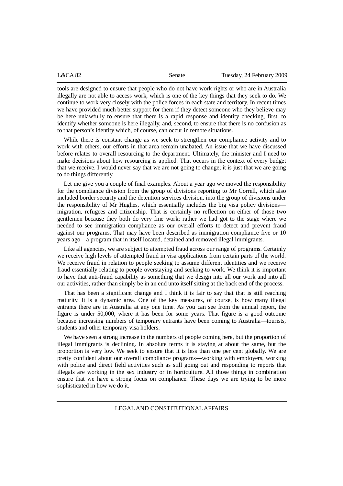| L&CA82 | Senate | Tuesday, 24 February 2009 |
|--------|--------|---------------------------|
|        |        |                           |

tools are designed to ensure that people who do not have work rights or who are in Australia illegally are not able to access work, which is one of the key things that they seek to do. We continue to work very closely with the police forces in each state and territory. In recent times we have provided much better support for them if they detect someone who they believe may be here unlawfully to ensure that there is a rapid response and identity checking, first, to identify whether someone is here illegally, and, second, to ensure that there is no confusion as to that person's identity which, of course, can occur in remote situations.

While there is constant change as we seek to strengthen our compliance activity and to work with others, our efforts in that area remain unabated. An issue that we have discussed before relates to overall resourcing to the department. Ultimately, the minister and I need to make decisions about how resourcing is applied. That occurs in the context of every budget that we receive. I would never say that we are not going to change; it is just that we are going to do things differently.

Let me give you a couple of final examples. About a year ago we moved the responsibility for the compliance division from the group of divisions reporting to Mr Correll, which also included border security and the detention services division, into the group of divisions under the responsibility of Mr Hughes, which essentially includes the big visa policy divisions migration, refugees and citizenship. That is certainly no reflection on either of those two gentlemen because they both do very fine work; rather we had got to the stage where we needed to see immigration compliance as our overall efforts to detect and prevent fraud against our programs. That may have been described as immigration compliance five or 10 years ago—a program that in itself located, detained and removed illegal immigrants.

Like all agencies, we are subject to attempted fraud across our range of programs. Certainly we receive high levels of attempted fraud in visa applications from certain parts of the world. We receive fraud in relation to people seeking to assume different identities and we receive fraud essentially relating to people overstaying and seeking to work. We think it is important to have that anti-fraud capability as something that we design into all our work and into all our activities, rather than simply be in an end unto itself sitting at the back end of the process.

That has been a significant change and I think it is fair to say that that is still reaching maturity. It is a dynamic area. One of the key measures, of course, is how many illegal entrants there are in Australia at any one time. As you can see from the annual report, the figure is under 50,000, where it has been for some years. That figure is a good outcome because increasing numbers of temporary entrants have been coming to Australia—tourists, students and other temporary visa holders.

We have seen a strong increase in the numbers of people coming here, but the proportion of illegal immigrants is declining. In absolute terms it is staying at about the same, but the proportion is very low. We seek to ensure that it is less than one per cent globally. We are pretty confident about our overall compliance programs—working with employers, working with police and direct field activities such as still going out and responding to reports that illegals are working in the sex industry or in horticulture. All those things in combination ensure that we have a strong focus on compliance. These days we are trying to be more sophisticated in how we do it.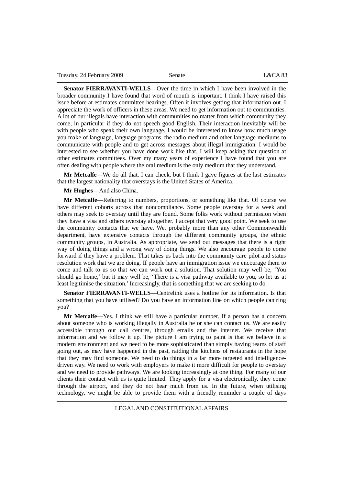**Senator FIERRAVANTI-WELLS**—Over the time in which I have been involved in the broader community I have found that word of mouth is important. I think I have raised this issue before at estimates committee hearings. Often it involves getting that information out. I appreciate the work of officers in these areas. We need to get information out to communities. A lot of our illegals have interaction with communities no matter from which community they come, in particular if they do not speech good English. Their interaction inevitably will be with people who speak their own language. I would be interested to know how much usage you make of language, language programs, the radio medium and other language mediums to communicate with people and to get across messages about illegal immigration. I would be interested to see whether you have done work like that. I will keep asking that question at other estimates committees. Over my many years of experience I have found that you are often dealing with people where the oral medium is the only medium that they understand.

**Mr Metcalfe**—We do all that. I can check, but I think I gave figures at the last estimates that the largest nationality that overstays is the United States of America.

**Mr Hughes**—And also China.

**Mr Metcalfe**—Referring to numbers, proportions, or something like that. Of course we have different cohorts across that noncompliance. Some people overstay for a week and others may seek to overstay until they are found. Some folks work without permission when they have a visa and others overstay altogether. I accept that very good point. We seek to use the community contacts that we have. We, probably more than any other Commonwealth department, have extensive contacts through the different community groups, the ethnic community groups, in Australia. As appropriate, we send out messages that there is a right way of doing things and a wrong way of doing things. We also encourage people to come forward if they have a problem. That takes us back into the community care pilot and status resolution work that we are doing. If people have an immigration issue we encourage them to come and talk to us so that we can work out a solution. That solution may well be, 'You should go home,' but it may well be, 'There is a visa pathway available to you, so let us at least legitimise the situation.' Increasingly, that is something that we are seeking to do.

**Senator FIERRAVANTI-WELLS**—Centrelink uses a hotline for its information. Is that something that you have utilised? Do you have an information line on which people can ring you?

**Mr Metcalfe**—Yes. I think we still have a particular number. If a person has a concern about someone who is working illegally in Australia he or she can contact us. We are easily accessible through our call centres, through emails and the internet. We receive that information and we follow it up. The picture I am trying to paint is that we believe in a modern environment and we need to be more sophisticated than simply having teams of staff going out, as may have happened in the past, raiding the kitchens of restaurants in the hope that they may find someone. We need to do things in a far more targeted and intelligencedriven way. We need to work with employers to make it more difficult for people to overstay and we need to provide pathways. We are looking increasingly at one thing. For many of our clients their contact with us is quite limited. They apply for a visa electronically, they come through the airport, and they do not hear much from us. In the future, when utilising technology, we might be able to provide them with a friendly reminder a couple of days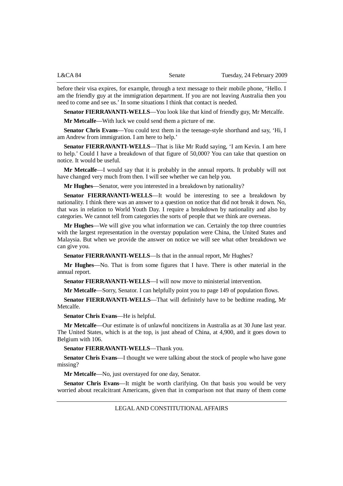before their visa expires, for example, through a text message to their mobile phone, 'Hello. I am the friendly guy at the immigration department. If you are not leaving Australia then you need to come and see us.' In some situations I think that contact is needed.

**Senator FIERRAVANTI-WELLS**—You look like that kind of friendly guy, Mr Metcalfe.

**Mr Metcalfe**—With luck we could send them a picture of me.

**Senator Chris Evans**—You could text them in the teenage-style shorthand and say, 'Hi, I am Andrew from immigration. I am here to help.'

**Senator FIERRAVANTI-WELLS**—That is like Mr Rudd saying, 'I am Kevin. I am here to help.' Could I have a breakdown of that figure of 50,000? You can take that question on notice. It would be useful.

**Mr Metcalfe**—I would say that it is probably in the annual reports. It probably will not have changed very much from then. I will see whether we can help you.

**Mr Hughes**—Senator, were you interested in a breakdown by nationality?

**Senator FIERRAVANTI-WELLS**—It would be interesting to see a breakdown by nationality. I think there was an answer to a question on notice that did not break it down. No, that was in relation to World Youth Day. I require a breakdown by nationality and also by categories. We cannot tell from categories the sorts of people that we think are overseas.

**Mr Hughes**—We will give you what information we can. Certainly the top three countries with the largest representation in the overstay population were China, the United States and Malaysia. But when we provide the answer on notice we will see what other breakdown we can give you.

**Senator FIERRAVANTI-WELLS**—Is that in the annual report, Mr Hughes?

**Mr Hughes**—No. That is from some figures that I have. There is other material in the annual report.

**Senator FIERRAVANTI-WELLS**—I will now move to ministerial intervention.

**Mr Metcalfe**—Sorry, Senator. I can helpfully point you to page 149 of population flows.

**Senator FIERRAVANTI-WELLS**—That will definitely have to be bedtime reading, Mr Metcalfe.

**Senator Chris Evans**—He is helpful.

**Mr Metcalfe**—Our estimate is of unlawful noncitizens in Australia as at 30 June last year. The United States, which is at the top, is just ahead of China, at 4,900, and it goes down to Belgium with 106.

**Senator FIERRAVANTI-WELLS**—Thank you.

**Senator Chris Evans**—I thought we were talking about the stock of people who have gone missing?

**Mr Metcalfe**—No, just overstayed for one day, Senator.

**Senator Chris Evans**—It might be worth clarifying. On that basis you would be very worried about recalcitrant Americans, given that in comparison not that many of them come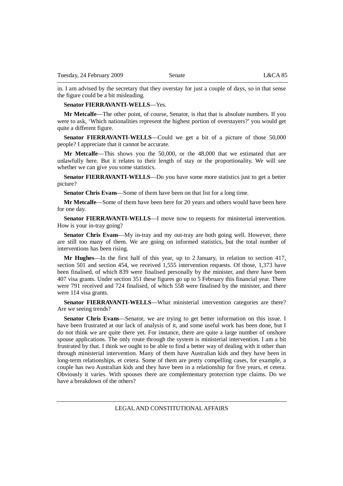in. I am advised by the secretary that they overstay for just a couple of days, so in that sense the figure could be a bit misleading.

### **Senator FIERRAVANTI-WELLS**—Yes.

**Mr Metcalfe**—The other point, of course, Senator, is that that is absolute numbers. If you were to ask, 'Which nationalities represent the highest portion of overstayers?' you would get quite a different figure.

**Senator FIERRAVANTI-WELLS**—Could we get a bit of a picture of those 50,000 people? I appreciate that it cannot be accurate.

**Mr Metcalfe**—This shows you the 50,000, or the 48,000 that we estimated that are unlawfully here. But it relates to their length of stay or the proportionality. We will see whether we can give you some statistics.

**Senator FIERRAVANTI-WELLS**—Do you have some more statistics just to get a better picture?

**Senator Chris Evans**—Some of them have been on that list for a long time.

**Mr Metcalfe**—Some of them have been here for 20 years and others would have been here for one day.

**Senator FIERRAVANTI-WELLS**—I move now to requests for ministerial intervention. How is your in-tray going?

**Senator Chris Evans—My** in-tray and my out-tray are both going well. However, there are still too many of them. We are going on informed statistics, but the total number of interventions has been rising.

**Mr Hughes**—In the first half of this year, up to 2 January, in relation to section 417, section 501 and section 454, we received 1,555 intervention requests. Of those, 1,373 have been finalised, of which 839 were finalised personally by the minister, and there have been 407 visa grants. Under section 351 these figures go up to 5 February this financial year. There were 791 received and 724 finalised, of which 558 were finalised by the minister, and there were 114 visa grants.

**Senator FIERRAVANTI-WELLS**—What ministerial intervention categories are there? Are we seeing trends?

Senator Chris Evans—Senator, we are trying to get better information on this issue. I have been frustrated at our lack of analysis of it, and some useful work has been done, but I do not think we are quite there yet. For instance, there are quite a large number of onshore spouse applications. The only route through the system is ministerial intervention. I am a bit frustrated by that. I think we ought to be able to find a better way of dealing with it other than through ministerial intervention. Many of them have Australian kids and they have been in long-term relationships, et cetera. Some of them are pretty compelling cases, for example, a couple has two Australian kids and they have been in a relationship for five years, et cetera. Obviously it varies. With spouses there are complementary protection type claims. Do we have a breakdown of the others?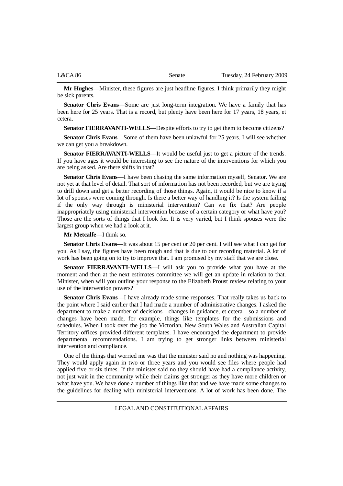| L&CA 86 | Senate | Tuesday, 24 February 2009 |
|---------|--------|---------------------------|
|         |        |                           |

**Mr Hughes**—Minister, these figures are just headline figures. I think primarily they might be sick parents.

**Senator Chris Evans**—Some are just long-term integration. We have a family that has been here for 25 years. That is a record, but plenty have been here for 17 years, 18 years, et cetera.

**Senator FIERRAVANTI-WELLS**—Despite efforts to try to get them to become citizens?

**Senator Chris Evans**—Some of them have been unlawful for 25 years. I will see whether we can get you a breakdown.

**Senator FIERRAVANTI-WELLS**—It would be useful just to get a picture of the trends. If you have ages it would be interesting to see the nature of the interventions for which you are being asked. Are there shifts in that?

**Senator Chris Evans**—I have been chasing the same information myself, Senator. We are not yet at that level of detail. That sort of information has not been recorded, but we are trying to drill down and get a better recording of those things. Again, it would be nice to know if a lot of spouses were coming through. Is there a better way of handling it? Is the system failing if the only way through is ministerial intervention? Can we fix that? Are people inappropriately using ministerial intervention because of a certain category or what have you? Those are the sorts of things that I look for. It is very varied, but I think spouses were the largest group when we had a look at it.

**Mr Metcalfe**—I think so.

**Senator Chris Evans—It** was about 15 per cent or 20 per cent. I will see what I can get for you. As I say, the figures have been rough and that is due to our recording material. A lot of work has been going on to try to improve that. I am promised by my staff that we are close.

**Senator FIERRAVANTI-WELLS**—I will ask you to provide what you have at the moment and then at the next estimates committee we will get an update in relation to that. Minister, when will you outline your response to the Elizabeth Proust review relating to your use of the intervention powers?

**Senator Chris Evans**—I have already made some responses. That really takes us back to the point where I said earlier that I had made a number of administrative changes. I asked the department to make a number of decisions—changes in guidance, et cetera—so a number of changes have been made, for example, things like templates for the submissions and schedules. When I took over the job the Victorian, New South Wales and Australian Capital Territory offices provided different templates. I have encouraged the department to provide departmental recommendations. I am trying to get stronger links between ministerial intervention and compliance.

One of the things that worried me was that the minister said no and nothing was happening. They would apply again in two or three years and you would see files where people had applied five or six times. If the minister said no they should have had a compliance activity, not just wait in the community while their claims get stronger as they have more children or what have you. We have done a number of things like that and we have made some changes to the guidelines for dealing with ministerial interventions. A lot of work has been done. The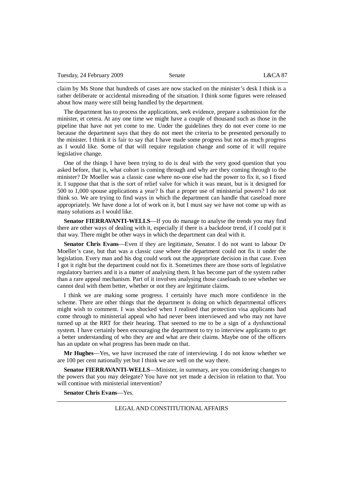claim by Ms Stone that hundreds of cases are now stacked on the minister's desk I think is a rather deliberate or accidental misreading of the situation. I think some figures were released about how many were still being handled by the department.

The department has to process the applications, seek evidence, prepare a submission for the minister, et cetera. At any one time we might have a couple of thousand such as those in the pipeline that have not yet come to me. Under the guidelines they do not ever come to me because the department says that they do not meet the criteria to be presented personally to the minister. I think it is fair to say that I have made some progress but not as much progress as I would like. Some of that will require regulation change and some of it will require legislative change.

One of the things I have been trying to do is deal with the very good question that you asked before, that is, what cohort is coming through and why are they coming through to the minister? Dr Moeller was a classic case where no-one else had the power to fix it, so I fixed it. I suppose that that is the sort of relief valve for which it was meant, but is it designed for 500 to 1,000 spouse applications a year? Is that a proper use of ministerial powers? I do not think so. We are trying to find ways in which the department can handle that caseload more appropriately. We have done a lot of work on it, but I must say we have not come up with as many solutions as I would like.

**Senator FIERRAVANTI-WELLS**—If you do manage to analyse the trends you may find there are other ways of dealing with it, especially if there is a backdoor trend, if I could put it that way. There might be other ways in which the department can deal with it.

**Senator Chris Evans**—Even if they are legitimate, Senator. I do not want to labour Dr Moeller's case, but that was a classic case where the department could not fix it under the legislation. Every man and his dog could work out the appropriate decision in that case. Even I got it right but the department could not fix it. Sometimes there are those sorts of legislative regulatory barriers and it is a matter of analysing them. It has become part of the system rather than a rare appeal mechanism. Part of it involves analysing those caseloads to see whether we cannot deal with them better, whether or not they are legitimate claims.

I think we are making some progress. I certainly have much more confidence in the scheme. There are other things that the department is doing on which departmental officers might wish to comment. I was shocked when I realised that protection visa applicants had come through to ministerial appeal who had never been interviewed and who may not have turned up at the RRT for their hearing. That seemed to me to be a sign of a dysfunctional system. I have certainly been encouraging the department to try to interview applicants to get a better understanding of who they are and what are their claims. Maybe one of the officers has an update on what progress has been made on that.

**Mr Hughes**—Yes, we have increased the rate of interviewing. I do not know whether we are 100 per cent nationally yet but I think we are well on the way there.

**Senator FIERRAVANTI-WELLS**—Minister, in summary, are you considering changes to the powers that you may delegate? You have not yet made a decision in relation to that. You will continue with ministerial intervention?

**Senator Chris Evans**—Yes.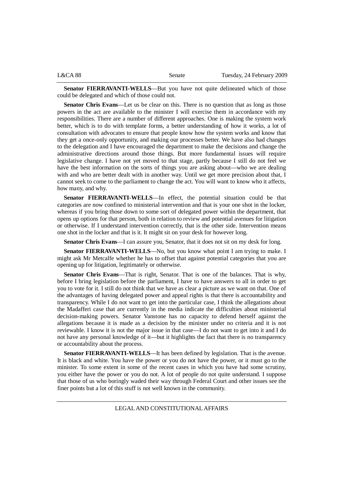| L&CA88 | Senate | Tuesday, 24 February 2009 |
|--------|--------|---------------------------|
|        |        |                           |

**Senator FIERRAVANTI-WELLS**—But you have not quite delineated which of those could be delegated and which of those could not.

**Senator Chris Evans**—Let us be clear on this. There is no question that as long as those powers in the act are available to the minister I will exercise them in accordance with my responsibilities. There are a number of different approaches. One is making the system work better, which is to do with template forms, a better understanding of how it works, a lot of consultation with advocates to ensure that people know how the system works and know that they get a once-only opportunity, and making our processes better. We have also had changes to the delegation and I have encouraged the department to make the decisions and change the administrative directions around those things. But more fundamental issues will require legislative change. I have not yet moved to that stage, partly because I still do not feel we have the best information on the sorts of things you are asking about—who we are dealing with and who are better dealt with in another way. Until we get more precision about that, I cannot seek to come to the parliament to change the act. You will want to know who it affects, how many, and why.

**Senator FIERRAVANTI-WELLS**—In effect, the potential situation could be that categories are now confined to ministerial intervention and that is your one shot in the locker, whereas if you bring those down to some sort of delegated power within the department, that opens up options for that person, both in relation to review and potential avenues for litigation or otherwise. If I understand intervention correctly, that is the other side. Intervention means one shot in the locker and that is it. It might sit on your desk for however long.

**Senator Chris Evans**—I can assure you, Senator, that it does not sit on my desk for long.

**Senator FIERRAVANTI-WELLS**—No, but you know what point I am trying to make. I might ask Mr Metcalfe whether he has to offset that against potential categories that you are opening up for litigation, legitimately or otherwise.

**Senator Chris Evans**—That is right, Senator. That is one of the balances. That is why, before I bring legislation before the parliament, I have to have answers to all in order to get you to vote for it. I still do not think that we have as clear a picture as we want on that. One of the advantages of having delegated power and appeal rights is that there is accountability and transparency. While I do not want to get into the particular case, I think the allegations about the Madafferi case that are currently in the media indicate the difficulties about ministerial decision-making powers. Senator Vanstone has no capacity to defend herself against the allegations because it is made as a decision by the minister under no criteria and it is not reviewable. I know it is not the major issue in that case—I do not want to get into it and I do not have any personal knowledge of it—but it highlights the fact that there is no transparency or accountability about the process.

**Senator FIERRAVANTI-WELLS**—It has been defined by legislation. That is the avenue. It is black and white. You have the power or you do not have the power, or it must go to the minister. To some extent in some of the recent cases in which you have had some scrutiny, you either have the power or you do not. A lot of people do not quite understand. I suppose that those of us who boringly waded their way through Federal Court and other issues see the finer points but a lot of this stuff is not well known in the community.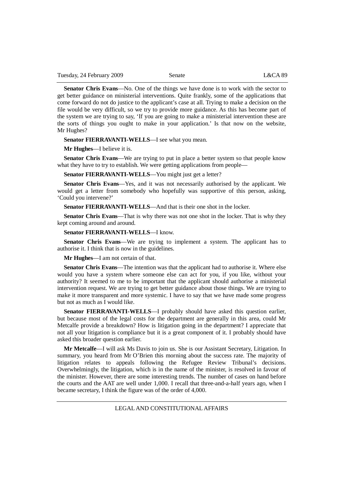**Senator Chris Evans**—No. One of the things we have done is to work with the sector to get better guidance on ministerial interventions. Quite frankly, some of the applications that come forward do not do justice to the applicant's case at all. Trying to make a decision on the file would be very difficult, so we try to provide more guidance. As this has become part of the system we are trying to say, 'If you are going to make a ministerial intervention these are the sorts of things you ought to make in your application.' Is that now on the website, Mr Hughes?

**Senator FIERRAVANTI-WELLS**—I see what you mean.

**Mr Hughes**—I believe it is.

**Senator Chris Evans**—We are trying to put in place a better system so that people know what they have to try to establish. We were getting applications from people—

**Senator FIERRAVANTI-WELLS**—You might just get a letter?

**Senator Chris Evans**—Yes, and it was not necessarily authorised by the applicant. We would get a letter from somebody who hopefully was supportive of this person, asking, 'Could you intervene?'

**Senator FIERRAVANTI-WELLS**—And that is their one shot in the locker.

**Senator Chris Evans**—That is why there was not one shot in the locker. That is why they kept coming around and around.

## **Senator FIERRAVANTI-WELLS**—I know.

**Senator Chris Evans—We** are trying to implement a system. The applicant has to authorise it. I think that is now in the guidelines.

**Mr Hughes**—I am not certain of that.

**Senator Chris Evans**—The intention was that the applicant had to authorise it. Where else would you have a system where someone else can act for you, if you like, without your authority? It seemed to me to be important that the applicant should authorise a ministerial intervention request. We are trying to get better guidance about those things. We are trying to make it more transparent and more systemic. I have to say that we have made some progress but not as much as I would like.

**Senator FIERRAVANTI-WELLS**—I probably should have asked this question earlier, but because most of the legal costs for the department are generally in this area, could Mr Metcalfe provide a breakdown? How is litigation going in the department? I appreciate that not all your litigation is compliance but it is a great component of it. I probably should have asked this broader question earlier.

**Mr Metcalfe**—I will ask Ms Davis to join us. She is our Assistant Secretary, Litigation. In summary, you heard from Mr O'Brien this morning about the success rate. The majority of litigation relates to appeals following the Refugee Review Tribunal's decisions. Overwhelmingly, the litigation, which is in the name of the minister, is resolved in favour of the minister. However, there are some interesting trends. The number of cases on hand before the courts and the AAT are well under 1,000. I recall that three-and-a-half years ago, when I became secretary, I think the figure was of the order of 4,000.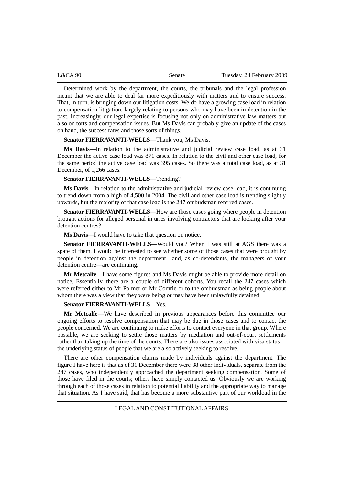Determined work by the department, the courts, the tribunals and the legal profession meant that we are able to deal far more expeditiously with matters and to ensure success. That, in turn, is bringing down our litigation costs. We do have a growing case load in relation to compensation litigation, largely relating to persons who may have been in detention in the past. Increasingly, our legal expertise is focusing not only on administrative law matters but also on torts and compensation issues. But Ms Davis can probably give an update of the cases on hand, the success rates and those sorts of things.

**Senator FIERRAVANTI-WELLS**—Thank you, Ms Davis.

**Ms Davis**—In relation to the administrative and judicial review case load, as at 31 December the active case load was 871 cases. In relation to the civil and other case load, for the same period the active case load was 395 cases. So there was a total case load, as at 31 December, of 1,266 cases.

## **Senator FIERRAVANTI-WELLS**—Trending?

**Ms Davis**—In relation to the administrative and judicial review case load, it is continuing to trend down from a high of 4,500 in 2004. The civil and other case load is trending slightly upwards, but the majority of that case load is the 247 ombudsman referred cases.

**Senator FIERRAVANTI-WELLS**—How are those cases going where people in detention brought actions for alleged personal injuries involving contractors that are looking after your detention centres?

**Ms Davis**—I would have to take that question on notice.

**Senator FIERRAVANTI-WELLS**—Would you? When I was still at AGS there was a spate of them. I would be interested to see whether some of those cases that were brought by people in detention against the department—and, as co-defendants, the managers of your detention centre—are continuing.

**Mr Metcalfe**—I have some figures and Ms Davis might be able to provide more detail on notice. Essentially, there are a couple of different cohorts. You recall the 247 cases which were referred either to Mr Palmer or Mr Comrie or to the ombudsman as being people about whom there was a view that they were being or may have been unlawfully detained.

## **Senator FIERRAVANTI-WELLS**—Yes.

**Mr Metcalfe**—We have described in previous appearances before this committee our ongoing efforts to resolve compensation that may be due in those cases and to contact the people concerned. We are continuing to make efforts to contact everyone in that group. Where possible, we are seeking to settle those matters by mediation and out-of-court settlements rather than taking up the time of the courts. There are also issues associated with visa status the underlying status of people that we are also actively seeking to resolve.

There are other compensation claims made by individuals against the department. The figure I have here is that as of 31 December there were 38 other individuals, separate from the 247 cases, who independently approached the department seeking compensation. Some of those have filed in the courts; others have simply contacted us. Obviously we are working through each of those cases in relation to potential liability and the appropriate way to manage that situation. As I have said, that has become a more substantive part of our workload in the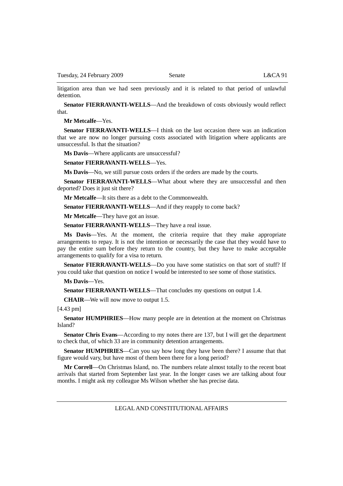litigation area than we had seen previously and it is related to that period of unlawful detention.

**Senator FIERRAVANTI-WELLS**—And the breakdown of costs obviously would reflect that.

**Mr Metcalfe**—Yes.

**Senator FIERRAVANTI-WELLS**—I think on the last occasion there was an indication that we are now no longer pursuing costs associated with litigation where applicants are unsuccessful. Is that the situation?

**Ms Davis**—Where applicants are unsuccessful?

**Senator FIERRAVANTI-WELLS**—Yes.

**Ms Davis**—No, we still pursue costs orders if the orders are made by the courts.

**Senator FIERRAVANTI-WELLS**—What about where they are unsuccessful and then deported? Does it just sit there?

**Mr Metcalfe**—It sits there as a debt to the Commonwealth.

**Senator FIERRAVANTI-WELLS—And if they reapply to come back?** 

**Mr Metcalfe**—They have got an issue.

**Senator FIERRAVANTI-WELLS**—They have a real issue.

**Ms Davis**—Yes. At the moment, the criteria require that they make appropriate arrangements to repay. It is not the intention or necessarily the case that they would have to pay the entire sum before they return to the country, but they have to make acceptable arrangements to qualify for a visa to return.

**Senator FIERRAVANTI-WELLS**—Do you have some statistics on that sort of stuff? If you could take that question on notice I would be interested to see some of those statistics.

**Ms Davis**—Yes.

**Senator FIERRAVANTI-WELLS**—That concludes my questions on output 1.4.

**CHAIR**—We will now move to output 1.5.

[4.43 pm]

**Senator HUMPHRIES**—How many people are in detention at the moment on Christmas Island?

**Senator Chris Evans**—According to my notes there are 137, but I will get the department to check that, of which 33 are in community detention arrangements.

**Senator HUMPHRIES**—Can you say how long they have been there? I assume that that figure would vary, but have most of them been there for a long period?

**Mr Correll**—On Christmas Island, no. The numbers relate almost totally to the recent boat arrivals that started from September last year. In the longer cases we are talking about four months. I might ask my colleague Ms Wilson whether she has precise data.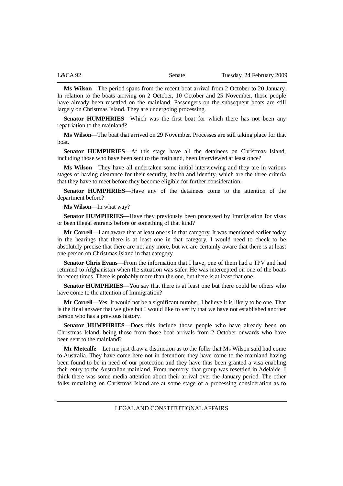| L&CA 92 | Senate | Tuesday, 24 February 2009 |
|---------|--------|---------------------------|
|         |        |                           |

**Ms Wilson**—The period spans from the recent boat arrival from 2 October to 20 January. In relation to the boats arriving on 2 October, 10 October and 25 November, those people have already been resettled on the mainland. Passengers on the subsequent boats are still largely on Christmas Island. They are undergoing processing.

**Senator HUMPHRIES**—Which was the first boat for which there has not been any repatriation to the mainland?

**Ms Wilson**—The boat that arrived on 29 November. Processes are still taking place for that boat.

**Senator HUMPHRIES**—At this stage have all the detainees on Christmas Island, including those who have been sent to the mainland, been interviewed at least once?

**Ms Wilson**—They have all undertaken some initial interviewing and they are in various stages of having clearance for their security, health and identity, which are the three criteria that they have to meet before they become eligible for further consideration.

**Senator HUMPHRIES**—Have any of the detainees come to the attention of the department before?

**Ms Wilson**—In what way?

**Senator HUMPHRIES**—Have they previously been processed by Immigration for visas or been illegal entrants before or something of that kind?

**Mr Correll**—I am aware that at least one is in that category. It was mentioned earlier today in the hearings that there is at least one in that category. I would need to check to be absolutely precise that there are not any more, but we are certainly aware that there is at least one person on Christmas Island in that category.

**Senator Chris Evans**—From the information that I have, one of them had a TPV and had returned to Afghanistan when the situation was safer. He was intercepted on one of the boats in recent times. There is probably more than the one, but there is at least that one.

**Senator HUMPHRIES**—You say that there is at least one but there could be others who have come to the attention of Immigration?

**Mr Correll**—Yes. It would not be a significant number. I believe it is likely to be one. That is the final answer that we give but I would like to verify that we have not established another person who has a previous history.

**Senator HUMPHRIES**—Does this include those people who have already been on Christmas Island, being those from those boat arrivals from 2 October onwards who have been sent to the mainland?

**Mr Metcalfe**—Let me just draw a distinction as to the folks that Ms Wilson said had come to Australia. They have come here not in detention; they have come to the mainland having been found to be in need of our protection and they have thus been granted a visa enabling their entry to the Australian mainland. From memory, that group was resettled in Adelaide. I think there was some media attention about their arrival over the January period. The other folks remaining on Christmas Island are at some stage of a processing consideration as to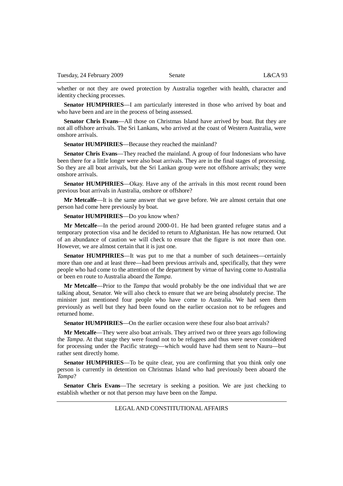whether or not they are owed protection by Australia together with health, character and identity checking processes.

**Senator HUMPHRIES**—I am particularly interested in those who arrived by boat and who have been and are in the process of being assessed.

**Senator Chris Evans**—All those on Christmas Island have arrived by boat. But they are not all offshore arrivals. The Sri Lankans, who arrived at the coast of Western Australia, were onshore arrivals.

**Senator HUMPHRIES**—Because they reached the mainland?

**Senator Chris Evans**—They reached the mainland. A group of four Indonesians who have been there for a little longer were also boat arrivals. They are in the final stages of processing. So they are all boat arrivals, but the Sri Lankan group were not offshore arrivals; they were onshore arrivals.

**Senator HUMPHRIES**—Okay. Have any of the arrivals in this most recent round been previous boat arrivals in Australia, onshore or offshore?

**Mr Metcalfe**—It is the same answer that we gave before. We are almost certain that one person had come here previously by boat.

**Senator HUMPHRIES**—Do you know when?

**Mr Metcalfe**—In the period around 2000-01. He had been granted refugee status and a temporary protection visa and he decided to return to Afghanistan. He has now returned. Out of an abundance of caution we will check to ensure that the figure is not more than one. However, we are almost certain that it is just one.

**Senator HUMPHRIES**—It was put to me that a number of such detainees—certainly more than one and at least three—had been previous arrivals and, specifically, that they were people who had come to the attention of the department by virtue of having come to Australia or been en route to Australia aboard the *Tampa*.

**Mr Metcalfe**—Prior to the *Tampa* that would probably be the one individual that we are talking about, Senator. We will also check to ensure that we are being absolutely precise. The minister just mentioned four people who have come to Australia. We had seen them previously as well but they had been found on the earlier occasion not to be refugees and returned home.

**Senator HUMPHRIES—On the earlier occasion were these four also boat arrivals?** 

**Mr Metcalfe**—They were also boat arrivals. They arrived two or three years ago following the *Tampa*. At that stage they were found not to be refugees and thus were never considered for processing under the Pacific strategy—which would have had them sent to Nauru—but rather sent directly home.

**Senator HUMPHRIES**—To be quite clear, you are confirming that you think only one person is currently in detention on Christmas Island who had previously been aboard the *Tampa*?

**Senator Chris Evans**—The secretary is seeking a position. We are just checking to establish whether or not that person may have been on the *Tampa*.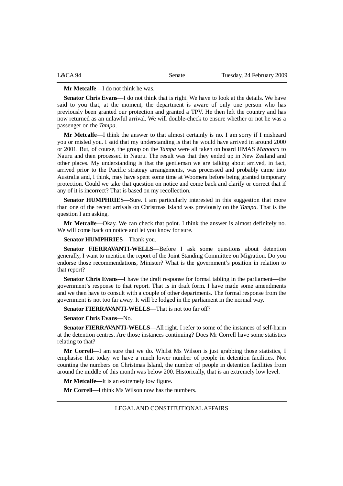| L&CA94 | Senate | Tuesday, 24 February 2009 |
|--------|--------|---------------------------|
|        |        |                           |

#### **Mr Metcalfe**—I do not think he was.

**Senator Chris Evans**—I do not think that is right. We have to look at the details. We have said to you that, at the moment, the department is aware of only one person who has previously been granted our protection and granted a TPV. He then left the country and has now returned as an unlawful arrival. We will double-check to ensure whether or not he was a passenger on the *Tampa*.

**Mr Metcalfe**—I think the answer to that almost certainly is no. I am sorry if I misheard you or misled you. I said that my understanding is that he would have arrived in around 2000 or 2001. But, of course, the group on the *Tampa* were all taken on board HMAS *Manoora* to Nauru and then processed in Nauru. The result was that they ended up in New Zealand and other places. My understanding is that the gentleman we are talking about arrived, in fact, arrived prior to the Pacific strategy arrangements, was processed and probably came into Australia and, I think, may have spent some time at Woomera before being granted temporary protection. Could we take that question on notice and come back and clarify or correct that if any of it is incorrect? That is based on my recollection.

**Senator HUMPHRIES**—Sure. I am particularly interested in this suggestion that more than one of the recent arrivals on Christmas Island was previously on the *Tampa*. That is the question I am asking.

**Mr Metcalfe**—Okay. We can check that point. I think the answer is almost definitely no. We will come back on notice and let you know for sure.

**Senator HUMPHRIES**—Thank you.

**Senator FIERRAVANTI-WELLS**—Before I ask some questions about detention generally, I want to mention the report of the Joint Standing Committee on Migration. Do you endorse those recommendations, Minister? What is the government's position in relation to that report?

**Senator Chris Evans**—I have the draft response for formal tabling in the parliament—the government's response to that report. That is in draft form. I have made some amendments and we then have to consult with a couple of other departments. The formal response from the government is not too far away. It will be lodged in the parliament in the normal way.

**Senator FIERRAVANTI-WELLS**—That is not too far off?

**Senator Chris Evans**—No.

**Senator FIERRAVANTI-WELLS**—All right. I refer to some of the instances of self-harm at the detention centres. Are those instances continuing? Does Mr Correll have some statistics relating to that?

**Mr Correll**—I am sure that we do. Whilst Ms Wilson is just grabbing those statistics, I emphasise that today we have a much lower number of people in detention facilities. Not counting the numbers on Christmas Island, the number of people in detention facilities from around the middle of this month was below 200. Historically, that is an extremely low level.

**Mr Metcalfe**—It is an extremely low figure.

**Mr Correll**—I think Ms Wilson now has the numbers.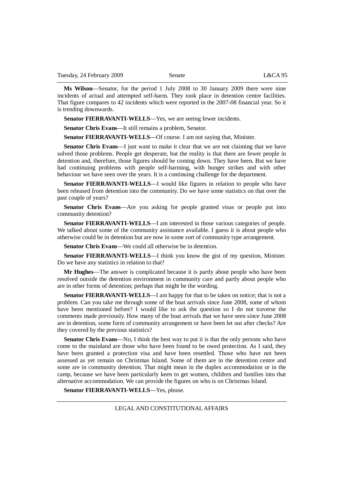**Ms Wilson**—Senator, for the period 1 July 2008 to 30 January 2009 there were nine incidents of actual and attempted self-harm. They took place in detention centre facilities. That figure compares to 42 incidents which were reported in the 2007-08 financial year. So it is trending downwards.

**Senator FIERRAVANTI-WELLS**—Yes, we are seeing fewer incidents.

**Senator Chris Evans**—It still remains a problem, Senator.

**Senator FIERRAVANTI-WELLS**—Of course. I am not saying that, Minister.

**Senator Chris Evans**—I just want to make it clear that we are not claiming that we have solved those problems. People get desperate, but the reality is that there are fewer people in detention and, therefore, those figures should be coming down. They have been. But we have had continuing problems with people self-harming, with hunger strikes and with other behaviour we have seen over the years. It is a continuing challenge for the department.

**Senator FIERRAVANTI-WELLS**—I would like figures in relation to people who have been released from detention into the community. Do we have some statistics on that over the past couple of years?

**Senator Chris Evans**—Are you asking for people granted visas or people put into community detention?

**Senator FIERRAVANTI-WELLS**—I am interested in those various categories of people. We talked about some of the community assistance available. I guess it is about people who otherwise could be in detention but are now in some sort of community type arrangement.

**Senator Chris Evans**—We could all otherwise be in detention.

**Senator FIERRAVANTI-WELLS**—I think you know the gist of my question, Minister. Do we have any statistics in relation to that?

**Mr Hughes**—The answer is complicated because it is partly about people who have been resolved outside the detention environment in community care and partly about people who are in other forms of detention; perhaps that might be the wording.

**Senator FIERRAVANTI-WELLS**—I am happy for that to be taken on notice; that is not a problem. Can you take me through some of the boat arrivals since June 2008, some of whom have been mentioned before? I would like to ask the question so I do not traverse the comments made previously. How many of the boat arrivals that we have seen since June 2008 are in detention, some form of community arrangement or have been let out after checks? Are they covered by the previous statistics?

**Senator Chris Evans**—No, I think the best way to put it is that the only persons who have come to the mainland are those who have been found to be owed protection. As I said, they have been granted a protection visa and have been resettled. Those who have not been assessed as yet remain on Christmas Island. Some of them are in the detention centre and some are in community detention. That might mean in the duplex accommodation or in the camp, because we have been particularly keen to get women, children and families into that alternative accommodation. We can provide the figures on who is on Christmas Island.

**Senator FIERRAVANTI-WELLS**—Yes, please.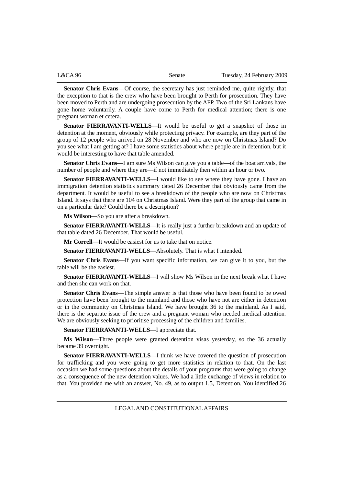| L&CA 96 | Senate | Tuesday, 24 February 2009 |
|---------|--------|---------------------------|
|         |        |                           |

**Senator Chris Evans**—Of course, the secretary has just reminded me, quite rightly, that the exception to that is the crew who have been brought to Perth for prosecution. They have been moved to Perth and are undergoing prosecution by the AFP. Two of the Sri Lankans have gone home voluntarily. A couple have come to Perth for medical attention; there is one pregnant woman et cetera.

**Senator FIERRAVANTI-WELLS**—It would be useful to get a snapshot of those in detention at the moment, obviously while protecting privacy. For example, are they part of the group of 12 people who arrived on 28 November and who are now on Christmas Island? Do you see what I am getting at? I have some statistics about where people are in detention, but it would be interesting to have that table amended.

**Senator Chris Evans**—I am sure Ms Wilson can give you a table—of the boat arrivals, the number of people and where they are—if not immediately then within an hour or two.

**Senator FIERRAVANTI-WELLS**—I would like to see where they have gone. I have an immigration detention statistics summary dated 26 December that obviously came from the department. It would be useful to see a breakdown of the people who are now on Christmas Island. It says that there are 104 on Christmas Island. Were they part of the group that came in on a particular date? Could there be a description?

**Ms Wilson**—So you are after a breakdown.

**Senator FIERRAVANTI-WELLS**—It is really just a further breakdown and an update of that table dated 26 December. That would be useful.

**Mr Correll**—It would be easiest for us to take that on notice.

**Senator FIERRAVANTI-WELLS**—Absolutely. That is what I intended.

**Senator Chris Evans**—If you want specific information, we can give it to you, but the table will be the easiest.

**Senator FIERRAVANTI-WELLS**—I will show Ms Wilson in the next break what I have and then she can work on that.

**Senator Chris Evans**—The simple answer is that those who have been found to be owed protection have been brought to the mainland and those who have not are either in detention or in the community on Christmas Island. We have brought 36 to the mainland. As I said, there is the separate issue of the crew and a pregnant woman who needed medical attention. We are obviously seeking to prioritise processing of the children and families.

**Senator FIERRAVANTI-WELLS**—I appreciate that.

**Ms Wilson**—Three people were granted detention visas yesterday, so the 36 actually became 39 overnight.

**Senator FIERRAVANTI-WELLS**—I think we have covered the question of prosecution for trafficking and you were going to get more statistics in relation to that. On the last occasion we had some questions about the details of your programs that were going to change as a consequence of the new detention values. We had a little exchange of views in relation to that. You provided me with an answer, No. 49, as to output 1.5, Detention. You identified 26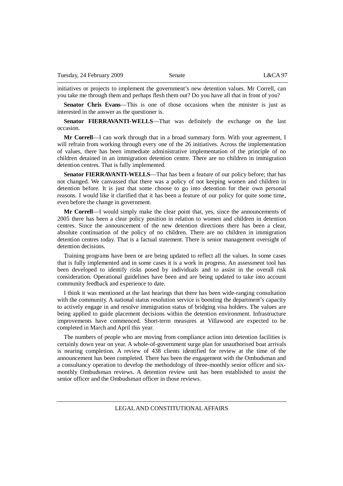initiatives or projects to implement the government's new detention values. Mr Correll, can you take me through them and perhaps flesh them out? Do you have all that in front of you?

**Senator Chris Evans**—This is one of those occasions when the minister is just as interested in the answer as the questioner is.

**Senator FIERRAVANTI-WELLS**—That was definitely the exchange on the last occasion.

**Mr Correll**—I can work through that in a broad summary form. With your agreement, I will refrain from working through every one of the 26 initiatives. Across the implementation of values, there has been immediate administrative implementation of the principle of no children detained in an immigration detention centre. There are no children in immigration detention centres. That is fully implemented.

**Senator FIERRAVANTI-WELLS**—That has been a feature of our policy before; that has not changed. We canvassed that there was a policy of not keeping women and children in detention before. It is just that some choose to go into detention for their own personal reasons. I would like it clarified that it has been a feature of our policy for quite some time, even before the change in government.

**Mr Correll**—I would simply make the clear point that, yes, since the announcements of 2005 there has been a clear policy position in relation to women and children in detention centres. Since the announcement of the new detention directions there has been a clear, absolute continuation of the policy of no children. There are no children in immigration detention centres today. That is a factual statement. There is senior management oversight of detention decisions.

Training programs have been or are being updated to reflect all the values. In some cases that is fully implemented and in some cases it is a work in progress. An assessment tool has been developed to identify risks posed by individuals and to assist in the overall risk consideration. Operational guidelines have been and are being updated to take into account community feedback and experience to date.

I think it was mentioned at the last hearings that there has been wide-ranging consultation with the community. A national status resolution service is boosting the department's capacity to actively engage in and resolve immigration status of bridging visa holders. The values are being applied to guide placement decisions within the detention environment. Infrastructure improvements have commenced. Short-term measures at Villawood are expected to be completed in March and April this year.

The numbers of people who are moving from compliance action into detention facilities is certainly down year on year. A whole-of-government surge plan for unauthorised boat arrivals is nearing completion. A review of 438 clients identified for review at the time of the announcement has been completed. There has been the engagement with the Ombudsman and a consultancy operation to develop the methodology of three-monthly senior officer and sixmonthly Ombudsman reviews. A detention review unit has been established to assist the senior officer and the Ombudsman officer in those reviews.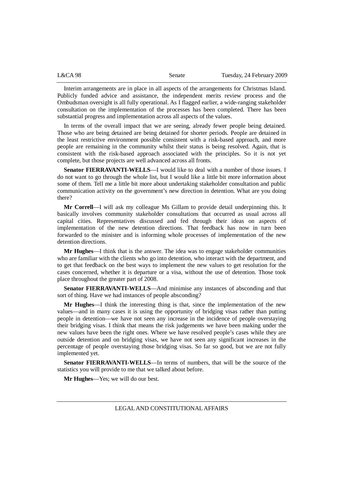| L&CA 98 | Senate | Tuesday, 24 February 2009 |
|---------|--------|---------------------------|
|         |        |                           |

Interim arrangements are in place in all aspects of the arrangements for Christmas Island. Publicly funded advice and assistance, the independent merits review process and the Ombudsman oversight is all fully operational. As I flagged earlier, a wide-ranging stakeholder consultation on the implementation of the processes has been completed. There has been substantial progress and implementation across all aspects of the values.

In terms of the overall impact that we are seeing, already fewer people being detained. Those who are being detained are being detained for shorter periods. People are detained in the least restrictive environment possible consistent with a risk-based approach, and more people are remaining in the community whilst their status is being resolved. Again, that is consistent with the risk-based approach associated with the principles. So it is not yet complete, but those projects are well advanced across all fronts.

**Senator FIERRAVANTI-WELLS**—I would like to deal with a number of those issues. I do not want to go through the whole list, but I would like a little bit more information about some of them. Tell me a little bit more about undertaking stakeholder consultation and public communication activity on the government's new direction in detention. What are you doing there?

**Mr Correll**—I will ask my colleague Ms Gillam to provide detail underpinning this. It basically involves community stakeholder consultations that occurred as usual across all capital cities. Representatives discussed and fed through their ideas on aspects of implementation of the new detention directions. That feedback has now in turn been forwarded to the minister and is informing whole processes of implementation of the new detention directions.

**Mr Hughes**—I think that is the answer. The idea was to engage stakeholder communities who are familiar with the clients who go into detention, who interact with the department, and to get that feedback on the best ways to implement the new values to get resolution for the cases concerned, whether it is departure or a visa, without the use of detention. Those took place throughout the greater part of 2008.

**Senator FIERRAVANTI-WELLS**—And minimise any instances of absconding and that sort of thing. Have we had instances of people absconding?

**Mr Hughes**—I think the interesting thing is that, since the implementation of the new values—and in many cases it is using the opportunity of bridging visas rather than putting people in detention—we have not seen any increase in the incidence of people overstaying their bridging visas. I think that means the risk judgements we have been making under the new values have been the right ones. Where we have resolved people's cases while they are outside detention and on bridging visas, we have not seen any significant increases in the percentage of people overstaying those bridging visas. So far so good, but we are not fully implemented yet.

**Senator FIERRAVANTI-WELLS**—In terms of numbers, that will be the source of the statistics you will provide to me that we talked about before.

**Mr Hughes**—Yes; we will do our best.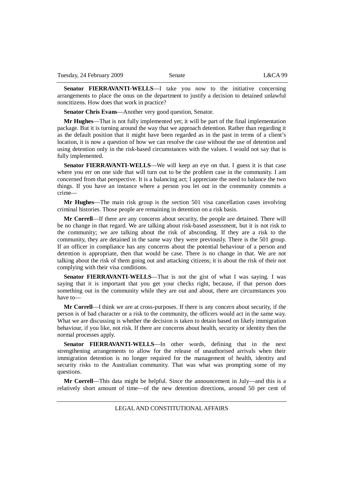**Senator FIERRAVANTI-WELLS**—I take you now to the initiative concerning arrangements to place the onus on the department to justify a decision to detained unlawful noncitizens. How does that work in practice?

**Senator Chris Evans**—Another very good question, Senator.

**Mr Hughes**—That is not fully implemented yet; it will be part of the final implementation package. But it is turning around the way that we approach detention. Rather than regarding it as the default position that it might have been regarded as in the past in terms of a client's location, it is now a question of how we can resolve the case without the use of detention and using detention only in the risk-based circumstances with the values. I would not say that is fully implemented.

**Senator FIERRAVANTI-WELLS**—We will keep an eye on that. I guess it is that case where you err on one side that will turn out to be the problem case in the community. I am concerned from that perspective. It is a balancing act; I appreciate the need to balance the two things. If you have an instance where a person you let out in the community commits a crime—

**Mr Hughes**—The main risk group is the section 501 visa cancellation cases involving criminal histories. Those people are remaining in detention on a risk basis.

**Mr Correll**—If there are any concerns about security, the people are detained. There will be no change in that regard. We are talking about risk-based assessment, but it is not risk to the community; we are talking about the risk of absconding. If they are a risk to the community, they are detained in the same way they were previously. There is the 501 group. If an officer in compliance has any concerns about the potential behaviour of a person and detention is appropriate, then that would be case. There is no change in that. We are not talking about the risk of them going out and attacking citizens; it is about the risk of their not complying with their visa conditions.

**Senator FIERRAVANTI-WELLS**—That is not the gist of what I was saying. I was saying that it is important that you get your checks right, because, if that person does something out in the community while they are out and about, there are circumstances you have to—

**Mr Correll**—I think we are at cross-purposes. If there is any concern about security, if the person is of bad character or a risk to the community, the officers would act in the same way. What we are discussing is whether the decision is taken to detain based on likely immigration behaviour, if you like, not risk. If there are concerns about health, security or identity then the normal processes apply.

**Senator FIERRAVANTI-WELLS**—In other words, defining that in the next strengthening arrangements to allow for the release of unauthorised arrivals when their immigration detention is no longer required for the management of health, identity and security risks to the Australian community. That was what was prompting some of my questions.

**Mr Correll**—This data might be helpful. Since the announcement in July—and this is a relatively short amount of time—of the new detention directions, around 50 per cent of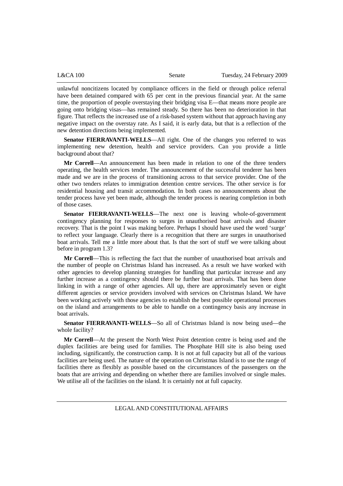| $L&CA$ 100 | Senate | Tuesday, 24 February 2009 |
|------------|--------|---------------------------|
|            |        |                           |

unlawful noncitizens located by compliance officers in the field or through police referral have been detained compared with  $65$  per cent in the previous financial year. At the same time, the proportion of people overstaying their bridging visa E—that means more people are going onto bridging visas—has remained steady. So there has been no deterioration in that figure. That reflects the increased use of a risk-based system without that approach having any negative impact on the overstay rate. As I said, it is early data, but that is a reflection of the new detention directions being implemented.

**Senator FIERRAVANTI-WELLS**—All right. One of the changes you referred to was implementing new detention, health and service providers. Can you provide a little background about that?

**Mr Correll**—An announcement has been made in relation to one of the three tenders operating, the health services tender. The announcement of the successful tenderer has been made and we are in the process of transitioning across to that service provider. One of the other two tenders relates to immigration detention centre services. The other service is for residential housing and transit accommodation. In both cases no announcements about the tender process have yet been made, although the tender process is nearing completion in both of those cases.

**Senator FIERRAVANTI-WELLS**—The next one is leaving whole-of-government contingency planning for responses to surges in unauthorised boat arrivals and disaster recovery. That is the point I was making before. Perhaps I should have used the word 'surge' to reflect your language. Clearly there is a recognition that there are surges in unauthorised boat arrivals. Tell me a little more about that. Is that the sort of stuff we were talking about before in program 1.3?

**Mr Correll**—This is reflecting the fact that the number of unauthorised boat arrivals and the number of people on Christmas Island has increased. As a result we have worked with other agencies to develop planning strategies for handling that particular increase and any further increase as a contingency should there be further boat arrivals. That has been done linking in with a range of other agencies. All up, there are approximately seven or eight different agencies or service providers involved with services on Christmas Island. We have been working actively with those agencies to establish the best possible operational processes on the island and arrangements to be able to handle on a contingency basis any increase in boat arrivals.

**Senator FIERRAVANTI-WELLS**—So all of Christmas Island is now being used—the whole facility?

**Mr Correll**—At the present the North West Point detention centre is being used and the duplex facilities are being used for families. The Phosphate Hill site is also being used including, significantly, the construction camp. It is not at full capacity but all of the various facilities are being used. The nature of the operation on Christmas Island is to use the range of facilities there as flexibly as possible based on the circumstances of the passengers on the boats that are arriving and depending on whether there are families involved or single males. We utilise all of the facilities on the island. It is certainly not at full capacity.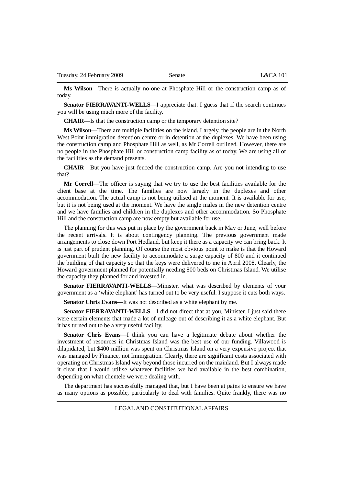**Ms Wilson**—There is actually no-one at Phosphate Hill or the construction camp as of today.

**Senator FIERRAVANTI-WELLS—I** appreciate that. I guess that if the search continues you will be using much more of the facility.

**CHAIR**—Is that the construction camp or the temporary detention site?

**Ms Wilson**—There are multiple facilities on the island. Largely, the people are in the North West Point immigration detention centre or in detention at the duplexes. We have been using the construction camp and Phosphate Hill as well, as Mr Correll outlined. However, there are no people in the Phosphate Hill or construction camp facility as of today. We are using all of the facilities as the demand presents.

**CHAIR**—But you have just fenced the construction camp. Are you not intending to use that?

**Mr Correll**—The officer is saying that we try to use the best facilities available for the client base at the time. The families are now largely in the duplexes and other accommodation. The actual camp is not being utilised at the moment. It is available for use, but it is not being used at the moment. We have the single males in the new detention centre and we have families and children in the duplexes and other accommodation. So Phosphate Hill and the construction camp are now empty but available for use.

The planning for this was put in place by the government back in May or June, well before the recent arrivals. It is about contingency planning. The previous government made arrangements to close down Port Hedland, but keep it there as a capacity we can bring back. It is just part of prudent planning. Of course the most obvious point to make is that the Howard government built the new facility to accommodate a surge capacity of 800 and it continued the building of that capacity so that the keys were delivered to me in April 2008. Clearly, the Howard government planned for potentially needing 800 beds on Christmas Island. We utilise the capacity they planned for and invested in.

**Senator FIERRAVANTI-WELLS**—Minister, what was described by elements of your government as a 'white elephant' has turned out to be very useful. I suppose it cuts both ways.

**Senator Chris Evans**—It was not described as a white elephant by me.

**Senator FIERRAVANTI-WELLS**—I did not direct that at you, Minister. I just said there were certain elements that made a lot of mileage out of describing it as a white elephant. But it has turned out to be a very useful facility.

**Senator Chris Evans**—I think you can have a legitimate debate about whether the investment of resources in Christmas Island was the best use of our funding. Villawood is dilapidated, but \$400 million was spent on Christmas Island on a very expensive project that was managed by Finance, not Immigration. Clearly, there are significant costs associated with operating on Christmas Island way beyond those incurred on the mainland. But I always made it clear that I would utilise whatever facilities we had available in the best combination, depending on what clientele we were dealing with.

The department has successfully managed that, but I have been at pains to ensure we have as many options as possible, particularly to deal with families. Quite frankly, there was no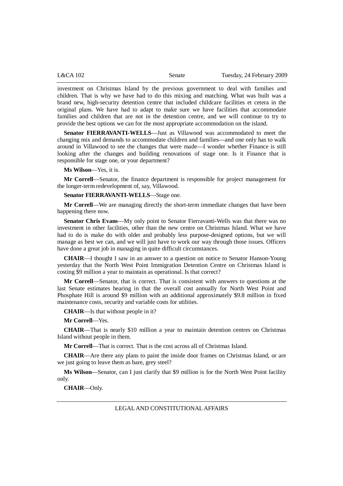| L&CA 102 | Senate | Tuesday, 24 February 2009 |
|----------|--------|---------------------------|
|----------|--------|---------------------------|

investment on Christmas Island by the previous government to deal with families and children. That is why we have had to do this mixing and matching. What was built was a brand new, high-security detention centre that included childcare facilities et cetera in the original plans. We have had to adapt to make sure we have facilities that accommodate families and children that are not in the detention centre, and we will continue to try to provide the best options we can for the most appropriate accommodation on the island.

**Senator FIERRAVANTI-WELLS**—Just as Villawood was accommodated to meet the changing mix and demands to accommodate children and families—and one only has to walk around in Villawood to see the changes that were made—I wonder whether Finance is still looking after the changes and building renovations of stage one. Is it Finance that is responsible for stage one, or your department?

**Ms Wilson**—Yes, it is.

**Mr Correll**—Senator, the finance department is responsible for project management for the longer-term redevelopment of, say, Villawood.

**Senator FIERRAVANTI-WELLS**—Stage one.

**Mr Correll**—We are managing directly the short-term immediate changes that have been happening there now.

**Senator Chris Evans**—My only point to Senator Fierravanti-Wells was that there was no investment in other facilities, other than the new centre on Christmas Island. What we have had to do is make do with older and probably less purpose-designed options, but we will manage as best we can, and we will just have to work our way through those issues. Officers have done a great job in managing in quite difficult circumstances.

**CHAIR**—I thought I saw in an answer to a question on notice to Senator Hanson-Young yesterday that the North West Point Immigration Detention Centre on Christmas Island is costing \$9 million a year to maintain as operational. Is that correct?

**Mr Correll**—Senator, that is correct. That is consistent with answers to questions at the last Senate estimates hearing in that the overall cost annually for North West Point and Phosphate Hill is around \$9 million with an additional approximately \$9.8 million in fixed maintenance costs, security and variable costs for utilities.

**CHAIR**—Is that without people in it?

**Mr Correll**—Yes.

**CHAIR**—That is nearly \$10 million a year to maintain detention centres on Christmas Island without people in them.

**Mr Correll**—That is correct. That is the cost across all of Christmas Island.

**CHAIR**—Are there any plans to paint the inside door frames on Christmas Island, or are we just going to leave them as bare, grey steel?

**Ms Wilson**—Senator, can I just clarify that \$9 million is for the North West Point facility only.

**CHAIR**—Only.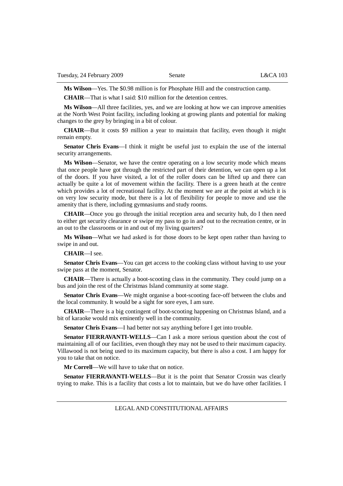**Ms Wilson**—Yes. The \$0.98 million is for Phosphate Hill and the construction camp.

**CHAIR**—That is what I said: \$10 million for the detention centres.

**Ms Wilson**—All three facilities, yes, and we are looking at how we can improve amenities at the North West Point facility, including looking at growing plants and potential for making changes to the grey by bringing in a bit of colour.

**CHAIR**—But it costs \$9 million a year to maintain that facility, even though it might remain empty.

**Senator Chris Evans**—I think it might be useful just to explain the use of the internal security arrangements.

**Ms Wilson**—Senator, we have the centre operating on a low security mode which means that once people have got through the restricted part of their detention, we can open up a lot of the doors. If you have visited, a lot of the roller doors can be lifted up and there can actually be quite a lot of movement within the facility. There is a green heath at the centre which provides a lot of recreational facility. At the moment we are at the point at which it is on very low security mode, but there is a lot of flexibility for people to move and use the amenity that is there, including gymnasiums and study rooms.

**CHAIR**—Once you go through the initial reception area and security hub, do I then need to either get security clearance or swipe my pass to go in and out to the recreation centre, or in an out to the classrooms or in and out of my living quarters?

**Ms Wilson**—What we had asked is for those doors to be kept open rather than having to swipe in and out.

**CHAIR**—I see.

**Senator Chris Evans**—You can get access to the cooking class without having to use your swipe pass at the moment, Senator.

**CHAIR**—There is actually a boot-scooting class in the community. They could jump on a bus and join the rest of the Christmas Island community at some stage.

**Senator Chris Evans**—We might organise a boot-scooting face-off between the clubs and the local community. It would be a sight for sore eyes, I am sure.

**CHAIR**—There is a big contingent of boot-scooting happening on Christmas Island, and a bit of karaoke would mix eminently well in the community.

**Senator Chris Evans**—I had better not say anything before I get into trouble.

**Senator FIERRAVANTI-WELLS**—Can I ask a more serious question about the cost of maintaining all of our facilities, even though they may not be used to their maximum capacity. Villawood is not being used to its maximum capacity, but there is also a cost. I am happy for you to take that on notice.

**Mr Correll**—We will have to take that on notice.

**Senator FIERRAVANTI-WELLS**—But it is the point that Senator Crossin was clearly trying to make. This is a facility that costs a lot to maintain, but we do have other facilities. I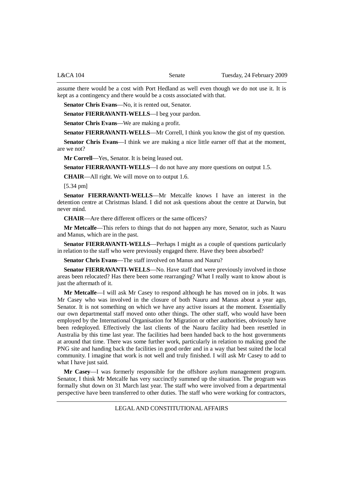assume there would be a cost with Port Hedland as well even though we do not use it. It is kept as a contingency and there would be a costs associated with that.

**Senator Chris Evans**—No, it is rented out, Senator.

**Senator FIERRAVANTI-WELLS**—I beg your pardon.

**Senator Chris Evans**—We are making a profit.

**Senator FIERRAVANTI-WELLS—Mr Correll, I think you know the gist of my question.** 

**Senator Chris Evans**—I think we are making a nice little earner off that at the moment, are we not?

**Mr Correll**—Yes, Senator. It is being leased out.

**Senator FIERRAVANTI-WELLS**—I do not have any more questions on output 1.5.

**CHAIR**—All right. We will move on to output 1.6.

[5.34 pm]

**Senator FIERRAVANTI-WELLS**—Mr Metcalfe knows I have an interest in the detention centre at Christmas Island. I did not ask questions about the centre at Darwin, but never mind.

**CHAIR**—Are there different officers or the same officers?

**Mr Metcalfe**—This refers to things that do not happen any more, Senator, such as Nauru and Manus, which are in the past.

**Senator FIERRAVANTI-WELLS**—Perhaps I might as a couple of questions particularly in relation to the staff who were previously engaged there. Have they been absorbed?

**Senator Chris Evans**—The staff involved on Manus and Nauru?

**Senator FIERRAVANTI-WELLS—No.** Have staff that were previously involved in those areas been relocated? Has there been some rearranging? What I really want to know about is just the aftermath of it.

**Mr Metcalfe**—I will ask Mr Casey to respond although he has moved on in jobs. It was Mr Casey who was involved in the closure of both Nauru and Manus about a year ago, Senator. It is not something on which we have any active issues at the moment. Essentially our own departmental staff moved onto other things. The other staff, who would have been employed by the International Organisation for Migration or other authorities, obviously have been redeployed. Effectively the last clients of the Nauru facility had been resettled in Australia by this time last year. The facilities had been handed back to the host governments at around that time. There was some further work, particularly in relation to making good the PNG site and handing back the facilities in good order and in a way that best suited the local community. I imagine that work is not well and truly finished. I will ask Mr Casey to add to what I have just said.

**Mr Casey**—I was formerly responsible for the offshore asylum management program. Senator, I think Mr Metcalfe has very succinctly summed up the situation. The program was formally shut down on 31 March last year. The staff who were involved from a departmental perspective have been transferred to other duties. The staff who were working for contractors,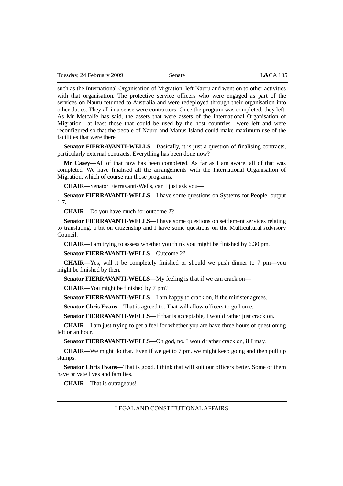such as the International Organisation of Migration, left Nauru and went on to other activities with that organisation. The protective service officers who were engaged as part of the services on Nauru returned to Australia and were redeployed through their organisation into other duties. They all in a sense were contractors. Once the program was completed, they left. As Mr Metcalfe has said, the assets that were assets of the International Organisation of Migration—at least those that could be used by the host countries—were left and were reconfigured so that the people of Nauru and Manus Island could make maximum use of the facilities that were there.

**Senator FIERRAVANTI-WELLS**—Basically, it is just a question of finalising contracts, particularly external contracts. Everything has been done now?

**Mr Casey**—All of that now has been completed. As far as I am aware, all of that was completed. We have finalised all the arrangements with the International Organisation of Migration, which of course ran those programs.

**CHAIR**—Senator Fierravanti-Wells, can I just ask you—

**Senator FIERRAVANTI-WELLS**—I have some questions on Systems for People, output 1.7.

**CHAIR**—Do you have much for outcome 2?

**Senator FIERRAVANTI-WELLS**—I have some questions on settlement services relating to translating, a bit on citizenship and I have some questions on the Multicultural Advisory Council.

**CHAIR**—I am trying to assess whether you think you might be finished by 6.30 pm.

**Senator FIERRAVANTI-WELLS**—Outcome 2?

**CHAIR**—Yes, will it be completely finished or should we push dinner to 7 pm—you might be finished by then.

**Senator FIERRAVANTI-WELLS**—My feeling is that if we can crack on—

**CHAIR**—You might be finished by 7 pm?

**Senator FIERRAVANTI-WELLS—I** am happy to crack on, if the minister agrees.

**Senator Chris Evans**—That is agreed to. That will allow officers to go home.

**Senator FIERRAVANTI-WELLS**—If that is acceptable, I would rather just crack on.

**CHAIR**—I am just trying to get a feel for whether you are have three hours of questioning left or an hour.

**Senator FIERRAVANTI-WELLS**—Oh god, no. I would rather crack on, if I may.

**CHAIR**—We might do that. Even if we get to 7 pm, we might keep going and then pull up stumps.

**Senator Chris Evans**—That is good. I think that will suit our officers better. Some of them have private lives and families.

**CHAIR**—That is outrageous!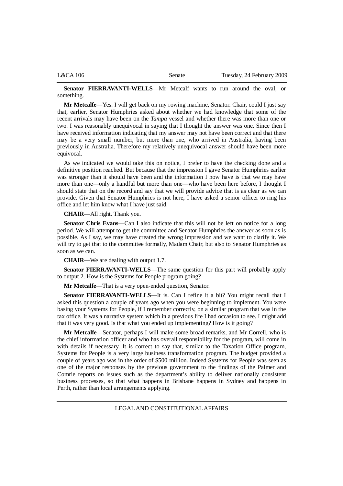| L&CA 106 | Senate | Tuesday, 24 February 2009 |
|----------|--------|---------------------------|
|          |        |                           |

**Senator FIERRAVANTI-WELLS**—Mr Metcalf wants to run around the oval, or something.

**Mr Metcalfe**—Yes. I will get back on my rowing machine, Senator. Chair, could I just say that, earlier, Senator Humphries asked about whether we had knowledge that some of the recent arrivals may have been on the *Tampa* vessel and whether there was more than one or two. I was reasonably unequivocal in saying that I thought the answer was one. Since then I have received information indicating that my answer may not have been correct and that there may be a very small number, but more than one, who arrived in Australia, having been previously in Australia. Therefore my relatively unequivocal answer should have been more equivocal.

As we indicated we would take this on notice, I prefer to have the checking done and a definitive position reached. But because that the impression I gave Senator Humphries earlier was stronger than it should have been and the information I now have is that we may have more than one—only a handful but more than one—who have been here before, I thought I should state that on the record and say that we will provide advice that is as clear as we can provide. Given that Senator Humphries is not here, I have asked a senior officer to ring his office and let him know what I have just said.

**CHAIR**—All right. Thank you.

**Senator Chris Evans**—Can I also indicate that this will not be left on notice for a long period. We will attempt to get the committee and Senator Humphries the answer as soon as is possible. As I say, we may have created the wrong impression and we want to clarify it. We will try to get that to the committee formally, Madam Chair, but also to Senator Humphries as soon as we can.

**CHAIR**—We are dealing with output 1.7.

**Senator FIERRAVANTI-WELLS**—The same question for this part will probably apply to output 2. How is the Systems for People program going?

**Mr Metcalfe**—That is a very open-ended question, Senator.

**Senator FIERRAVANTI-WELLS**—It is. Can I refine it a bit? You might recall that I asked this question a couple of years ago when you were beginning to implement. You were basing your Systems for People, if I remember correctly, on a similar program that was in the tax office. It was a narrative system which in a previous life I had occasion to see. I might add that it was very good. Is that what you ended up implementing? How is it going?

**Mr Metcalfe**—Senator, perhaps I will make some broad remarks, and Mr Correll, who is the chief information officer and who has overall responsibility for the program, will come in with details if necessary. It is correct to say that, similar to the Taxation Office program, Systems for People is a very large business transformation program. The budget provided a couple of years ago was in the order of \$500 million. Indeed Systems for People was seen as one of the major responses by the previous government to the findings of the Palmer and Comrie reports on issues such as the department's ability to deliver nationally consistent business processes, so that what happens in Brisbane happens in Sydney and happens in Perth, rather than local arrangements applying.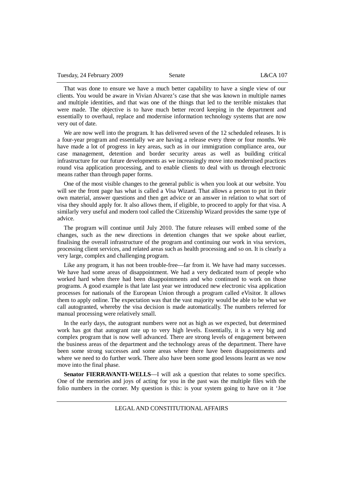That was done to ensure we have a much better capability to have a single view of our clients. You would be aware in Vivian Alvarez's case that she was known in multiple names and multiple identities, and that was one of the things that led to the terrible mistakes that were made. The objective is to have much better record keeping in the department and essentially to overhaul, replace and modernise information technology systems that are now very out of date.

We are now well into the program. It has delivered seven of the 12 scheduled releases. It is a four-year program and essentially we are having a release every three or four months. We have made a lot of progress in key areas, such as in our immigration compliance area, our case management, detention and border security areas as well as building critical infrastructure for our future developments as we increasingly move into modernised practices round visa application processing, and to enable clients to deal with us through electronic means rather than through paper forms.

One of the most visible changes to the general public is when you look at our website. You will see the front page has what is called a Visa Wizard. That allows a person to put in their own material, answer questions and then get advice or an answer in relation to what sort of visa they should apply for. It also allows them, if eligible, to proceed to apply for that visa. A similarly very useful and modern tool called the Citizenship Wizard provides the same type of advice.

The program will continue until July 2010. The future releases will embed some of the changes, such as the new directions in detention changes that we spoke about earlier, finalising the overall infrastructure of the program and continuing our work in visa services, processing client services, and related areas such as health processing and so on. It is clearly a very large, complex and challenging program.

Like any program, it has not been trouble-free—far from it. We have had many successes. We have had some areas of disappointment. We had a very dedicated team of people who worked hard when there had been disappointments and who continued to work on those programs. A good example is that late last year we introduced new electronic visa application processes for nationals of the European Union through a program called eVisitor. It allows them to apply online. The expectation was that the vast majority would be able to be what we call autogranted, whereby the visa decision is made automatically. The numbers referred for manual processing were relatively small.

In the early days, the autogrant numbers were not as high as we expected, but determined work has got that autogrant rate up to very high levels. Essentially, it is a very big and complex program that is now well advanced. There are strong levels of engagement between the business areas of the department and the technology areas of the department. There have been some strong successes and some areas where there have been disappointments and where we need to do further work. There also have been some good lessons learnt as we now move into the final phase.

**Senator FIERRAVANTI-WELLS**—I will ask a question that relates to some specifics. One of the memories and joys of acting for you in the past was the multiple files with the folio numbers in the corner. My question is this: is your system going to have on it 'Joe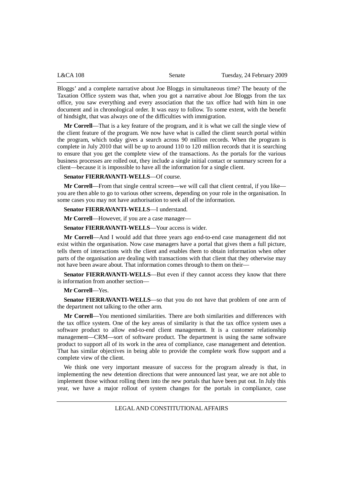| L&CA 108 | Senate | Tuesday, 24 February 2009 |
|----------|--------|---------------------------|
|----------|--------|---------------------------|

Bloggs' and a complete narrative about Joe Bloggs in simultaneous time? The beauty of the Taxation Office system was that, when you got a narrative about Joe Bloggs from the tax office, you saw everything and every association that the tax office had with him in one document and in chronological order. It was easy to follow. To some extent, with the benefit of hindsight, that was always one of the difficulties with immigration.

**Mr Correll**—That is a key feature of the program, and it is what we call the single view of the client feature of the program. We now have what is called the client search portal within the program, which today gives a search across 90 million records. When the program is complete in July 2010 that will be up to around 110 to 120 million records that it is searching to ensure that you get the complete view of the transactions. As the portals for the various business processes are rolled out, they include a single initial contact or summary screen for a client—because it is impossible to have all the information for a single client.

**Senator FIERRAVANTI-WELLS**—Of course.

**Mr Correll**—From that single central screen—we will call that client central, if you like you are then able to go to various other screens, depending on your role in the organisation. In some cases you may not have authorisation to seek all of the information.

**Senator FIERRAVANTI-WELLS**—I understand.

**Mr Correll**—However, if you are a case manager—

**Senator FIERRAVANTI-WELLS**—Your access is wider.

**Mr Correll**—And I would add that three years ago end-to-end case management did not exist within the organisation. Now case managers have a portal that gives them a full picture, tells them of interactions with the client and enables them to obtain information when other parts of the organisation are dealing with transactions with that client that they otherwise may not have been aware about. That information comes through to them on their—

**Senator FIERRAVANTI-WELLS**—But even if they cannot access they know that there is information from another section—

**Mr Correll**—Yes.

**Senator FIERRAVANTI-WELLS**—so that you do not have that problem of one arm of the department not talking to the other arm.

**Mr Correll**—You mentioned similarities. There are both similarities and differences with the tax office system. One of the key areas of similarity is that the tax office system uses a software product to allow end-to-end client management. It is a customer relationship management—CRM—sort of software product. The department is using the same software product to support all of its work in the area of compliance, case management and detention. That has similar objectives in being able to provide the complete work flow support and a complete view of the client.

We think one very important measure of success for the program already is that, in implementing the new detention directions that were announced last year, we are not able to implement those without rolling them into the new portals that have been put out. In July this year, we have a major rollout of system changes for the portals in compliance, case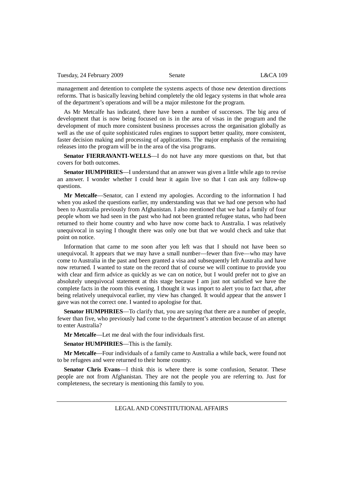management and detention to complete the systems aspects of those new detention directions reforms. That is basically leaving behind completely the old legacy systems in that whole area of the department's operations and will be a major milestone for the program.

As Mr Metcalfe has indicated, there have been a number of successes. The big area of development that is now being focused on is in the area of visas in the program and the development of much more consistent business processes across the organisation globally as well as the use of quite sophisticated rules engines to support better quality, more consistent, faster decision making and processing of applications. The major emphasis of the remaining releases into the program will be in the area of the visa programs.

**Senator FIERRAVANTI-WELLS**—I do not have any more questions on that, but that covers for both outcomes.

**Senator HUMPHRIES**—I understand that an answer was given a little while ago to revise an answer. I wonder whether I could hear it again live so that I can ask any follow-up questions.

**Mr Metcalfe**—Senator, can I extend my apologies. According to the information I had when you asked the questions earlier, my understanding was that we had one person who had been to Australia previously from Afghanistan. I also mentioned that we had a family of four people whom we had seen in the past who had not been granted refugee status, who had been returned to their home country and who have now come back to Australia. I was relatively unequivocal in saying I thought there was only one but that we would check and take that point on notice.

Information that came to me soon after you left was that I should not have been so unequivocal. It appears that we may have a small number—fewer than five—who may have come to Australia in the past and been granted a visa and subsequently left Australia and have now returned. I wanted to state on the record that of course we will continue to provide you with clear and firm advice as quickly as we can on notice, but I would prefer not to give an absolutely unequivocal statement at this stage because I am just not satisfied we have the complete facts in the room this evening. I thought it was import to alert you to fact that, after being relatively unequivocal earlier, my view has changed. It would appear that the answer I gave was not the correct one. I wanted to apologise for that.

**Senator HUMPHRIES**—To clarify that, you are saying that there are a number of people, fewer than five, who previously had come to the department's attention because of an attempt to enter Australia?

**Mr Metcalfe**—Let me deal with the four individuals first.

**Senator HUMPHRIES**—This is the family.

**Mr Metcalfe**—Four individuals of a family came to Australia a while back, were found not to be refugees and were returned to their home country.

**Senator Chris Evans**—I think this is where there is some confusion, Senator. These people are not from Afghanistan. They are not the people you are referring to. Just for completeness, the secretary is mentioning this family to you.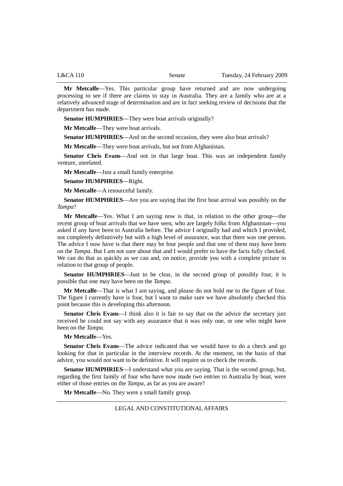| L&CA 110 | Senate | Tuesday, 24 February 2009 |
|----------|--------|---------------------------|
|          |        |                           |

**Mr Metcalfe**—Yes. This particular group have returned and are now undergoing processing to see if there are claims to stay in Australia. They are a family who are at a relatively advanced stage of determination and are in fact seeking review of decisions that the department has made.

**Senator HUMPHRIES**—They were boat arrivals originally?

**Mr Metcalfe**—They were boat arrivals.

**Senator HUMPHRIES—And on the second occasion, they were also boat arrivals?** 

**Mr Metcalfe**—They were boat arrivals, but not from Afghanistan.

**Senator Chris Evans**—And not in that large boat. This was an independent family venture, unrelated.

**Mr Metcalfe**—Just a small family enterprise.

**Senator HUMPHRIES**—Right.

**Mr Metcalfe**—A resourceful family.

**Senator HUMPHRIES**—Are you are saying that the first boat arrival was possibly on the *Tampa*?

**Mr Metcalfe**—Yes. What I am saying now is that, in relation to the other group—the recent group of boat arrivals that we have seen, who are largely folks from Afghanistan—you asked if any have been to Australia before. The advice I originally had and which I provided, not completely definitively but with a high level of assurance, was that there was one person. The advice I now have is that there may be four people and that one of them may have been on the *Tampa*. But I am not sure about that and I would prefer to have the facts fully checked. We can do that as quickly as we can and, on notice, provide you with a complete picture in relation to that group of people.

**Senator HUMPHRIES**—Just to be clear, in the second group of possibly four, it is possible that one may have been on the *Tampa*.

**Mr Metcalfe**—That is what I am saying, and please do not hold me to the figure of four. The figure I currently have is four, but I want to make sure we have absolutely checked this point because this is developing this afternoon.

**Senator Chris Evans**—I think also it is fair to say that on the advice the secretary just received he could not say with any assurance that it was only one, or one who might have been on the *Tampa*.

**Mr Metcalfe**—Yes.

**Senator Chris Evans**—The advice indicated that we would have to do a check and go looking for that in particular in the interview records. At the moment, on the basis of that advice, you would not want to be definitive. It will require us to check the records.

**Senator HUMPHRIES**—I understand what you are saying. That is the second group, but, regarding the first family of four who have now made two entries to Australia by boat, were either of those entries on the *Tampa*, as far as you are aware?

**Mr Metcalfe**—No. They were a small family group.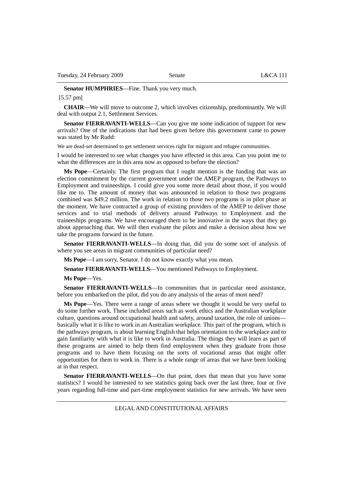**Senator HUMPHRIES**—Fine. Thank you very much.

[5.57 pm]

**CHAIR**—We will move to outcome 2, which involves citizenship, predominantly. We will deal with output 2.1, Settlement Services.

**Senator FIERRAVANTI-WELLS**—Can you give me some indication of support for new arrivals? One of the indications that had been given before this government came to power was stated by Mr Rudd:

We are dead-set determined to get settlement services right for migrant and refugee communities.

I would be interested to see what changes you have effected in this area. Can you point me to what the differences are in this area now as opposed to before the election?

**Ms Pope**—Certainly. The first program that I ought mention is the funding that was an election commitment by the current government under the AMEP program, the Pathways to Employment and traineeships. I could give you some more detail about those, if you would like me to. The amount of money that was announced in relation to those two programs combined was \$49.2 million. The work in relation to those two programs is in pilot phase at the moment. We have contracted a group of existing providers of the AMEP to deliver those services and to trial methods of delivery around Pathways to Employment and the traineeships programs. We have encouraged them to be innovative in the ways that they go about approaching that. We will then evaluate the pilots and make a decision about how we take the programs forward in the future.

**Senator FIERRAVANTI-WELLS**—In doing that, did you do some sort of analysis of where you see areas in migrant communities of particular need?

**Ms Pope**—I am sorry, Senator. I do not know exactly what you mean.

**Senator FIERRAVANTI-WELLS**—You mentioned Pathways to Employment.

**Ms Pope**—Yes.

**Senator FIERRAVANTI-WELLS**—In communities that in particular need assistance, before you embarked on the pilot, did you do any analysis of the areas of most need?

**Ms Pope**—Yes. There were a range of areas where we thought it would be very useful to do some further work. These included areas such as work ethics and the Australian workplace culture, questions around occupational health and safety, around taxation, the role of unions basically what it is like to work in an Australian workplace. This part of the program, which is the pathways program, is about learning English that helps orientation to the workplace and to gain familiarity with what it is like to work in Australia. The things they will learn as part of these programs are aimed to help them find employment when they graduate from those programs and to have them focusing on the sorts of vocational areas that might offer opportunities for them to work in. There is a whole range of areas that we have been looking at in that respect.

**Senator FIERRAVANTI-WELLS**—On that point, does that mean that you have some statistics? I would be interested to see statistics going back over the last three, four or five years regarding full-time and part-time employment statistics for new arrivals. We have seen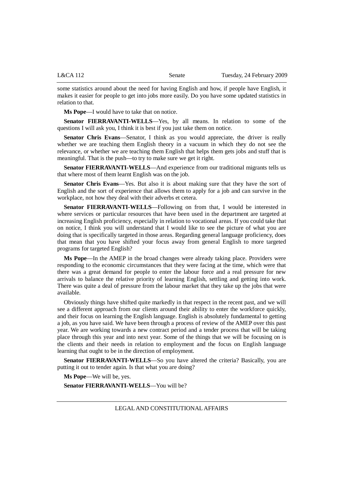some statistics around about the need for having English and how, if people have English, it makes it easier for people to get into jobs more easily. Do you have some updated statistics in relation to that.

**Ms Pope**—I would have to take that on notice.

**Senator FIERRAVANTI-WELLS**—Yes, by all means. In relation to some of the questions I will ask you, I think it is best if you just take them on notice.

**Senator Chris Evans**—Senator, I think as you would appreciate, the driver is really whether we are teaching them English theory in a vacuum in which they do not see the relevance, or whether we are teaching them English that helps them gets jobs and stuff that is meaningful. That is the push—to try to make sure we get it right.

**Senator FIERRAVANTI-WELLS**—And experience from our traditional migrants tells us that where most of them learnt English was on the job.

**Senator Chris Evans**—Yes. But also it is about making sure that they have the sort of English and the sort of experience that allows them to apply for a job and can survive in the workplace, not how they deal with their adverbs et cetera.

**Senator FIERRAVANTI-WELLS**—Following on from that, I would be interested in where services or particular resources that have been used in the department are targeted at increasing English proficiency, especially in relation to vocational areas. If you could take that on notice, I think you will understand that I would like to see the picture of what you are doing that is specifically targeted in those areas. Regarding general language proficiency, does that mean that you have shifted your focus away from general English to more targeted programs for targeted English?

**Ms Pope**—In the AMEP in the broad changes were already taking place. Providers were responding to the economic circumstances that they were facing at the time, which were that there was a great demand for people to enter the labour force and a real pressure for new arrivals to balance the relative priority of learning English, settling and getting into work. There was quite a deal of pressure from the labour market that they take up the jobs that were available.

Obviously things have shifted quite markedly in that respect in the recent past, and we will see a different approach from our clients around their ability to enter the workforce quickly, and their focus on learning the English language. English is absolutely fundamental to getting a job, as you have said. We have been through a process of review of the AMEP over this past year. We are working towards a new contract period and a tender process that will be taking place through this year and into next year. Some of the things that we will be focusing on is the clients and their needs in relation to employment and the focus on English language learning that ought to be in the direction of employment.

**Senator FIERRAVANTI-WELLS**—So you have altered the criteria? Basically, you are putting it out to tender again. Is that what you are doing?

**Ms Pope**—We will be, yes.

**Senator FIERRAVANTI-WELLS**—You will be?

LEGAL AND CONSTITUTIONAL AFFAIRS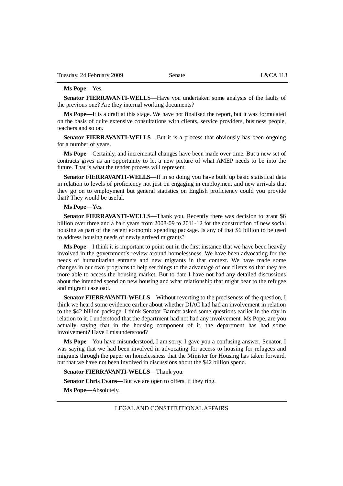#### **Ms Pope**—Yes.

**Senator FIERRAVANTI-WELLS**—Have you undertaken some analysis of the faults of the previous one? Are they internal working documents?

**Ms Pope**—It is a draft at this stage. We have not finalised the report, but it was formulated on the basis of quite extensive consultations with clients, service providers, business people, teachers and so on.

**Senator FIERRAVANTI-WELLS**—But it is a process that obviously has been ongoing for a number of years.

**Ms Pope**—Certainly, and incremental changes have been made over time. But a new set of contracts gives us an opportunity to let a new picture of what AMEP needs to be into the future. That is what the tender process will represent.

**Senator FIERRAVANTI-WELLS**—If in so doing you have built up basic statistical data in relation to levels of proficiency not just on engaging in employment and new arrivals that they go on to employment but general statistics on English proficiency could you provide that? They would be useful.

#### **Ms Pope**—Yes.

**Senator FIERRAVANTI-WELLS**—Thank you. Recently there was decision to grant \$6 billion over three and a half years from 2008-09 to 2011-12 for the construction of new social housing as part of the recent economic spending package. Is any of that \$6 billion to be used to address housing needs of newly arrived migrants?

**Ms Pope**—I think it is important to point out in the first instance that we have been heavily involved in the government's review around homelessness. We have been advocating for the needs of humanitarian entrants and new migrants in that context. We have made some changes in our own programs to help set things to the advantage of our clients so that they are more able to access the housing market. But to date I have not had any detailed discussions about the intended spend on new housing and what relationship that might bear to the refugee and migrant caseload.

**Senator FIERRAVANTI-WELLS—Without reverting to the preciseness of the question, I** think we heard some evidence earlier about whether DIAC had had an involvement in relation to the \$42 billion package. I think Senator Barnett asked some questions earlier in the day in relation to it. I understood that the department had not had any involvement. Ms Pope, are you actually saying that in the housing component of it, the department has had some involvement? Have I misunderstood?

**Ms Pope**—You have misunderstood, I am sorry. I gave you a confusing answer, Senator. I was saying that we had been involved in advocating for access to housing for refugees and migrants through the paper on homelessness that the Minister for Housing has taken forward, but that we have not been involved in discussions about the \$42 billion spend.

### **Senator FIERRAVANTI-WELLS**—Thank you.

**Senator Chris Evans**—But we are open to offers, if they ring.

**Ms Pope**—Absolutely.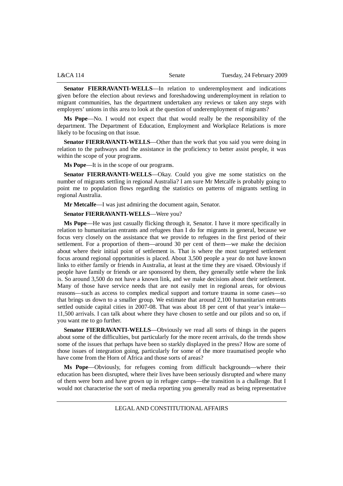| L&CA 114 | Senate | Tuesday, 24 February 2009 |
|----------|--------|---------------------------|
|          |        |                           |

**Senator FIERRAVANTI-WELLS**—In relation to underemployment and indications given before the election about reviews and foreshadowing underemployment in relation to migrant communities, has the department undertaken any reviews or taken any steps with employers' unions in this area to look at the question of underemployment of migrants?

**Ms Pope**—No. I would not expect that that would really be the responsibility of the department. The Department of Education, Employment and Workplace Relations is more likely to be focusing on that issue.

**Senator FIERRAVANTI-WELLS**—Other than the work that you said you were doing in relation to the pathways and the assistance in the proficiency to better assist people, it was within the scope of your programs.

**Ms Pope**—It is in the scope of our programs.

**Senator FIERRAVANTI-WELLS**—Okay. Could you give me some statistics on the number of migrants settling in regional Australia? I am sure Mr Metcalfe is probably going to point me to population flows regarding the statistics on patterns of migrants settling in regional Australia.

**Mr Metcalfe**—I was just admiring the document again, Senator.

**Senator FIERRAVANTI-WELLS—Were you?** 

**Ms Pope**—He was just casually flicking through it, Senator. I have it more specifically in relation to humanitarian entrants and refugees than I do for migrants in general, because we focus very closely on the assistance that we provide to refugees in the first period of their settlement. For a proportion of them—around 30 per cent of them—we make the decision about where their initial point of settlement is. That is where the most targeted settlement focus around regional opportunities is placed. About 3,500 people a year do not have known links to either family or friends in Australia, at least at the time they are visaed. Obviously if people have family or friends or are sponsored by them, they generally settle where the link is. So around 3,500 do not have a known link, and we make decisions about their settlement. Many of those have service needs that are not easily met in regional areas, for obvious reasons—such as access to complex medical support and torture trauma in some cases—so that brings us down to a smaller group. We estimate that around 2,100 humanitarian entrants settled outside capital cities in 2007-08. That was about 18 per cent of that year's intake— 11,500 arrivals. I can talk about where they have chosen to settle and our pilots and so on, if you want me to go further.

**Senator FIERRAVANTI-WELLS**—Obviously we read all sorts of things in the papers about some of the difficulties, but particularly for the more recent arrivals, do the trends show some of the issues that perhaps have been so starkly displayed in the press? How are some of those issues of integration going, particularly for some of the more traumatised people who have come from the Horn of Africa and those sorts of areas?

**Ms Pope**—Obviously, for refugees coming from difficult backgrounds—where their education has been disrupted, where their lives have been seriously disrupted and where many of them were born and have grown up in refugee camps—the transition is a challenge. But I would not characterise the sort of media reporting you generally read as being representative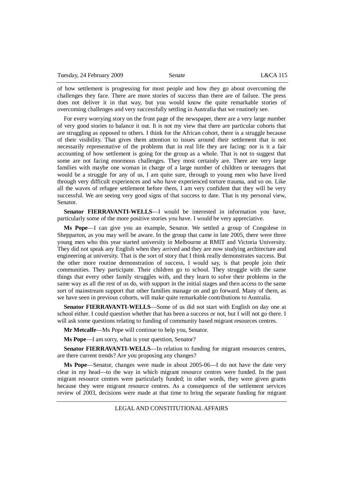Tuesday, 24 February 2009 Senate L&CA 115

of how settlement is progressing for most people and how they go about overcoming the challenges they face. There are more stories of success than there are of failure. The press does not deliver it in that way, but you would know the quite remarkable stories of overcoming challenges and very successfully settling in Australia that we routinely see.

For every worrying story on the front page of the newspaper, there are a very large number of very good stories to balance it out. It is not my view that there are particular cohorts that are struggling as opposed to others. I think for the African cohort, there is a struggle because of their visibility. That gives them attention to issues around their settlement that is not necessarily representative of the problems that in real life they are facing: nor is it a fair accounting of how settlement is going for the group as a whole. That is not to suggest that some are not facing enormous challenges. They most certainly are. There are very large families with maybe one woman in charge of a large number of children or teenagers that would be a struggle for any of us, I am quite sure, through to young men who have lived through very difficult experiences and who have experienced torture trauma, and so on. Like all the waves of refugee settlement before them, I am very confident that they will be very successful. We are seeing very good signs of that success to date. That is my personal view, Senator.

**Senator FIERRAVANTI-WELLS**—I would be interested in information you have, particularly some of the more positive stories you have. I would be very appreciative.

**Ms Pope**—I can give you an example, Senator. We settled a group of Congolese in Shepparton, as you may well be aware. In the group that came in late 2005, there were three young men who this year started university in Melbourne at RMIT and Victoria University. They did not speak any English when they arrived and they are now studying architecture and engineering at university. That is the sort of story that I think really demonstrates success. But the other more routine demonstration of success, I would say, is that people join their communities. They participate. Their children go to school. They struggle with the same things that every other family struggles with, and they learn to solve their problems in the same way as all the rest of us do, with support in the initial stages and then access to the same sort of mainstream support that other families manage on and go forward. Many of them, as we have seen in previous cohorts, will make quite remarkable contributions to Australia.

**Senator FIERRAVANTI-WELLS**—Some of us did not start with English on day one at school either. I could question whether that has been a success or not, but I will not go there. I will ask some questions relating to funding of community based migrant resources centres.

**Mr Metcalfe**—Ms Pope will continue to help you, Senator.

**Ms Pope**—I am sorry, what is your question, Senator?

**Senator FIERRAVANTI-WELLS**—In relation to funding for migrant resources centres, are there current trends? Are you proposing any changes?

**Ms Pope**—Senator, changes were made in about 2005-06—I do not have the date very clear in my head—to the way in which migrant resource centres were funded. In the past migrant resource centres were particularly funded; in other words, they were given grants because they were migrant resource centres. As a consequence of the settlement services review of 2003, decisions were made at that time to bring the separate funding for migrant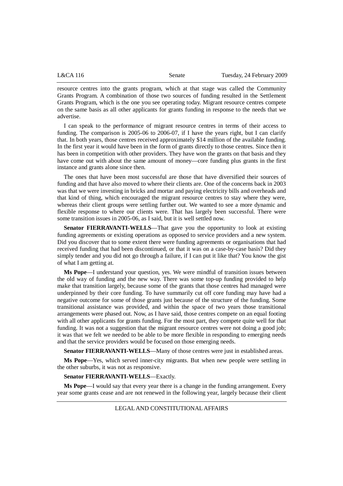| L&CA116 | Senate | Tuesday, 24 February 2009 |
|---------|--------|---------------------------|
|         |        |                           |

resource centres into the grants program, which at that stage was called the Community Grants Program. A combination of those two sources of funding resulted in the Settlement Grants Program, which is the one you see operating today. Migrant resource centres compete on the same basis as all other applicants for grants funding in response to the needs that we advertise.

I can speak to the performance of migrant resource centres in terms of their access to funding. The comparison is 2005-06 to 2006-07, if I have the years right, but I can clarify that. In both years, those centres received approximately \$14 million of the available funding. In the first year it would have been in the form of grants directly to those centres. Since then it has been in competition with other providers. They have won the grants on that basis and they have come out with about the same amount of money—core funding plus grants in the first instance and grants alone since then.

The ones that have been most successful are those that have diversified their sources of funding and that have also moved to where their clients are. One of the concerns back in 2003 was that we were investing in bricks and mortar and paying electricity bills and overheads and that kind of thing, which encouraged the migrant resource centres to stay where they were, whereas their client groups were settling further out. We wanted to see a more dynamic and flexible response to where our clients were. That has largely been successful. There were some transition issues in 2005-06, as I said, but it is well settled now.

**Senator FIERRAVANTI-WELLS**—That gave you the opportunity to look at existing funding agreements or existing operations as opposed to service providers and a new system. Did you discover that to some extent there were funding agreements or organisations that had received funding that had been discontinued, or that it was on a case-by-case basis? Did they simply tender and you did not go through a failure, if I can put it like that? You know the gist of what I am getting at.

**Ms Pope**—I understand your question, yes. We were mindful of transition issues between the old way of funding and the new way. There was some top-up funding provided to help make that transition largely, because some of the grants that those centres had managed were underpinned by their core funding. To have summarily cut off core funding may have had a negative outcome for some of those grants just because of the structure of the funding. Some transitional assistance was provided, and within the space of two years those transitional arrangements were phased out. Now, as I have said, those centres compete on an equal footing with all other applicants for grants funding. For the most part, they compete quite well for that funding. It was not a suggestion that the migrant resource centres were not doing a good job; it was that we felt we needed to be able to be more flexible in responding to emerging needs and that the service providers would be focused on those emerging needs.

**Senator FIERRAVANTI-WELLS**—Many of those centres were just in established areas.

**Ms Pope**—Yes, which served inner-city migrants. But when new people were settling in the other suburbs, it was not as responsive.

### **Senator FIERRAVANTI-WELLS**—Exactly.

**Ms Pope**—I would say that every year there is a change in the funding arrangement. Every year some grants cease and are not renewed in the following year, largely because their client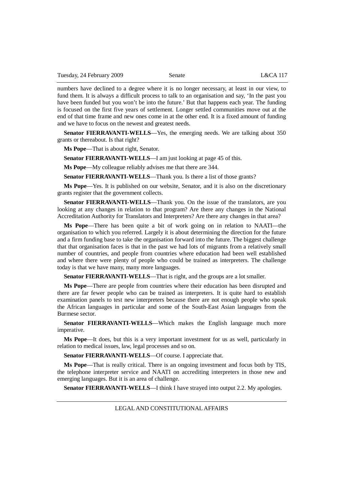numbers have declined to a degree where it is no longer necessary, at least in our view, to fund them. It is always a difficult process to talk to an organisation and say, 'In the past you have been funded but you won't be into the future.' But that happens each year. The funding is focused on the first five years of settlement. Longer settled communities move out at the end of that time frame and new ones come in at the other end. It is a fixed amount of funding and we have to focus on the newest and greatest needs.

**Senator FIERRAVANTI-WELLS**—Yes, the emerging needs. We are talking about 350 grants or thereabout. Is that right?

**Ms Pope**—That is about right, Senator.

**Senator FIERRAVANTI-WELLS**—I am just looking at page 45 of this.

**Ms Pope**—My colleague reliably advises me that there are 344.

**Senator FIERRAVANTI-WELLS**—Thank you. Is there a list of those grants?

**Ms Pope**—Yes. It is published on our website, Senator, and it is also on the discretionary grants register that the government collects.

**Senator FIERRAVANTI-WELLS**—Thank you. On the issue of the translators, are you looking at any changes in relation to that program? Are there any changes in the National Accreditation Authority for Translators and Interpreters? Are there any changes in that area?

**Ms Pope**—There has been quite a bit of work going on in relation to NAATI—the organisation to which you referred. Largely it is about determining the direction for the future and a firm funding base to take the organisation forward into the future. The biggest challenge that that organisation faces is that in the past we had lots of migrants from a relatively small number of countries, and people from countries where education had been well established and where there were plenty of people who could be trained as interpreters. The challenge today is that we have many, many more languages.

**Senator FIERRAVANTI-WELLS**—That is right, and the groups are a lot smaller.

**Ms Pope**—There are people from countries where their education has been disrupted and there are far fewer people who can be trained as interpreters. It is quite hard to establish examination panels to test new interpreters because there are not enough people who speak the African languages in particular and some of the South-East Asian languages from the Burmese sector.

**Senator FIERRAVANTI-WELLS**—Which makes the English language much more imperative.

**Ms Pope**—It does, but this is a very important investment for us as well, particularly in relation to medical issues, law, legal processes and so on.

**Senator FIERRAVANTI-WELLS**—Of course. I appreciate that.

**Ms Pope**—That is really critical. There is an ongoing investment and focus both by TIS, the telephone interpreter service and NAATI on accrediting interpreters in those new and emerging languages. But it is an area of challenge.

**Senator FIERRAVANTI-WELLS**—I think I have strayed into output 2.2. My apologies.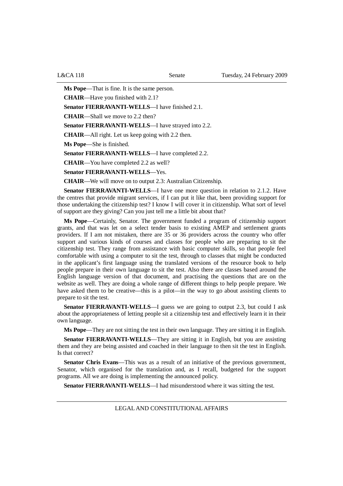**Ms Pope**—That is fine. It is the same person.

**CHAIR**—Have you finished with 2.1?

**Senator FIERRAVANTI-WELLS**—I have finished 2.1.

**CHAIR**—Shall we move to 2.2 then?

**Senator FIERRAVANTI-WELLS**—I have strayed into 2.2.

**CHAIR**—All right. Let us keep going with 2.2 then.

**Ms Pope**—She is finished.

**Senator FIERRAVANTI-WELLS**—I have completed 2.2.

**CHAIR**—You have completed 2.2 as well?

**Senator FIERRAVANTI-WELLS**—Yes.

**CHAIR**—We will move on to output 2.3: Australian Citizenship.

**Senator FIERRAVANTI-WELLS**—I have one more question in relation to 2.1.2. Have the centres that provide migrant services, if I can put it like that, been providing support for those undertaking the citizenship test? I know I will cover it in citizenship. What sort of level of support are they giving? Can you just tell me a little bit about that?

**Ms Pope**—Certainly, Senator. The government funded a program of citizenship support grants, and that was let on a select tender basis to existing AMEP and settlement grants providers. If I am not mistaken, there are 35 or 36 providers across the country who offer support and various kinds of courses and classes for people who are preparing to sit the citizenship test. They range from assistance with basic computer skills, so that people feel comfortable with using a computer to sit the test, through to classes that might be conducted in the applicant's first language using the translated versions of the resource book to help people prepare in their own language to sit the test. Also there are classes based around the English language version of that document, and practising the questions that are on the website as well. They are doing a whole range of different things to help people prepare. We have asked them to be creative—this is a pilot—in the way to go about assisting clients to prepare to sit the test.

**Senator FIERRAVANTI-WELLS**—I guess we are going to output 2.3, but could I ask about the appropriateness of letting people sit a citizenship test and effectively learn it in their own language.

**Ms Pope**—They are not sitting the test in their own language. They are sitting it in English.

**Senator FIERRAVANTI-WELLS**—They are sitting it in English, but you are assisting them and they are being assisted and coached in their language to then sit the test in English. Is that correct?

**Senator Chris Evans—This was as a result of an initiative of the previous government,** Senator, which organised for the translation and, as I recall, budgeted for the support programs. All we are doing is implementing the announced policy.

**Senator FIERRAVANTI-WELLS**—I had misunderstood where it was sitting the test.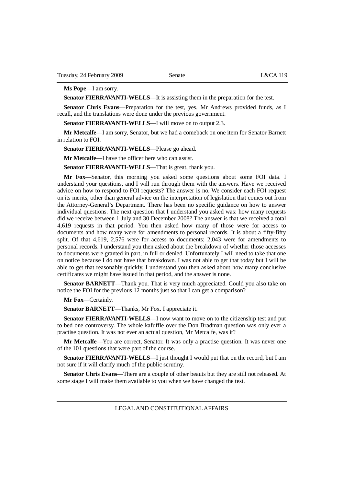## **Ms Pope**—I am sorry.

**Senator FIERRAVANTI-WELLS**—It is assisting them in the preparation for the test.

**Senator Chris Evans**—Preparation for the test, yes. Mr Andrews provided funds, as I recall, and the translations were done under the previous government.

**Senator FIERRAVANTI-WELLS—I** will move on to output 2.3.

**Mr Metcalfe**—I am sorry, Senator, but we had a comeback on one item for Senator Barnett in relation to FOI.

**Senator FIERRAVANTI-WELLS**—Please go ahead.

**Mr Metcalfe**—I have the officer here who can assist.

**Senator FIERRAVANTI-WELLS**—That is great, thank you.

**Mr Fox**—Senator, this morning you asked some questions about some FOI data. I understand your questions, and I will run through them with the answers. Have we received advice on how to respond to FOI requests? The answer is no. We consider each FOI request on its merits, other than general advice on the interpretation of legislation that comes out from the Attorney-General's Department. There has been no specific guidance on how to answer individual questions. The next question that I understand you asked was: how many requests did we receive between 1 July and 30 December 2008? The answer is that we received a total 4,619 requests in that period. You then asked how many of those were for access to documents and how many were for amendments to personal records. It is about a fifty-fifty split. Of that 4,619, 2,576 were for access to documents; 2,043 were for amendments to personal records. I understand you then asked about the breakdown of whether those accesses to documents were granted in part, in full or denied. Unfortunately I will need to take that one on notice because I do not have that breakdown. I was not able to get that today but I will be able to get that reasonably quickly. I understand you then asked about how many conclusive certificates we might have issued in that period, and the answer is none.

**Senator BARNETT—Thank you. That is very much appreciated. Could you also take on** notice the FOI for the previous 12 months just so that I can get a comparison?

**Mr Fox**—Certainly.

**Senator BARNETT**—Thanks, Mr Fox. I appreciate it.

**Senator FIERRAVANTI-WELLS**—I now want to move on to the citizenship test and put to bed one controversy. The whole kafuffle over the Don Bradman question was only ever a practise question. It was not ever an actual question, Mr Metcalfe, was it?

**Mr Metcalfe**—You are correct, Senator. It was only a practise question. It was never one of the 101 questions that were part of the course.

**Senator FIERRAVANTI-WELLS**—I just thought I would put that on the record, but I am not sure if it will clarify much of the public scrutiny.

**Senator Chris Evans**—There are a couple of other beauts but they are still not released. At some stage I will make them available to you when we have changed the test.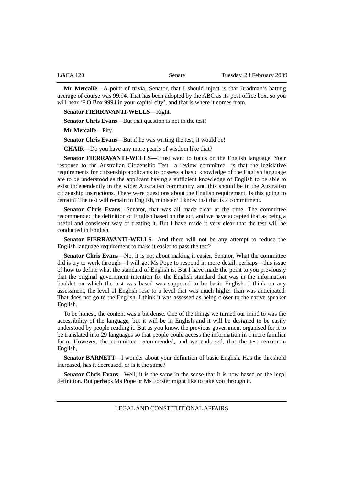| Tuesday, 24 February 2009<br>L&CA 120<br>Senate |
|-------------------------------------------------|
|-------------------------------------------------|

**Mr Metcalfe**—A point of trivia, Senator, that I should inject is that Bradman's batting average of course was 99.94. That has been adopted by the ABC as its post office box, so you will hear 'P O Box 9994 in your capital city', and that is where it comes from.

**Senator FIERRAVANTI-WELLS**—Right.

**Senator Chris Evans**—But that question is not in the test!

**Mr Metcalfe**—Pity.

**Senator Chris Evans**—But if he was writing the test, it would be!

**CHAIR**—Do you have any more pearls of wisdom like that?

**Senator FIERRAVANTI-WELLS**—I just want to focus on the English language. Your response to the Australian Citizenship Test—a review committee—is that the legislative requirements for citizenship applicants to possess a basic knowledge of the English language are to be understood as the applicant having a sufficient knowledge of English to be able to exist independently in the wider Australian community, and this should be in the Australian citizenship instructions. There were questions about the English requirement. Is this going to remain? The test will remain in English, minister? I know that that is a commitment.

**Senator Chris Evans**—Senator, that was all made clear at the time. The committee recommended the definition of English based on the act, and we have accepted that as being a useful and consistent way of treating it. But I have made it very clear that the test will be conducted in English.

**Senator FIERRAVANTI-WELLS**—And there will not be any attempt to reduce the English language requirement to make it easier to pass the test?

**Senator Chris Evans**—No, it is not about making it easier, Senator. What the committee did is try to work through—I will get Ms Pope to respond in more detail, perhaps—this issue of how to define what the standard of English is. But I have made the point to you previously that the original government intention for the English standard that was in the information booklet on which the test was based was supposed to be basic English. I think on any assessment, the level of English rose to a level that was much higher than was anticipated. That does not go to the English. I think it was assessed as being closer to the native speaker English.

To be honest, the content was a bit dense. One of the things we turned our mind to was the accessibility of the language, but it will be in English and it will be designed to be easily understood by people reading it. But as you know, the previous government organised for it to be translated into 29 languages so that people could access the information in a more familiar form. However, the committee recommended, and we endorsed, that the test remain in English,

**Senator BARNETT**—I wonder about your definition of basic English. Has the threshold increased, has it decreased, or is it the same?

**Senator Chris Evans**—Well, it is the same in the sense that it is now based on the legal definition. But perhaps Ms Pope or Ms Forster might like to take you through it.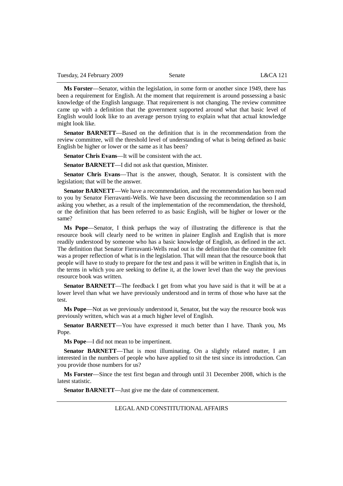**Ms Forster**—Senator, within the legislation, in some form or another since 1949, there has been a requirement for English. At the moment that requirement is around possessing a basic knowledge of the English language. That requirement is not changing. The review committee came up with a definition that the government supported around what that basic level of English would look like to an average person trying to explain what that actual knowledge might look like.

**Senator BARNETT**—Based on the definition that is in the recommendation from the review committee, will the threshold level of understanding of what is being defined as basic English be higher or lower or the same as it has been?

**Senator Chris Evans**—It will be consistent with the act.

**Senator BARNETT**—I did not ask that question, Minister.

**Senator Chris Evans**—That is the answer, though, Senator. It is consistent with the legislation; that will be the answer.

**Senator BARNETT**—We have a recommendation, and the recommendation has been read to you by Senator Fierravanti-Wells. We have been discussing the recommendation so I am asking you whether, as a result of the implementation of the recommendation, the threshold, or the definition that has been referred to as basic English, will be higher or lower or the same?

**Ms Pope**—Senator, I think perhaps the way of illustrating the difference is that the resource book will clearly need to be written in plainer English and English that is more readily understood by someone who has a basic knowledge of English, as defined in the act. The definition that Senator Fierravanti-Wells read out is the definition that the committee felt was a proper reflection of what is in the legislation. That will mean that the resource book that people will have to study to prepare for the test and pass it will be written in English that is, in the terms in which you are seeking to define it, at the lower level than the way the previous resource book was written.

**Senator BARNETT**—The feedback I get from what you have said is that it will be at a lower level than what we have previously understood and in terms of those who have sat the test.

**Ms Pope**—Not as we previously understood it, Senator, but the way the resource book was previously written, which was at a much higher level of English.

**Senator BARNETT**—You have expressed it much better than I have. Thank you, Ms Pope.

**Ms Pope**—I did not mean to be impertinent.

**Senator BARNETT**—That is most illuminating. On a slightly related matter, I am interested in the numbers of people who have applied to sit the test since its introduction. Can you provide those numbers for us?

**Ms Forster**—Since the test first began and through until 31 December 2008, which is the latest statistic.

**Senator BARNETT**—Just give me the date of commencement.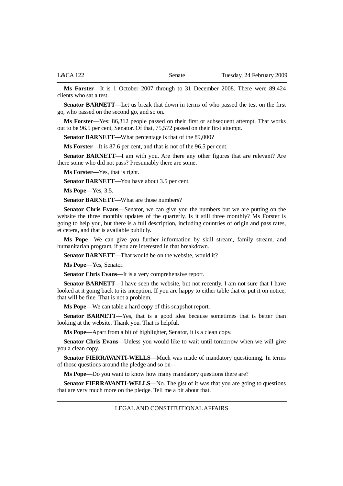**Ms Forster**—It is 1 October 2007 through to 31 December 2008. There were 89,424 clients who sat a test.

**Senator BARNETT**—Let us break that down in terms of who passed the test on the first go, who passed on the second go, and so on.

**Ms Forster**—Yes: 86,312 people passed on their first or subsequent attempt. That works out to be 96.5 per cent, Senator. Of that, 75,572 passed on their first attempt.

**Senator BARNETT—What percentage is that of the 89,000?** 

**Ms Forster**—It is 87.6 per cent, and that is not of the 96.5 per cent.

**Senator BARNETT**—I am with you. Are there any other figures that are relevant? Are there some who did not pass? Presumably there are some.

**Ms Forster**—Yes, that is right.

**Senator BARNETT**—You have about 3.5 per cent.

**Ms Pope**—Yes, 3.5.

**Senator BARNETT**—What are those numbers?

**Senator Chris Evans**—Senator, we can give you the numbers but we are putting on the website the three monthly updates of the quarterly. Is it still three monthly? Ms Forster is going to help you, but there is a full description, including countries of origin and pass rates, et cetera, and that is available publicly.

**Ms Pope**—We can give you further information by skill stream, family stream, and humanitarian program, if you are interested in that breakdown.

Senator BARNETT—That would be on the website, would it?

**Ms Pope**—Yes, Senator.

**Senator Chris Evans**—It is a very comprehensive report.

**Senator BARNETT—I** have seen the website, but not recently. I am not sure that I have looked at it going back to its inception. If you are happy to either table that or put it on notice, that will be fine. That is not a problem.

**Ms Pope**—We can table a hard copy of this snapshot report.

**Senator BARNETT**—Yes, that is a good idea because sometimes that is better than looking at the website. Thank you. That is helpful.

**Ms Pope**—Apart from a bit of highlighter, Senator, it is a clean copy.

**Senator Chris Evans**—Unless you would like to wait until tomorrow when we will give you a clean copy.

**Senator FIERRAVANTI-WELLS**—Much was made of mandatory questioning. In terms of those questions around the pledge and so on—

**Ms Pope**—Do you want to know how many mandatory questions there are?

**Senator FIERRAVANTI-WELLS—No.** The gist of it was that you are going to questions that are very much more on the pledge. Tell me a bit about that.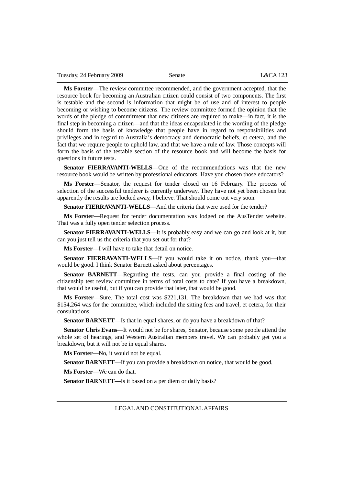Tuesday, 24 February 2009 Senate L&CA 123

**Ms Forster**—The review committee recommended, and the government accepted, that the resource book for becoming an Australian citizen could consist of two components. The first is testable and the second is information that might be of use and of interest to people becoming or wishing to become citizens. The review committee formed the opinion that the words of the pledge of commitment that new citizens are required to make—in fact, it is the final step in becoming a citizen—and that the ideas encapsulated in the wording of the pledge should form the basis of knowledge that people have in regard to responsibilities and privileges and in regard to Australia's democracy and democratic beliefs, et cetera, and the fact that we require people to uphold law, and that we have a rule of law. Those concepts will form the basis of the testable section of the resource book and will become the basis for questions in future tests.

**Senator FIERRAVANTI-WELLS**—One of the recommendations was that the new resource book would be written by professional educators. Have you chosen those educators?

**Ms Forster**—Senator, the request for tender closed on 16 February. The process of selection of the successful tenderer is currently underway. They have not yet been chosen but apparently the results are locked away, I believe. That should come out very soon.

**Senator FIERRAVANTI-WELLS**—And the criteria that were used for the tender?

**Ms Forster**—Request for tender documentation was lodged on the AusTender website. That was a fully open tender selection process.

**Senator FIERRAVANTI-WELLS**—It is probably easy and we can go and look at it, but can you just tell us the criteria that you set out for that?

**Ms Forster**—I will have to take that detail on notice.

**Senator FIERRAVANTI-WELLS**—If you would take it on notice, thank you—that would be good. I think Senator Barnett asked about percentages.

**Senator BARNETT**—Regarding the tests, can you provide a final costing of the citizenship test review committee in terms of total costs to date? If you have a breakdown, that would be useful, but if you can provide that later, that would be good.

**Ms Forster**—Sure. The total cost was \$221,131. The breakdown that we had was that \$154,264 was for the committee, which included the sitting fees and travel, et cetera, for their consultations.

**Senator BARNETT**—Is that in equal shares, or do you have a breakdown of that?

**Senator Chris Evans**—It would not be for shares, Senator, because some people attend the whole set of hearings, and Western Australian members travel. We can probably get you a breakdown, but it will not be in equal shares.

**Ms Forster**—No, it would not be equal.

**Senator BARNETT**—If you can provide a breakdown on notice, that would be good.

**Ms Forster**—We can do that.

**Senator BARNETT—Is** it based on a per diem or daily basis?

LEGAL AND CONSTITUTIONAL AFFAIRS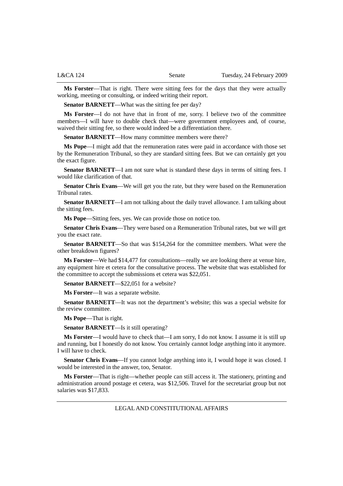**Ms Forster**—That is right. There were sitting fees for the days that they were actually working, meeting or consulting, or indeed writing their report.

**Senator BARNETT—What was the sitting fee per day?** 

**Ms Forster**—I do not have that in front of me, sorry. I believe two of the committee members—I will have to double check that—were government employees and, of course, waived their sitting fee, so there would indeed be a differentiation there.

**Senator BARNETT—How many committee members were there?** 

**Ms Pope**—I might add that the remuneration rates were paid in accordance with those set by the Remuneration Tribunal, so they are standard sitting fees. But we can certainly get you the exact figure.

**Senator BARNETT—I** am not sure what is standard these days in terms of sitting fees. I would like clarification of that.

**Senator Chris Evans**—We will get you the rate, but they were based on the Remuneration Tribunal rates.

**Senator BARNETT—I** am not talking about the daily travel allowance. I am talking about the sitting fees.

**Ms Pope**—Sitting fees, yes. We can provide those on notice too.

**Senator Chris Evans**—They were based on a Remuneration Tribunal rates, but we will get you the exact rate.

**Senator BARNETT**—So that was \$154,264 for the committee members. What were the other breakdown figures?

**Ms Forster**—We had \$14,477 for consultations—really we are looking there at venue hire, any equipment hire et cetera for the consultative process. The website that was established for the committee to accept the submissions et cetera was \$22,051.

**Senator BARNETT—\$22,051 for a website?** 

**Ms Forster**—It was a separate website.

**Senator BARNETT**—It was not the department's website; this was a special website for the review committee.

**Ms Pope**—That is right.

**Senator BARNETT**—Is it still operating?

**Ms Forster**—I would have to check that—I am sorry, I do not know. I assume it is still up and running, but I honestly do not know. You certainly cannot lodge anything into it anymore. I will have to check.

**Senator Chris Evans**—If you cannot lodge anything into it, I would hope it was closed. I would be interested in the answer, too, Senator.

**Ms Forster**—That is right—whether people can still access it. The stationery, printing and administration around postage et cetera, was \$12,506. Travel for the secretariat group but not salaries was \$17,833.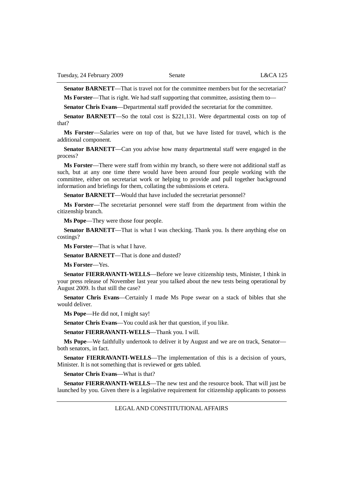**Senator BARNETT—That is travel not for the committee members but for the secretariat?** 

**Ms Forster**—That is right. We had staff supporting that committee, assisting them to—

**Senator Chris Evans**—Departmental staff provided the secretariat for the committee.

**Senator BARNETT**—So the total cost is \$221,131. Were departmental costs on top of that?

**Ms Forster**—Salaries were on top of that, but we have listed for travel, which is the additional component.

**Senator BARNETT**—Can you advise how many departmental staff were engaged in the process?

**Ms Forster**—There were staff from within my branch, so there were not additional staff as such, but at any one time there would have been around four people working with the committee, either on secretariat work or helping to provide and pull together background information and briefings for them, collating the submissions et cetera.

**Senator BARNETT—Would that have included the secretariat personnel?** 

**Ms Forster**—The secretariat personnel were staff from the department from within the citizenship branch.

**Ms Pope**—They were those four people.

**Senator BARNETT**—That is what I was checking. Thank you. Is there anything else on costings?

**Ms Forster**—That is what I have.

**Senator BARNETT**—That is done and dusted?

**Ms Forster**—Yes.

**Senator FIERRAVANTI-WELLS**—Before we leave citizenship tests, Minister, I think in your press release of November last year you talked about the new tests being operational by August 2009. Is that still the case?

**Senator Chris Evans**—Certainly I made Ms Pope swear on a stack of bibles that she would deliver.

**Ms Pope**—He did not, I might say!

**Senator Chris Evans**—You could ask her that question, if you like.

**Senator FIERRAVANTI-WELLS**—Thank you. I will.

**Ms Pope**—We faithfully undertook to deliver it by August and we are on track, Senator both senators, in fact.

**Senator FIERRAVANTI-WELLS**—The implementation of this is a decision of yours, Minister. It is not something that is reviewed or gets tabled.

**Senator Chris Evans**—What is that?

**Senator FIERRAVANTI-WELLS**—The new test and the resource book. That will just be launched by you. Given there is a legislative requirement for citizenship applicants to possess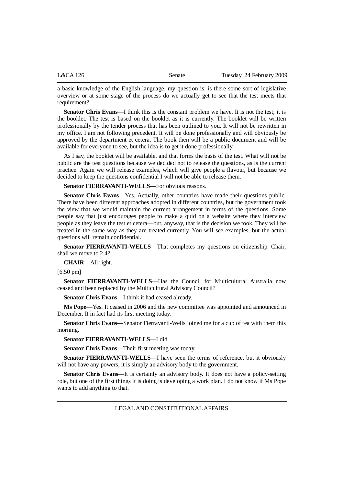a basic knowledge of the English language, my question is: is there some sort of legislative overview or at some stage of the process do we actually get to see that the test meets that requirement?

**Senator Chris Evans**—I think this is the constant problem we have. It is not the test; it is the booklet. The test is based on the booklet as it is currently. The booklet will be written professionally by the tender process that has been outlined to you. It will not be rewritten in my office. I am not following precedent. It will be done professionally and will obviously be approved by the department et cetera. The book then will be a public document and will be available for everyone to see, but the idea is to get it done professionally.

As I say, the booklet will be available, and that forms the basis of the test. What will not be public are the test questions because we decided not to release the questions, as is the current practice. Again we will release examples, which will give people a flavour, but because we decided to keep the questions confidential I will not be able to release them.

**Senator FIERRAVANTI-WELLS**—For obvious reasons.

**Senator Chris Evans**—Yes. Actually, other countries have made their questions public. There have been different approaches adopted in different countries, but the government took the view that we would maintain the current arrangement in terms of the questions. Some people say that just encourages people to make a quid on a website where they interview people as they leave the test et cetera—but, anyway, that is the decision we took. They will be treated in the same way as they are treated currently. You will see examples, but the actual questions will remain confidential.

**Senator FIERRAVANTI-WELLS**—That completes my questions on citizenship. Chair, shall we move to 2.4?

**CHAIR**—All right.

[6.50 pm]

**Senator FIERRAVANTI-WELLS**—Has the Council for Multicultural Australia now ceased and been replaced by the Multicultural Advisory Council?

**Senator Chris Evans**—I think it had ceased already.

**Ms Pope**—Yes. It ceased in 2006 and the new committee was appointed and announced in December. It in fact had its first meeting today.

**Senator Chris Evans**—Senator Fierravanti-Wells joined me for a cup of tea with them this morning.

**Senator FIERRAVANTI-WELLS**—I did.

**Senator Chris Evans**—Their first meeting was today.

**Senator FIERRAVANTI-WELLS—I** have seen the terms of reference, but it obviously will not have any powers; it is simply an advisory body to the government.

**Senator Chris Evans**—It is certainly an advisory body. It does not have a policy-setting role, but one of the first things it is doing is developing a work plan. I do not know if Ms Pope wants to add anything to that.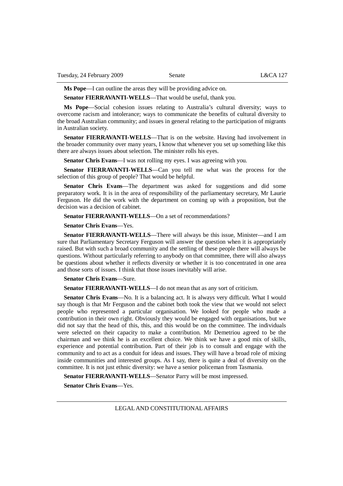**Ms Pope**—I can outline the areas they will be providing advice on.

**Senator FIERRAVANTI-WELLS**—That would be useful, thank you.

**Ms Pope**—Social cohesion issues relating to Australia's cultural diversity; ways to overcome racism and intolerance; ways to communicate the benefits of cultural diversity to the broad Australian community; and issues in general relating to the participation of migrants in Australian society.

**Senator FIERRAVANTI-WELLS**—That is on the website. Having had involvement in the broader community over many years, I know that whenever you set up something like this there are always issues about selection. The minister rolls his eyes.

**Senator Chris Evans**—I was not rolling my eyes. I was agreeing with you.

**Senator FIERRAVANTI-WELLS**—Can you tell me what was the process for the selection of this group of people? That would be helpful.

**Senator Chris Evans**—The department was asked for suggestions and did some preparatory work. It is in the area of responsibility of the parliamentary secretary, Mr Laurie Ferguson. He did the work with the department on coming up with a proposition, but the decision was a decision of cabinet.

**Senator FIERRAVANTI-WELLS—On a set of recommendations?** 

**Senator Chris Evans**—Yes.

**Senator FIERRAVANTI-WELLS**—There will always be this issue, Minister—and I am sure that Parliamentary Secretary Ferguson will answer the question when it is appropriately raised. But with such a broad community and the settling of these people there will always be questions. Without particularly referring to anybody on that committee, there will also always be questions about whether it reflects diversity or whether it is too concentrated in one area and those sorts of issues. I think that those issues inevitably will arise.

**Senator Chris Evans**—Sure.

**Senator FIERRAVANTI-WELLS—I** do not mean that as any sort of criticism.

**Senator Chris Evans**—No. It is a balancing act. It is always very difficult. What I would say though is that Mr Ferguson and the cabinet both took the view that we would not select people who represented a particular organisation. We looked for people who made a contribution in their own right. Obviously they would be engaged with organisations, but we did not say that the head of this, this, and this would be on the committee. The individuals were selected on their capacity to make a contribution. Mr Demetriou agreed to be the chairman and we think he is an excellent choice. We think we have a good mix of skills, experience and potential contribution. Part of their job is to consult and engage with the community and to act as a conduit for ideas and issues. They will have a broad role of mixing inside communities and interested groups. As I say, there is quite a deal of diversity on the committee. It is not just ethnic diversity: we have a senior policeman from Tasmania.

**Senator FIERRAVANTI-WELLS**—Senator Parry will be most impressed.

**Senator Chris Evans**—Yes.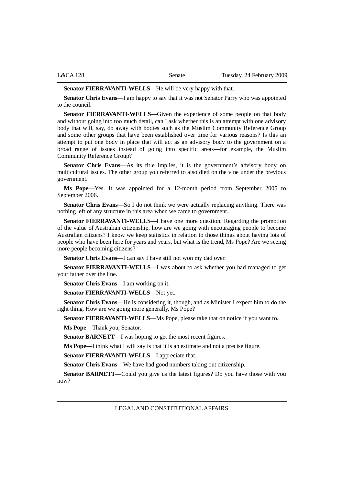| <b>L&amp;CA 128</b> |  |
|---------------------|--|
|---------------------|--|

**Senator FIERRAVANTI-WELLS**—He will be very happy with that.

**Senator Chris Evans**—I am happy to say that it was not Senator Parry who was appointed to the council.

**Senator FIERRAVANTI-WELLS**—Given the experience of some people on that body and without going into too much detail, can I ask whether this is an attempt with one advisory body that will, say, do away with bodies such as the Muslim Community Reference Group and some other groups that have been established over time for various reasons? Is this an attempt to put one body in place that will act as an advisory body to the government on a broad range of issues instead of going into specific areas—for example, the Muslim Community Reference Group?

**Senator Chris Evans**—As its title implies, it is the government's advisory body on multicultural issues. The other group you referred to also died on the vine under the previous government.

**Ms Pope**—Yes. It was appointed for a 12-month period from September 2005 to September 2006.

**Senator Chris Evans**—So I do not think we were actually replacing anything. There was nothing left of any structure in this area when we came to government.

**Senator FIERRAVANTI-WELLS**—I have one more question. Regarding the promotion of the value of Australian citizenship, how are we going with encouraging people to become Australian citizens? I know we keep statistics in relation to those things about having lots of people who have been here for years and years, but what is the trend, Ms Pope? Are we seeing more people becoming citizens?

**Senator Chris Evans**—I can say I have still not won my dad over.

**Senator FIERRAVANTI-WELLS**—I was about to ask whether you had managed to get your father over the line.

**Senator Chris Evans**—I am working on it.

**Senator FIERRAVANTI-WELLS**—Not yet.

**Senator Chris Evans**—He is considering it, though, and as Minister I expect him to do the right thing. How are we going more generally, Ms Pope?

**Senator FIERRAVANTI-WELLS**—Ms Pope, please take that on notice if you want to.

**Ms Pope**—Thank you, Senator.

**Senator BARNETT**—I was hoping to get the most recent figures.

**Ms Pope**—I think what I will say is that it is an estimate and not a precise figure.

**Senator FIERRAVANTI-WELLS**—I appreciate that.

**Senator Chris Evans**—We have had good numbers taking out citizenship.

**Senator BARNETT—Could you give us the latest figures?** Do you have those with you now?

LEGAL AND CONSTITUTIONAL AFFAIRS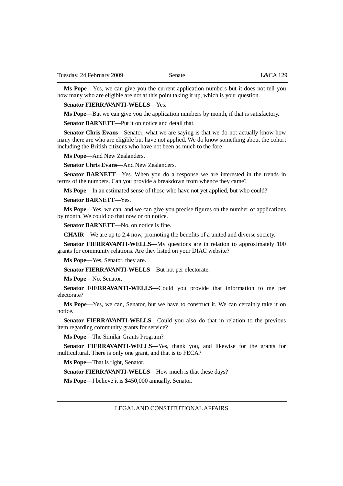**Ms Pope**—Yes, we can give you the current application numbers but it does not tell you how many who are eligible are not at this point taking it up, which is your question.

### **Senator FIERRAVANTI-WELLS**—Yes.

**Ms Pope**—But we can give you the application numbers by month, if that is satisfactory.

**Senator BARNETT—Put it on notice and detail that.** 

**Senator Chris Evans**—Senator, what we are saying is that we do not actually know how many there are who are eligible but have not applied. We do know something about the cohort including the British citizens who have not been as much to the fore—

**Ms Pope**—And New Zealanders.

**Senator Chris Evans**—And New Zealanders.

**Senator BARNETT**—Yes. When you do a response we are interested in the trends in terms of the numbers. Can you provide a breakdown from whence they came?

**Ms Pope**—In an estimated sense of those who have not yet applied, but who could?

**Senator BARNETT**—Yes.

**Ms Pope**—Yes, we can, and we can give you precise figures on the number of applications by month. We could do that now or on notice.

**Senator BARNETT**—No, on notice is fine.

**CHAIR**—We are up to 2.4 now, promoting the benefits of a united and diverse society.

**Senator FIERRAVANTI-WELLS—My questions are in relation to approximately 100** grants for community relations. Are they listed on your DIAC website?

**Ms Pope**—Yes, Senator, they are.

**Senator FIERRAVANTI-WELLS**—But not per electorate.

**Ms Pope**—No, Senator.

**Senator FIERRAVANTI-WELLS**—Could you provide that information to me per electorate?

**Ms Pope**—Yes, we can, Senator, but we have to construct it. We can certainly take it on notice.

**Senator FIERRAVANTI-WELLS**—Could you also do that in relation to the previous item regarding community grants for service?

**Ms Pope**—The Similar Grants Program?

**Senator FIERRAVANTI-WELLS**—Yes, thank you, and likewise for the grants for multicultural. There is only one grant, and that is to FECA?

**Ms Pope**—That is right, Senator.

**Senator FIERRAVANTI-WELLS**—How much is that these days?

**Ms Pope**—I believe it is \$450,000 annually, Senator.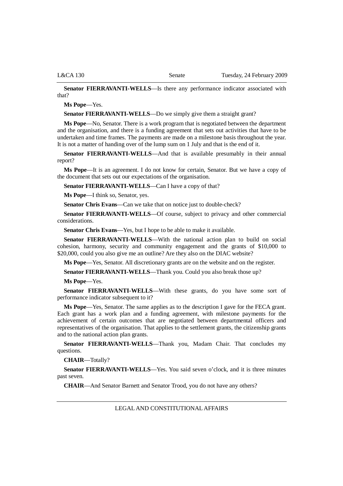**Senator FIERRAVANTI-WELLS**—Is there any performance indicator associated with that?

**Ms Pope**—Yes.

**Senator FIERRAVANTI-WELLS**—Do we simply give them a straight grant?

**Ms Pope**—No, Senator. There is a work program that is negotiated between the department and the organisation, and there is a funding agreement that sets out activities that have to be undertaken and time frames. The payments are made on a milestone basis throughout the year. It is not a matter of handing over of the lump sum on 1 July and that is the end of it.

**Senator FIERRAVANTI-WELLS**—And that is available presumably in their annual report?

**Ms Pope**—It is an agreement. I do not know for certain, Senator. But we have a copy of the document that sets out our expectations of the organisation.

**Senator FIERRAVANTI-WELLS**—Can I have a copy of that?

**Ms Pope**—I think so, Senator, yes.

**Senator Chris Evans**—Can we take that on notice just to double-check?

**Senator FIERRAVANTI-WELLS**—Of course, subject to privacy and other commercial considerations.

**Senator Chris Evans**—Yes, but I hope to be able to make it available.

**Senator FIERRAVANTI-WELLS**—With the national action plan to build on social cohesion, harmony, security and community engagement and the grants of \$10,000 to \$20,000, could you also give me an outline? Are they also on the DIAC website?

**Ms Pope**—Yes, Senator. All discretionary grants are on the website and on the register.

**Senator FIERRAVANTI-WELLS**—Thank you. Could you also break those up?

**Ms Pope**—Yes.

**Senator FIERRAVANTI-WELLS**—With these grants, do you have some sort of performance indicator subsequent to it?

**Ms Pope**—Yes, Senator. The same applies as to the description I gave for the FECA grant. Each grant has a work plan and a funding agreement, with milestone payments for the achievement of certain outcomes that are negotiated between departmental officers and representatives of the organisation. That applies to the settlement grants, the citizenship grants and to the national action plan grants.

**Senator FIERRAVANTI-WELLS**—Thank you, Madam Chair. That concludes my questions.

**CHAIR**—Totally?

**Senator FIERRAVANTI-WELLS**—Yes. You said seven o'clock, and it is three minutes past seven.

**CHAIR**—And Senator Barnett and Senator Trood, you do not have any others?